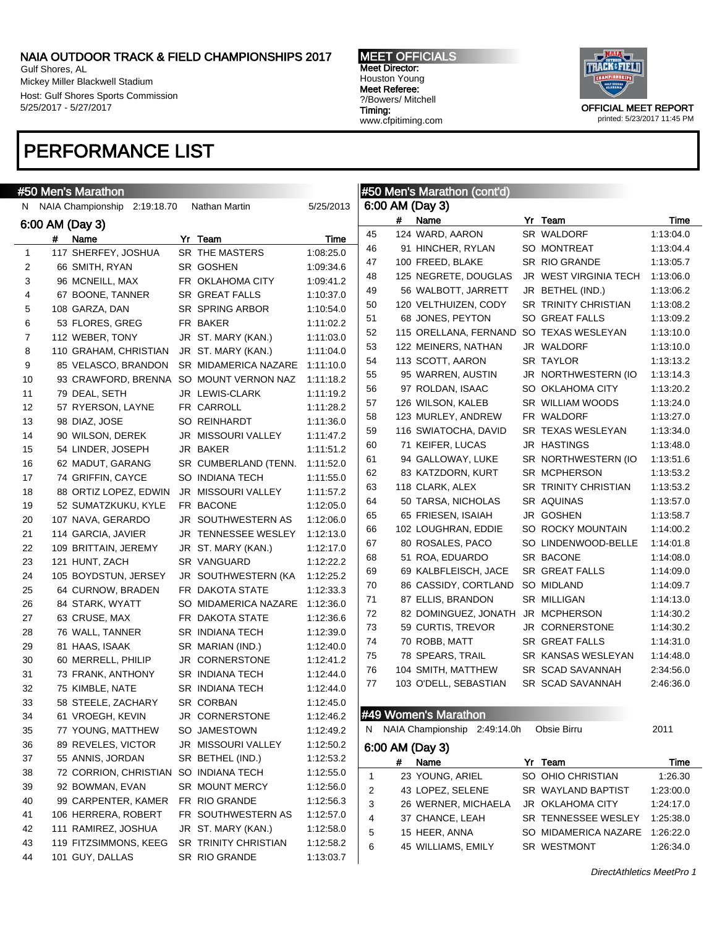Gulf Shores, AL Mickey Miller Blackwell Stadium Host: Gulf Shores Sports Commission 5/25/2017 - 5/27/2017

### PERFORMANCE LIST

MEET OFFICIALS Meet Director: Houston Young Meet Referee: ?/Bowers/ Mitchell Timing: www.cfpitiming.com



printed: 5/23/2017 11:45 PM

| 6:00 AM (Day 3)<br>N NAIA Championship<br>5/25/2013<br>2:19:18.70<br>Nathan Martin<br>#<br>Yr Team<br>Time<br>Name<br>6:00 AM (Day 3)<br>45<br>124 WARD, AARON<br>SR WALDORF<br>1:13:04.0<br>Name<br>Yr Team<br>Time<br>#<br>1:13:04.4<br>46<br>91 HINCHER, RYLAN<br>SO MONTREAT<br>117 SHERFEY, JOSHUA<br>SR THE MASTERS<br>1:08:25.0<br>1<br>47<br>100 FREED, BLAKE<br>SR RIO GRANDE<br>1:13:05.7<br>SR GOSHEN<br>1:09:34.6<br>2<br>66 SMITH, RYAN<br>48<br>125 NEGRETE, DOUGLAS<br>JR WEST VIRGINIA TECH<br>1:13:06.0<br>3<br>96 MCNEILL, MAX<br>FR OKLAHOMA CITY<br>1:09:41.2<br>49<br>56 WALBOTT, JARRETT<br>JR BETHEL (IND.)<br>1:13:06.2<br>4<br>67 BOONE, TANNER<br>SR GREAT FALLS<br>1:10:37.0<br>50<br>120 VELTHUIZEN, CODY<br><b>SR TRINITY CHRISTIAN</b><br>1:13:08.2<br>5<br>108 GARZA, DAN<br>SR SPRING ARBOR<br>1:10:54.0<br>51<br>68 JONES, PEYTON<br>SO GREAT FALLS<br>1:13:09.2<br>6<br>53 FLORES, GREG<br>FR BAKER<br>1:11:02.2<br>52<br>115 ORELLANA, FERNAND<br>SO TEXAS WESLEYAN<br>1:13:10.0<br>7<br>112 WEBER, TONY<br>JR ST. MARY (KAN.)<br>1:11:03.0<br>53<br>122 MEINERS, NATHAN<br>JR WALDORF<br>1:13:10.0<br>8<br>JR ST. MARY (KAN.)<br>1:11:04.0<br>110 GRAHAM, CHRISTIAN<br>54<br>113 SCOTT, AARON<br>SR TAYLOR<br>1:13:13.2<br>9<br>85 VELASCO, BRANDON<br>SR MIDAMERICA NAZARE<br>1:11:10.0<br>55<br>95 WARREN, AUSTIN<br>JR NORTHWESTERN (IO<br>1:13:14.3<br>10<br>93 CRAWFORD, BRENNA SO MOUNT VERNON NAZ<br>1:11:18.2<br>56<br>97 ROLDAN, ISAAC<br>SO OKLAHOMA CITY<br>1:13:20.2<br>79 DEAL, SETH<br>JR LEWIS-CLARK<br>1:11:19.2<br>11<br>57<br>126 WILSON, KALEB<br>SR WILLIAM WOODS<br>1:13:24.0<br>FR CARROLL<br>12<br>57 RYERSON, LAYNE<br>1:11:28.2<br>58<br>FR WALDORF<br>1:13:27.0<br>123 MURLEY, ANDREW<br>1:11:36.0<br>13<br>98 DIAZ, JOSE<br>SO REINHARDT<br>59<br>116 SWIATOCHA, DAVID<br>SR TEXAS WESLEYAN<br>1:13:34.0<br>14<br>90 WILSON, DEREK<br>JR MISSOURI VALLEY<br>1:11:47.2<br>60<br>71 KEIFER, LUCAS<br><b>JR HASTINGS</b><br>1:13:48.0<br>JR BAKER<br>15<br>54 LINDER, JOSEPH<br>1:11:51.2<br>61<br>94 GALLOWAY, LUKE<br>SR NORTHWESTERN (IO<br>1:13:51.6<br>16<br>62 MADUT, GARANG<br>SR CUMBERLAND (TENN.<br>1:11:52.0<br>62<br>83 KATZDORN, KURT<br>SR MCPHERSON<br>1:13:53.2<br>17<br>74 GRIFFIN, CAYCE<br>SO INDIANA TECH<br>1:11:55.0<br>63<br>118 CLARK, ALEX<br><b>SR TRINITY CHRISTIAN</b><br>1:13:53.2<br>18<br>88 ORTIZ LOPEZ, EDWIN<br>JR MISSOURI VALLEY<br>1:11:57.2<br>64<br>50 TARSA, NICHOLAS<br>SR AQUINAS<br>1:13:57.0<br>19<br>52 SUMATZKUKU, KYLE<br>FR BACONE<br>1:12:05.0<br>65<br>65 FRIESEN, ISAIAH<br>JR GOSHEN<br>1:13:58.7<br>20<br>107 NAVA, GERARDO<br>JR SOUTHWESTERN AS<br>1:12:06.0<br>66<br>102 LOUGHRAN, EDDIE<br>SO ROCKY MOUNTAIN<br>1:14:00.2<br>JR TENNESSEE WESLEY<br>21<br>114 GARCIA, JAVIER<br>1:12:13.0<br>80 ROSALES, PACO<br>SO LINDENWOOD-BELLE<br>67<br>1:14:01.8<br>22<br>109 BRITTAIN, JEREMY<br>JR ST. MARY (KAN.)<br>1:12:17.0<br>68<br>51 ROA, EDUARDO<br>SR BACONE<br>1:14:08.0<br>1:12:22.2<br>23<br>121 HUNT, ZACH<br>SR VANGUARD<br>69<br>69 KALBFLEISCH, JACE<br>SR GREAT FALLS<br>1:14:09.0<br>24<br>105 BOYDSTUN, JERSEY<br>JR SOUTHWESTERN (KA<br>1:12:25.2<br>70<br>86 CASSIDY, CORTLAND<br>SO MIDLAND<br>1:14:09.7<br>1:12:33.3<br>25<br>64 CURNOW, BRADEN<br>FR DAKOTA STATE<br>71<br>87 ELLIS, BRANDON<br>SR MILLIGAN<br>1:14:13.0<br>26<br>84 STARK, WYATT<br>SO MIDAMERICA NAZARE<br>1:12:36.0<br>72<br>82 DOMINGUEZ, JONATH<br>JR MCPHERSON<br>1:14:30.2<br>27<br>63 CRUSE, MAX<br>FR DAKOTA STATE<br>1:12:36.6<br>73<br>59 CURTIS, TREVOR<br>JR CORNERSTONE<br>1:14:30.2<br>28<br>76 WALL, TANNER<br>SR INDIANA TECH<br>1:12:39.0<br>74<br>70 ROBB, MATT<br><b>SR GREAT FALLS</b><br>1:14:31.0<br>29<br>81 HAAS, ISAAK<br>SR MARIAN (IND.)<br>1:12:40.0<br>75<br>78 SPEARS, TRAIL<br>SR KANSAS WESLEYAN<br>1:14:48.0<br>30<br>60 MERRELL, PHILIP<br>JR CORNERSTONE<br>1:12:41.2<br>76<br>SR SCAD SAVANNAH<br>2:34:56.0<br>104 SMITH, MATTHEW<br>31<br>SR INDIANA TECH<br>1:12:44.0<br>73 FRANK, ANTHONY<br>77<br>103 O'DELL, SEBASTIAN<br>SR SCAD SAVANNAH<br>2:46:36.0<br>32<br>75 KIMBLE, NATE<br><b>SR INDIANA TECH</b><br>1:12:44.0<br>58 STEELE, ZACHARY<br>SR CORBAN<br>33<br>1:12:45.0<br>#49 Women's Marathon<br>1:12:46.2<br>34<br>61 VROEGH, KEVIN<br>JR CORNERSTONE<br>N NAIA Championship 2:49:14.0h<br>Obsie Birru<br>2011<br>SO JAMESTOWN<br>1:12:49.2<br>35<br>77 YOUNG, MATTHEW<br>89 REVELES, VICTOR<br>JR MISSOURI VALLEY<br>1:12:50.2<br>36<br>6:00 AM (Day 3)<br>1:12:53.2<br>37<br>55 ANNIS, JORDAN<br>SR BETHEL (IND.)<br>Name<br>Yr Team<br>#<br>Time<br>SO INDIANA TECH<br>38<br>72 CORRION, CHRISTIAN<br>1:12:55.0<br>23 YOUNG, ARIEL<br>SO OHIO CHRISTIAN<br>1:26.30<br>1<br>39<br>92 BOWMAN, EVAN<br>SR MOUNT MERCY<br>1:12:56.0<br>2<br>43 LOPEZ, SELENE<br>SR WAYLAND BAPTIST<br>1:23:00.0<br>40<br>99 CARPENTER, KAMER<br>FR RIO GRANDE<br>1:12:56.3<br>3<br>26 WERNER, MICHAELA<br>JR OKLAHOMA CITY<br>1:24:17.0<br>106 HERRERA, ROBERT<br>FR SOUTHWESTERN AS<br>1:12:57.0<br>41<br>4<br>37 CHANCE, LEAH<br>SR TENNESSEE WESLEY<br>1:25:38.0<br>111 RAMIREZ, JOSHUA<br>JR ST. MARY (KAN.)<br>1:12:58.0<br>42<br>5<br>15 HEER, ANNA<br>SO MIDAMERICA NAZARE<br>1:26:22.0<br>119 FITZSIMMONS, KEEG<br>SR TRINITY CHRISTIAN<br>1:12:58.2<br>43<br>6<br>SR WESTMONT<br>45 WILLIAMS, EMILY<br>1:26:34.0<br>101 GUY, DALLAS<br>SR RIO GRANDE<br>44<br>1:13:03.7 | #50 Men's Marathon |  |  | #50 Men's Marathon (cont'd) |  |  |
|--------------------------------------------------------------------------------------------------------------------------------------------------------------------------------------------------------------------------------------------------------------------------------------------------------------------------------------------------------------------------------------------------------------------------------------------------------------------------------------------------------------------------------------------------------------------------------------------------------------------------------------------------------------------------------------------------------------------------------------------------------------------------------------------------------------------------------------------------------------------------------------------------------------------------------------------------------------------------------------------------------------------------------------------------------------------------------------------------------------------------------------------------------------------------------------------------------------------------------------------------------------------------------------------------------------------------------------------------------------------------------------------------------------------------------------------------------------------------------------------------------------------------------------------------------------------------------------------------------------------------------------------------------------------------------------------------------------------------------------------------------------------------------------------------------------------------------------------------------------------------------------------------------------------------------------------------------------------------------------------------------------------------------------------------------------------------------------------------------------------------------------------------------------------------------------------------------------------------------------------------------------------------------------------------------------------------------------------------------------------------------------------------------------------------------------------------------------------------------------------------------------------------------------------------------------------------------------------------------------------------------------------------------------------------------------------------------------------------------------------------------------------------------------------------------------------------------------------------------------------------------------------------------------------------------------------------------------------------------------------------------------------------------------------------------------------------------------------------------------------------------------------------------------------------------------------------------------------------------------------------------------------------------------------------------------------------------------------------------------------------------------------------------------------------------------------------------------------------------------------------------------------------------------------------------------------------------------------------------------------------------------------------------------------------------------------------------------------------------------------------------------------------------------------------------------------------------------------------------------------------------------------------------------------------------------------------------------------------------------------------------------------------------------------------------------------------------------------------------------------------------------------------------------------------------------------------------------------------------------------------------------------------------------------------------------------------------------------------------------------------------------------------------------------------------------------------------------------------------------------------------------------------------------------------------------------------------------------------------------------------------------------------------------------------------------------------------------------------------------------------------------------------------------------------------------------------------------------------------------------------------------------------------------------------------------------------------------------------------------------------------------------------------------------------------------------------------------------------------------------------------------------------------------------------------------------------------------------------------------------------------------------------------------------------------------------------------------------------------------------------------------------------------------------------|--------------------|--|--|-----------------------------|--|--|
|                                                                                                                                                                                                                                                                                                                                                                                                                                                                                                                                                                                                                                                                                                                                                                                                                                                                                                                                                                                                                                                                                                                                                                                                                                                                                                                                                                                                                                                                                                                                                                                                                                                                                                                                                                                                                                                                                                                                                                                                                                                                                                                                                                                                                                                                                                                                                                                                                                                                                                                                                                                                                                                                                                                                                                                                                                                                                                                                                                                                                                                                                                                                                                                                                                                                                                                                                                                                                                                                                                                                                                                                                                                                                                                                                                                                                                                                                                                                                                                                                                                                                                                                                                                                                                                                                                                                                                                                                                                                                                                                                                                                                                                                                                                                                                                                                                                                                                                                                                                                                                                                                                                                                                                                                                                                                                                                                                                                                          |                    |  |  |                             |  |  |
|                                                                                                                                                                                                                                                                                                                                                                                                                                                                                                                                                                                                                                                                                                                                                                                                                                                                                                                                                                                                                                                                                                                                                                                                                                                                                                                                                                                                                                                                                                                                                                                                                                                                                                                                                                                                                                                                                                                                                                                                                                                                                                                                                                                                                                                                                                                                                                                                                                                                                                                                                                                                                                                                                                                                                                                                                                                                                                                                                                                                                                                                                                                                                                                                                                                                                                                                                                                                                                                                                                                                                                                                                                                                                                                                                                                                                                                                                                                                                                                                                                                                                                                                                                                                                                                                                                                                                                                                                                                                                                                                                                                                                                                                                                                                                                                                                                                                                                                                                                                                                                                                                                                                                                                                                                                                                                                                                                                                                          |                    |  |  |                             |  |  |
|                                                                                                                                                                                                                                                                                                                                                                                                                                                                                                                                                                                                                                                                                                                                                                                                                                                                                                                                                                                                                                                                                                                                                                                                                                                                                                                                                                                                                                                                                                                                                                                                                                                                                                                                                                                                                                                                                                                                                                                                                                                                                                                                                                                                                                                                                                                                                                                                                                                                                                                                                                                                                                                                                                                                                                                                                                                                                                                                                                                                                                                                                                                                                                                                                                                                                                                                                                                                                                                                                                                                                                                                                                                                                                                                                                                                                                                                                                                                                                                                                                                                                                                                                                                                                                                                                                                                                                                                                                                                                                                                                                                                                                                                                                                                                                                                                                                                                                                                                                                                                                                                                                                                                                                                                                                                                                                                                                                                                          |                    |  |  |                             |  |  |
|                                                                                                                                                                                                                                                                                                                                                                                                                                                                                                                                                                                                                                                                                                                                                                                                                                                                                                                                                                                                                                                                                                                                                                                                                                                                                                                                                                                                                                                                                                                                                                                                                                                                                                                                                                                                                                                                                                                                                                                                                                                                                                                                                                                                                                                                                                                                                                                                                                                                                                                                                                                                                                                                                                                                                                                                                                                                                                                                                                                                                                                                                                                                                                                                                                                                                                                                                                                                                                                                                                                                                                                                                                                                                                                                                                                                                                                                                                                                                                                                                                                                                                                                                                                                                                                                                                                                                                                                                                                                                                                                                                                                                                                                                                                                                                                                                                                                                                                                                                                                                                                                                                                                                                                                                                                                                                                                                                                                                          |                    |  |  |                             |  |  |
|                                                                                                                                                                                                                                                                                                                                                                                                                                                                                                                                                                                                                                                                                                                                                                                                                                                                                                                                                                                                                                                                                                                                                                                                                                                                                                                                                                                                                                                                                                                                                                                                                                                                                                                                                                                                                                                                                                                                                                                                                                                                                                                                                                                                                                                                                                                                                                                                                                                                                                                                                                                                                                                                                                                                                                                                                                                                                                                                                                                                                                                                                                                                                                                                                                                                                                                                                                                                                                                                                                                                                                                                                                                                                                                                                                                                                                                                                                                                                                                                                                                                                                                                                                                                                                                                                                                                                                                                                                                                                                                                                                                                                                                                                                                                                                                                                                                                                                                                                                                                                                                                                                                                                                                                                                                                                                                                                                                                                          |                    |  |  |                             |  |  |
|                                                                                                                                                                                                                                                                                                                                                                                                                                                                                                                                                                                                                                                                                                                                                                                                                                                                                                                                                                                                                                                                                                                                                                                                                                                                                                                                                                                                                                                                                                                                                                                                                                                                                                                                                                                                                                                                                                                                                                                                                                                                                                                                                                                                                                                                                                                                                                                                                                                                                                                                                                                                                                                                                                                                                                                                                                                                                                                                                                                                                                                                                                                                                                                                                                                                                                                                                                                                                                                                                                                                                                                                                                                                                                                                                                                                                                                                                                                                                                                                                                                                                                                                                                                                                                                                                                                                                                                                                                                                                                                                                                                                                                                                                                                                                                                                                                                                                                                                                                                                                                                                                                                                                                                                                                                                                                                                                                                                                          |                    |  |  |                             |  |  |
|                                                                                                                                                                                                                                                                                                                                                                                                                                                                                                                                                                                                                                                                                                                                                                                                                                                                                                                                                                                                                                                                                                                                                                                                                                                                                                                                                                                                                                                                                                                                                                                                                                                                                                                                                                                                                                                                                                                                                                                                                                                                                                                                                                                                                                                                                                                                                                                                                                                                                                                                                                                                                                                                                                                                                                                                                                                                                                                                                                                                                                                                                                                                                                                                                                                                                                                                                                                                                                                                                                                                                                                                                                                                                                                                                                                                                                                                                                                                                                                                                                                                                                                                                                                                                                                                                                                                                                                                                                                                                                                                                                                                                                                                                                                                                                                                                                                                                                                                                                                                                                                                                                                                                                                                                                                                                                                                                                                                                          |                    |  |  |                             |  |  |
|                                                                                                                                                                                                                                                                                                                                                                                                                                                                                                                                                                                                                                                                                                                                                                                                                                                                                                                                                                                                                                                                                                                                                                                                                                                                                                                                                                                                                                                                                                                                                                                                                                                                                                                                                                                                                                                                                                                                                                                                                                                                                                                                                                                                                                                                                                                                                                                                                                                                                                                                                                                                                                                                                                                                                                                                                                                                                                                                                                                                                                                                                                                                                                                                                                                                                                                                                                                                                                                                                                                                                                                                                                                                                                                                                                                                                                                                                                                                                                                                                                                                                                                                                                                                                                                                                                                                                                                                                                                                                                                                                                                                                                                                                                                                                                                                                                                                                                                                                                                                                                                                                                                                                                                                                                                                                                                                                                                                                          |                    |  |  |                             |  |  |
|                                                                                                                                                                                                                                                                                                                                                                                                                                                                                                                                                                                                                                                                                                                                                                                                                                                                                                                                                                                                                                                                                                                                                                                                                                                                                                                                                                                                                                                                                                                                                                                                                                                                                                                                                                                                                                                                                                                                                                                                                                                                                                                                                                                                                                                                                                                                                                                                                                                                                                                                                                                                                                                                                                                                                                                                                                                                                                                                                                                                                                                                                                                                                                                                                                                                                                                                                                                                                                                                                                                                                                                                                                                                                                                                                                                                                                                                                                                                                                                                                                                                                                                                                                                                                                                                                                                                                                                                                                                                                                                                                                                                                                                                                                                                                                                                                                                                                                                                                                                                                                                                                                                                                                                                                                                                                                                                                                                                                          |                    |  |  |                             |  |  |
|                                                                                                                                                                                                                                                                                                                                                                                                                                                                                                                                                                                                                                                                                                                                                                                                                                                                                                                                                                                                                                                                                                                                                                                                                                                                                                                                                                                                                                                                                                                                                                                                                                                                                                                                                                                                                                                                                                                                                                                                                                                                                                                                                                                                                                                                                                                                                                                                                                                                                                                                                                                                                                                                                                                                                                                                                                                                                                                                                                                                                                                                                                                                                                                                                                                                                                                                                                                                                                                                                                                                                                                                                                                                                                                                                                                                                                                                                                                                                                                                                                                                                                                                                                                                                                                                                                                                                                                                                                                                                                                                                                                                                                                                                                                                                                                                                                                                                                                                                                                                                                                                                                                                                                                                                                                                                                                                                                                                                          |                    |  |  |                             |  |  |
|                                                                                                                                                                                                                                                                                                                                                                                                                                                                                                                                                                                                                                                                                                                                                                                                                                                                                                                                                                                                                                                                                                                                                                                                                                                                                                                                                                                                                                                                                                                                                                                                                                                                                                                                                                                                                                                                                                                                                                                                                                                                                                                                                                                                                                                                                                                                                                                                                                                                                                                                                                                                                                                                                                                                                                                                                                                                                                                                                                                                                                                                                                                                                                                                                                                                                                                                                                                                                                                                                                                                                                                                                                                                                                                                                                                                                                                                                                                                                                                                                                                                                                                                                                                                                                                                                                                                                                                                                                                                                                                                                                                                                                                                                                                                                                                                                                                                                                                                                                                                                                                                                                                                                                                                                                                                                                                                                                                                                          |                    |  |  |                             |  |  |
|                                                                                                                                                                                                                                                                                                                                                                                                                                                                                                                                                                                                                                                                                                                                                                                                                                                                                                                                                                                                                                                                                                                                                                                                                                                                                                                                                                                                                                                                                                                                                                                                                                                                                                                                                                                                                                                                                                                                                                                                                                                                                                                                                                                                                                                                                                                                                                                                                                                                                                                                                                                                                                                                                                                                                                                                                                                                                                                                                                                                                                                                                                                                                                                                                                                                                                                                                                                                                                                                                                                                                                                                                                                                                                                                                                                                                                                                                                                                                                                                                                                                                                                                                                                                                                                                                                                                                                                                                                                                                                                                                                                                                                                                                                                                                                                                                                                                                                                                                                                                                                                                                                                                                                                                                                                                                                                                                                                                                          |                    |  |  |                             |  |  |
|                                                                                                                                                                                                                                                                                                                                                                                                                                                                                                                                                                                                                                                                                                                                                                                                                                                                                                                                                                                                                                                                                                                                                                                                                                                                                                                                                                                                                                                                                                                                                                                                                                                                                                                                                                                                                                                                                                                                                                                                                                                                                                                                                                                                                                                                                                                                                                                                                                                                                                                                                                                                                                                                                                                                                                                                                                                                                                                                                                                                                                                                                                                                                                                                                                                                                                                                                                                                                                                                                                                                                                                                                                                                                                                                                                                                                                                                                                                                                                                                                                                                                                                                                                                                                                                                                                                                                                                                                                                                                                                                                                                                                                                                                                                                                                                                                                                                                                                                                                                                                                                                                                                                                                                                                                                                                                                                                                                                                          |                    |  |  |                             |  |  |
|                                                                                                                                                                                                                                                                                                                                                                                                                                                                                                                                                                                                                                                                                                                                                                                                                                                                                                                                                                                                                                                                                                                                                                                                                                                                                                                                                                                                                                                                                                                                                                                                                                                                                                                                                                                                                                                                                                                                                                                                                                                                                                                                                                                                                                                                                                                                                                                                                                                                                                                                                                                                                                                                                                                                                                                                                                                                                                                                                                                                                                                                                                                                                                                                                                                                                                                                                                                                                                                                                                                                                                                                                                                                                                                                                                                                                                                                                                                                                                                                                                                                                                                                                                                                                                                                                                                                                                                                                                                                                                                                                                                                                                                                                                                                                                                                                                                                                                                                                                                                                                                                                                                                                                                                                                                                                                                                                                                                                          |                    |  |  |                             |  |  |
|                                                                                                                                                                                                                                                                                                                                                                                                                                                                                                                                                                                                                                                                                                                                                                                                                                                                                                                                                                                                                                                                                                                                                                                                                                                                                                                                                                                                                                                                                                                                                                                                                                                                                                                                                                                                                                                                                                                                                                                                                                                                                                                                                                                                                                                                                                                                                                                                                                                                                                                                                                                                                                                                                                                                                                                                                                                                                                                                                                                                                                                                                                                                                                                                                                                                                                                                                                                                                                                                                                                                                                                                                                                                                                                                                                                                                                                                                                                                                                                                                                                                                                                                                                                                                                                                                                                                                                                                                                                                                                                                                                                                                                                                                                                                                                                                                                                                                                                                                                                                                                                                                                                                                                                                                                                                                                                                                                                                                          |                    |  |  |                             |  |  |
|                                                                                                                                                                                                                                                                                                                                                                                                                                                                                                                                                                                                                                                                                                                                                                                                                                                                                                                                                                                                                                                                                                                                                                                                                                                                                                                                                                                                                                                                                                                                                                                                                                                                                                                                                                                                                                                                                                                                                                                                                                                                                                                                                                                                                                                                                                                                                                                                                                                                                                                                                                                                                                                                                                                                                                                                                                                                                                                                                                                                                                                                                                                                                                                                                                                                                                                                                                                                                                                                                                                                                                                                                                                                                                                                                                                                                                                                                                                                                                                                                                                                                                                                                                                                                                                                                                                                                                                                                                                                                                                                                                                                                                                                                                                                                                                                                                                                                                                                                                                                                                                                                                                                                                                                                                                                                                                                                                                                                          |                    |  |  |                             |  |  |
|                                                                                                                                                                                                                                                                                                                                                                                                                                                                                                                                                                                                                                                                                                                                                                                                                                                                                                                                                                                                                                                                                                                                                                                                                                                                                                                                                                                                                                                                                                                                                                                                                                                                                                                                                                                                                                                                                                                                                                                                                                                                                                                                                                                                                                                                                                                                                                                                                                                                                                                                                                                                                                                                                                                                                                                                                                                                                                                                                                                                                                                                                                                                                                                                                                                                                                                                                                                                                                                                                                                                                                                                                                                                                                                                                                                                                                                                                                                                                                                                                                                                                                                                                                                                                                                                                                                                                                                                                                                                                                                                                                                                                                                                                                                                                                                                                                                                                                                                                                                                                                                                                                                                                                                                                                                                                                                                                                                                                          |                    |  |  |                             |  |  |
|                                                                                                                                                                                                                                                                                                                                                                                                                                                                                                                                                                                                                                                                                                                                                                                                                                                                                                                                                                                                                                                                                                                                                                                                                                                                                                                                                                                                                                                                                                                                                                                                                                                                                                                                                                                                                                                                                                                                                                                                                                                                                                                                                                                                                                                                                                                                                                                                                                                                                                                                                                                                                                                                                                                                                                                                                                                                                                                                                                                                                                                                                                                                                                                                                                                                                                                                                                                                                                                                                                                                                                                                                                                                                                                                                                                                                                                                                                                                                                                                                                                                                                                                                                                                                                                                                                                                                                                                                                                                                                                                                                                                                                                                                                                                                                                                                                                                                                                                                                                                                                                                                                                                                                                                                                                                                                                                                                                                                          |                    |  |  |                             |  |  |
|                                                                                                                                                                                                                                                                                                                                                                                                                                                                                                                                                                                                                                                                                                                                                                                                                                                                                                                                                                                                                                                                                                                                                                                                                                                                                                                                                                                                                                                                                                                                                                                                                                                                                                                                                                                                                                                                                                                                                                                                                                                                                                                                                                                                                                                                                                                                                                                                                                                                                                                                                                                                                                                                                                                                                                                                                                                                                                                                                                                                                                                                                                                                                                                                                                                                                                                                                                                                                                                                                                                                                                                                                                                                                                                                                                                                                                                                                                                                                                                                                                                                                                                                                                                                                                                                                                                                                                                                                                                                                                                                                                                                                                                                                                                                                                                                                                                                                                                                                                                                                                                                                                                                                                                                                                                                                                                                                                                                                          |                    |  |  |                             |  |  |
|                                                                                                                                                                                                                                                                                                                                                                                                                                                                                                                                                                                                                                                                                                                                                                                                                                                                                                                                                                                                                                                                                                                                                                                                                                                                                                                                                                                                                                                                                                                                                                                                                                                                                                                                                                                                                                                                                                                                                                                                                                                                                                                                                                                                                                                                                                                                                                                                                                                                                                                                                                                                                                                                                                                                                                                                                                                                                                                                                                                                                                                                                                                                                                                                                                                                                                                                                                                                                                                                                                                                                                                                                                                                                                                                                                                                                                                                                                                                                                                                                                                                                                                                                                                                                                                                                                                                                                                                                                                                                                                                                                                                                                                                                                                                                                                                                                                                                                                                                                                                                                                                                                                                                                                                                                                                                                                                                                                                                          |                    |  |  |                             |  |  |
|                                                                                                                                                                                                                                                                                                                                                                                                                                                                                                                                                                                                                                                                                                                                                                                                                                                                                                                                                                                                                                                                                                                                                                                                                                                                                                                                                                                                                                                                                                                                                                                                                                                                                                                                                                                                                                                                                                                                                                                                                                                                                                                                                                                                                                                                                                                                                                                                                                                                                                                                                                                                                                                                                                                                                                                                                                                                                                                                                                                                                                                                                                                                                                                                                                                                                                                                                                                                                                                                                                                                                                                                                                                                                                                                                                                                                                                                                                                                                                                                                                                                                                                                                                                                                                                                                                                                                                                                                                                                                                                                                                                                                                                                                                                                                                                                                                                                                                                                                                                                                                                                                                                                                                                                                                                                                                                                                                                                                          |                    |  |  |                             |  |  |
|                                                                                                                                                                                                                                                                                                                                                                                                                                                                                                                                                                                                                                                                                                                                                                                                                                                                                                                                                                                                                                                                                                                                                                                                                                                                                                                                                                                                                                                                                                                                                                                                                                                                                                                                                                                                                                                                                                                                                                                                                                                                                                                                                                                                                                                                                                                                                                                                                                                                                                                                                                                                                                                                                                                                                                                                                                                                                                                                                                                                                                                                                                                                                                                                                                                                                                                                                                                                                                                                                                                                                                                                                                                                                                                                                                                                                                                                                                                                                                                                                                                                                                                                                                                                                                                                                                                                                                                                                                                                                                                                                                                                                                                                                                                                                                                                                                                                                                                                                                                                                                                                                                                                                                                                                                                                                                                                                                                                                          |                    |  |  |                             |  |  |
|                                                                                                                                                                                                                                                                                                                                                                                                                                                                                                                                                                                                                                                                                                                                                                                                                                                                                                                                                                                                                                                                                                                                                                                                                                                                                                                                                                                                                                                                                                                                                                                                                                                                                                                                                                                                                                                                                                                                                                                                                                                                                                                                                                                                                                                                                                                                                                                                                                                                                                                                                                                                                                                                                                                                                                                                                                                                                                                                                                                                                                                                                                                                                                                                                                                                                                                                                                                                                                                                                                                                                                                                                                                                                                                                                                                                                                                                                                                                                                                                                                                                                                                                                                                                                                                                                                                                                                                                                                                                                                                                                                                                                                                                                                                                                                                                                                                                                                                                                                                                                                                                                                                                                                                                                                                                                                                                                                                                                          |                    |  |  |                             |  |  |
|                                                                                                                                                                                                                                                                                                                                                                                                                                                                                                                                                                                                                                                                                                                                                                                                                                                                                                                                                                                                                                                                                                                                                                                                                                                                                                                                                                                                                                                                                                                                                                                                                                                                                                                                                                                                                                                                                                                                                                                                                                                                                                                                                                                                                                                                                                                                                                                                                                                                                                                                                                                                                                                                                                                                                                                                                                                                                                                                                                                                                                                                                                                                                                                                                                                                                                                                                                                                                                                                                                                                                                                                                                                                                                                                                                                                                                                                                                                                                                                                                                                                                                                                                                                                                                                                                                                                                                                                                                                                                                                                                                                                                                                                                                                                                                                                                                                                                                                                                                                                                                                                                                                                                                                                                                                                                                                                                                                                                          |                    |  |  |                             |  |  |
|                                                                                                                                                                                                                                                                                                                                                                                                                                                                                                                                                                                                                                                                                                                                                                                                                                                                                                                                                                                                                                                                                                                                                                                                                                                                                                                                                                                                                                                                                                                                                                                                                                                                                                                                                                                                                                                                                                                                                                                                                                                                                                                                                                                                                                                                                                                                                                                                                                                                                                                                                                                                                                                                                                                                                                                                                                                                                                                                                                                                                                                                                                                                                                                                                                                                                                                                                                                                                                                                                                                                                                                                                                                                                                                                                                                                                                                                                                                                                                                                                                                                                                                                                                                                                                                                                                                                                                                                                                                                                                                                                                                                                                                                                                                                                                                                                                                                                                                                                                                                                                                                                                                                                                                                                                                                                                                                                                                                                          |                    |  |  |                             |  |  |
|                                                                                                                                                                                                                                                                                                                                                                                                                                                                                                                                                                                                                                                                                                                                                                                                                                                                                                                                                                                                                                                                                                                                                                                                                                                                                                                                                                                                                                                                                                                                                                                                                                                                                                                                                                                                                                                                                                                                                                                                                                                                                                                                                                                                                                                                                                                                                                                                                                                                                                                                                                                                                                                                                                                                                                                                                                                                                                                                                                                                                                                                                                                                                                                                                                                                                                                                                                                                                                                                                                                                                                                                                                                                                                                                                                                                                                                                                                                                                                                                                                                                                                                                                                                                                                                                                                                                                                                                                                                                                                                                                                                                                                                                                                                                                                                                                                                                                                                                                                                                                                                                                                                                                                                                                                                                                                                                                                                                                          |                    |  |  |                             |  |  |
|                                                                                                                                                                                                                                                                                                                                                                                                                                                                                                                                                                                                                                                                                                                                                                                                                                                                                                                                                                                                                                                                                                                                                                                                                                                                                                                                                                                                                                                                                                                                                                                                                                                                                                                                                                                                                                                                                                                                                                                                                                                                                                                                                                                                                                                                                                                                                                                                                                                                                                                                                                                                                                                                                                                                                                                                                                                                                                                                                                                                                                                                                                                                                                                                                                                                                                                                                                                                                                                                                                                                                                                                                                                                                                                                                                                                                                                                                                                                                                                                                                                                                                                                                                                                                                                                                                                                                                                                                                                                                                                                                                                                                                                                                                                                                                                                                                                                                                                                                                                                                                                                                                                                                                                                                                                                                                                                                                                                                          |                    |  |  |                             |  |  |
|                                                                                                                                                                                                                                                                                                                                                                                                                                                                                                                                                                                                                                                                                                                                                                                                                                                                                                                                                                                                                                                                                                                                                                                                                                                                                                                                                                                                                                                                                                                                                                                                                                                                                                                                                                                                                                                                                                                                                                                                                                                                                                                                                                                                                                                                                                                                                                                                                                                                                                                                                                                                                                                                                                                                                                                                                                                                                                                                                                                                                                                                                                                                                                                                                                                                                                                                                                                                                                                                                                                                                                                                                                                                                                                                                                                                                                                                                                                                                                                                                                                                                                                                                                                                                                                                                                                                                                                                                                                                                                                                                                                                                                                                                                                                                                                                                                                                                                                                                                                                                                                                                                                                                                                                                                                                                                                                                                                                                          |                    |  |  |                             |  |  |
|                                                                                                                                                                                                                                                                                                                                                                                                                                                                                                                                                                                                                                                                                                                                                                                                                                                                                                                                                                                                                                                                                                                                                                                                                                                                                                                                                                                                                                                                                                                                                                                                                                                                                                                                                                                                                                                                                                                                                                                                                                                                                                                                                                                                                                                                                                                                                                                                                                                                                                                                                                                                                                                                                                                                                                                                                                                                                                                                                                                                                                                                                                                                                                                                                                                                                                                                                                                                                                                                                                                                                                                                                                                                                                                                                                                                                                                                                                                                                                                                                                                                                                                                                                                                                                                                                                                                                                                                                                                                                                                                                                                                                                                                                                                                                                                                                                                                                                                                                                                                                                                                                                                                                                                                                                                                                                                                                                                                                          |                    |  |  |                             |  |  |
|                                                                                                                                                                                                                                                                                                                                                                                                                                                                                                                                                                                                                                                                                                                                                                                                                                                                                                                                                                                                                                                                                                                                                                                                                                                                                                                                                                                                                                                                                                                                                                                                                                                                                                                                                                                                                                                                                                                                                                                                                                                                                                                                                                                                                                                                                                                                                                                                                                                                                                                                                                                                                                                                                                                                                                                                                                                                                                                                                                                                                                                                                                                                                                                                                                                                                                                                                                                                                                                                                                                                                                                                                                                                                                                                                                                                                                                                                                                                                                                                                                                                                                                                                                                                                                                                                                                                                                                                                                                                                                                                                                                                                                                                                                                                                                                                                                                                                                                                                                                                                                                                                                                                                                                                                                                                                                                                                                                                                          |                    |  |  |                             |  |  |
|                                                                                                                                                                                                                                                                                                                                                                                                                                                                                                                                                                                                                                                                                                                                                                                                                                                                                                                                                                                                                                                                                                                                                                                                                                                                                                                                                                                                                                                                                                                                                                                                                                                                                                                                                                                                                                                                                                                                                                                                                                                                                                                                                                                                                                                                                                                                                                                                                                                                                                                                                                                                                                                                                                                                                                                                                                                                                                                                                                                                                                                                                                                                                                                                                                                                                                                                                                                                                                                                                                                                                                                                                                                                                                                                                                                                                                                                                                                                                                                                                                                                                                                                                                                                                                                                                                                                                                                                                                                                                                                                                                                                                                                                                                                                                                                                                                                                                                                                                                                                                                                                                                                                                                                                                                                                                                                                                                                                                          |                    |  |  |                             |  |  |
|                                                                                                                                                                                                                                                                                                                                                                                                                                                                                                                                                                                                                                                                                                                                                                                                                                                                                                                                                                                                                                                                                                                                                                                                                                                                                                                                                                                                                                                                                                                                                                                                                                                                                                                                                                                                                                                                                                                                                                                                                                                                                                                                                                                                                                                                                                                                                                                                                                                                                                                                                                                                                                                                                                                                                                                                                                                                                                                                                                                                                                                                                                                                                                                                                                                                                                                                                                                                                                                                                                                                                                                                                                                                                                                                                                                                                                                                                                                                                                                                                                                                                                                                                                                                                                                                                                                                                                                                                                                                                                                                                                                                                                                                                                                                                                                                                                                                                                                                                                                                                                                                                                                                                                                                                                                                                                                                                                                                                          |                    |  |  |                             |  |  |
|                                                                                                                                                                                                                                                                                                                                                                                                                                                                                                                                                                                                                                                                                                                                                                                                                                                                                                                                                                                                                                                                                                                                                                                                                                                                                                                                                                                                                                                                                                                                                                                                                                                                                                                                                                                                                                                                                                                                                                                                                                                                                                                                                                                                                                                                                                                                                                                                                                                                                                                                                                                                                                                                                                                                                                                                                                                                                                                                                                                                                                                                                                                                                                                                                                                                                                                                                                                                                                                                                                                                                                                                                                                                                                                                                                                                                                                                                                                                                                                                                                                                                                                                                                                                                                                                                                                                                                                                                                                                                                                                                                                                                                                                                                                                                                                                                                                                                                                                                                                                                                                                                                                                                                                                                                                                                                                                                                                                                          |                    |  |  |                             |  |  |
|                                                                                                                                                                                                                                                                                                                                                                                                                                                                                                                                                                                                                                                                                                                                                                                                                                                                                                                                                                                                                                                                                                                                                                                                                                                                                                                                                                                                                                                                                                                                                                                                                                                                                                                                                                                                                                                                                                                                                                                                                                                                                                                                                                                                                                                                                                                                                                                                                                                                                                                                                                                                                                                                                                                                                                                                                                                                                                                                                                                                                                                                                                                                                                                                                                                                                                                                                                                                                                                                                                                                                                                                                                                                                                                                                                                                                                                                                                                                                                                                                                                                                                                                                                                                                                                                                                                                                                                                                                                                                                                                                                                                                                                                                                                                                                                                                                                                                                                                                                                                                                                                                                                                                                                                                                                                                                                                                                                                                          |                    |  |  |                             |  |  |
|                                                                                                                                                                                                                                                                                                                                                                                                                                                                                                                                                                                                                                                                                                                                                                                                                                                                                                                                                                                                                                                                                                                                                                                                                                                                                                                                                                                                                                                                                                                                                                                                                                                                                                                                                                                                                                                                                                                                                                                                                                                                                                                                                                                                                                                                                                                                                                                                                                                                                                                                                                                                                                                                                                                                                                                                                                                                                                                                                                                                                                                                                                                                                                                                                                                                                                                                                                                                                                                                                                                                                                                                                                                                                                                                                                                                                                                                                                                                                                                                                                                                                                                                                                                                                                                                                                                                                                                                                                                                                                                                                                                                                                                                                                                                                                                                                                                                                                                                                                                                                                                                                                                                                                                                                                                                                                                                                                                                                          |                    |  |  |                             |  |  |
|                                                                                                                                                                                                                                                                                                                                                                                                                                                                                                                                                                                                                                                                                                                                                                                                                                                                                                                                                                                                                                                                                                                                                                                                                                                                                                                                                                                                                                                                                                                                                                                                                                                                                                                                                                                                                                                                                                                                                                                                                                                                                                                                                                                                                                                                                                                                                                                                                                                                                                                                                                                                                                                                                                                                                                                                                                                                                                                                                                                                                                                                                                                                                                                                                                                                                                                                                                                                                                                                                                                                                                                                                                                                                                                                                                                                                                                                                                                                                                                                                                                                                                                                                                                                                                                                                                                                                                                                                                                                                                                                                                                                                                                                                                                                                                                                                                                                                                                                                                                                                                                                                                                                                                                                                                                                                                                                                                                                                          |                    |  |  |                             |  |  |
|                                                                                                                                                                                                                                                                                                                                                                                                                                                                                                                                                                                                                                                                                                                                                                                                                                                                                                                                                                                                                                                                                                                                                                                                                                                                                                                                                                                                                                                                                                                                                                                                                                                                                                                                                                                                                                                                                                                                                                                                                                                                                                                                                                                                                                                                                                                                                                                                                                                                                                                                                                                                                                                                                                                                                                                                                                                                                                                                                                                                                                                                                                                                                                                                                                                                                                                                                                                                                                                                                                                                                                                                                                                                                                                                                                                                                                                                                                                                                                                                                                                                                                                                                                                                                                                                                                                                                                                                                                                                                                                                                                                                                                                                                                                                                                                                                                                                                                                                                                                                                                                                                                                                                                                                                                                                                                                                                                                                                          |                    |  |  |                             |  |  |
|                                                                                                                                                                                                                                                                                                                                                                                                                                                                                                                                                                                                                                                                                                                                                                                                                                                                                                                                                                                                                                                                                                                                                                                                                                                                                                                                                                                                                                                                                                                                                                                                                                                                                                                                                                                                                                                                                                                                                                                                                                                                                                                                                                                                                                                                                                                                                                                                                                                                                                                                                                                                                                                                                                                                                                                                                                                                                                                                                                                                                                                                                                                                                                                                                                                                                                                                                                                                                                                                                                                                                                                                                                                                                                                                                                                                                                                                                                                                                                                                                                                                                                                                                                                                                                                                                                                                                                                                                                                                                                                                                                                                                                                                                                                                                                                                                                                                                                                                                                                                                                                                                                                                                                                                                                                                                                                                                                                                                          |                    |  |  |                             |  |  |
|                                                                                                                                                                                                                                                                                                                                                                                                                                                                                                                                                                                                                                                                                                                                                                                                                                                                                                                                                                                                                                                                                                                                                                                                                                                                                                                                                                                                                                                                                                                                                                                                                                                                                                                                                                                                                                                                                                                                                                                                                                                                                                                                                                                                                                                                                                                                                                                                                                                                                                                                                                                                                                                                                                                                                                                                                                                                                                                                                                                                                                                                                                                                                                                                                                                                                                                                                                                                                                                                                                                                                                                                                                                                                                                                                                                                                                                                                                                                                                                                                                                                                                                                                                                                                                                                                                                                                                                                                                                                                                                                                                                                                                                                                                                                                                                                                                                                                                                                                                                                                                                                                                                                                                                                                                                                                                                                                                                                                          |                    |  |  |                             |  |  |
|                                                                                                                                                                                                                                                                                                                                                                                                                                                                                                                                                                                                                                                                                                                                                                                                                                                                                                                                                                                                                                                                                                                                                                                                                                                                                                                                                                                                                                                                                                                                                                                                                                                                                                                                                                                                                                                                                                                                                                                                                                                                                                                                                                                                                                                                                                                                                                                                                                                                                                                                                                                                                                                                                                                                                                                                                                                                                                                                                                                                                                                                                                                                                                                                                                                                                                                                                                                                                                                                                                                                                                                                                                                                                                                                                                                                                                                                                                                                                                                                                                                                                                                                                                                                                                                                                                                                                                                                                                                                                                                                                                                                                                                                                                                                                                                                                                                                                                                                                                                                                                                                                                                                                                                                                                                                                                                                                                                                                          |                    |  |  |                             |  |  |
|                                                                                                                                                                                                                                                                                                                                                                                                                                                                                                                                                                                                                                                                                                                                                                                                                                                                                                                                                                                                                                                                                                                                                                                                                                                                                                                                                                                                                                                                                                                                                                                                                                                                                                                                                                                                                                                                                                                                                                                                                                                                                                                                                                                                                                                                                                                                                                                                                                                                                                                                                                                                                                                                                                                                                                                                                                                                                                                                                                                                                                                                                                                                                                                                                                                                                                                                                                                                                                                                                                                                                                                                                                                                                                                                                                                                                                                                                                                                                                                                                                                                                                                                                                                                                                                                                                                                                                                                                                                                                                                                                                                                                                                                                                                                                                                                                                                                                                                                                                                                                                                                                                                                                                                                                                                                                                                                                                                                                          |                    |  |  |                             |  |  |
|                                                                                                                                                                                                                                                                                                                                                                                                                                                                                                                                                                                                                                                                                                                                                                                                                                                                                                                                                                                                                                                                                                                                                                                                                                                                                                                                                                                                                                                                                                                                                                                                                                                                                                                                                                                                                                                                                                                                                                                                                                                                                                                                                                                                                                                                                                                                                                                                                                                                                                                                                                                                                                                                                                                                                                                                                                                                                                                                                                                                                                                                                                                                                                                                                                                                                                                                                                                                                                                                                                                                                                                                                                                                                                                                                                                                                                                                                                                                                                                                                                                                                                                                                                                                                                                                                                                                                                                                                                                                                                                                                                                                                                                                                                                                                                                                                                                                                                                                                                                                                                                                                                                                                                                                                                                                                                                                                                                                                          |                    |  |  |                             |  |  |
|                                                                                                                                                                                                                                                                                                                                                                                                                                                                                                                                                                                                                                                                                                                                                                                                                                                                                                                                                                                                                                                                                                                                                                                                                                                                                                                                                                                                                                                                                                                                                                                                                                                                                                                                                                                                                                                                                                                                                                                                                                                                                                                                                                                                                                                                                                                                                                                                                                                                                                                                                                                                                                                                                                                                                                                                                                                                                                                                                                                                                                                                                                                                                                                                                                                                                                                                                                                                                                                                                                                                                                                                                                                                                                                                                                                                                                                                                                                                                                                                                                                                                                                                                                                                                                                                                                                                                                                                                                                                                                                                                                                                                                                                                                                                                                                                                                                                                                                                                                                                                                                                                                                                                                                                                                                                                                                                                                                                                          |                    |  |  |                             |  |  |
|                                                                                                                                                                                                                                                                                                                                                                                                                                                                                                                                                                                                                                                                                                                                                                                                                                                                                                                                                                                                                                                                                                                                                                                                                                                                                                                                                                                                                                                                                                                                                                                                                                                                                                                                                                                                                                                                                                                                                                                                                                                                                                                                                                                                                                                                                                                                                                                                                                                                                                                                                                                                                                                                                                                                                                                                                                                                                                                                                                                                                                                                                                                                                                                                                                                                                                                                                                                                                                                                                                                                                                                                                                                                                                                                                                                                                                                                                                                                                                                                                                                                                                                                                                                                                                                                                                                                                                                                                                                                                                                                                                                                                                                                                                                                                                                                                                                                                                                                                                                                                                                                                                                                                                                                                                                                                                                                                                                                                          |                    |  |  |                             |  |  |
|                                                                                                                                                                                                                                                                                                                                                                                                                                                                                                                                                                                                                                                                                                                                                                                                                                                                                                                                                                                                                                                                                                                                                                                                                                                                                                                                                                                                                                                                                                                                                                                                                                                                                                                                                                                                                                                                                                                                                                                                                                                                                                                                                                                                                                                                                                                                                                                                                                                                                                                                                                                                                                                                                                                                                                                                                                                                                                                                                                                                                                                                                                                                                                                                                                                                                                                                                                                                                                                                                                                                                                                                                                                                                                                                                                                                                                                                                                                                                                                                                                                                                                                                                                                                                                                                                                                                                                                                                                                                                                                                                                                                                                                                                                                                                                                                                                                                                                                                                                                                                                                                                                                                                                                                                                                                                                                                                                                                                          |                    |  |  |                             |  |  |
|                                                                                                                                                                                                                                                                                                                                                                                                                                                                                                                                                                                                                                                                                                                                                                                                                                                                                                                                                                                                                                                                                                                                                                                                                                                                                                                                                                                                                                                                                                                                                                                                                                                                                                                                                                                                                                                                                                                                                                                                                                                                                                                                                                                                                                                                                                                                                                                                                                                                                                                                                                                                                                                                                                                                                                                                                                                                                                                                                                                                                                                                                                                                                                                                                                                                                                                                                                                                                                                                                                                                                                                                                                                                                                                                                                                                                                                                                                                                                                                                                                                                                                                                                                                                                                                                                                                                                                                                                                                                                                                                                                                                                                                                                                                                                                                                                                                                                                                                                                                                                                                                                                                                                                                                                                                                                                                                                                                                                          |                    |  |  |                             |  |  |
|                                                                                                                                                                                                                                                                                                                                                                                                                                                                                                                                                                                                                                                                                                                                                                                                                                                                                                                                                                                                                                                                                                                                                                                                                                                                                                                                                                                                                                                                                                                                                                                                                                                                                                                                                                                                                                                                                                                                                                                                                                                                                                                                                                                                                                                                                                                                                                                                                                                                                                                                                                                                                                                                                                                                                                                                                                                                                                                                                                                                                                                                                                                                                                                                                                                                                                                                                                                                                                                                                                                                                                                                                                                                                                                                                                                                                                                                                                                                                                                                                                                                                                                                                                                                                                                                                                                                                                                                                                                                                                                                                                                                                                                                                                                                                                                                                                                                                                                                                                                                                                                                                                                                                                                                                                                                                                                                                                                                                          |                    |  |  |                             |  |  |
|                                                                                                                                                                                                                                                                                                                                                                                                                                                                                                                                                                                                                                                                                                                                                                                                                                                                                                                                                                                                                                                                                                                                                                                                                                                                                                                                                                                                                                                                                                                                                                                                                                                                                                                                                                                                                                                                                                                                                                                                                                                                                                                                                                                                                                                                                                                                                                                                                                                                                                                                                                                                                                                                                                                                                                                                                                                                                                                                                                                                                                                                                                                                                                                                                                                                                                                                                                                                                                                                                                                                                                                                                                                                                                                                                                                                                                                                                                                                                                                                                                                                                                                                                                                                                                                                                                                                                                                                                                                                                                                                                                                                                                                                                                                                                                                                                                                                                                                                                                                                                                                                                                                                                                                                                                                                                                                                                                                                                          |                    |  |  |                             |  |  |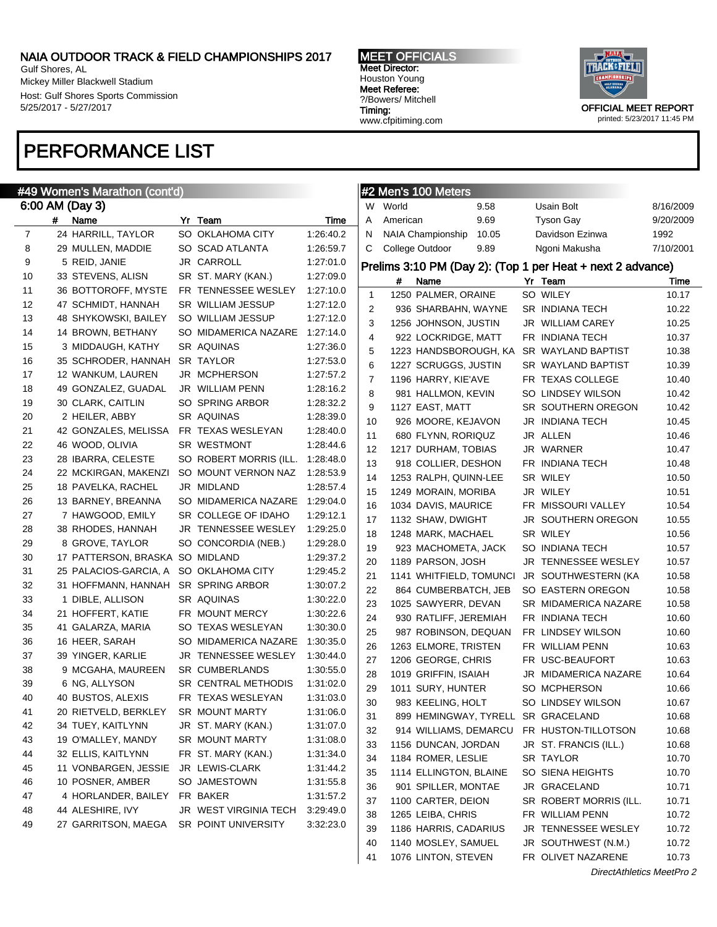Gulf Shores, AL Mickey Miller Blackwell Stadium Host: Gulf Shores Sports Commission 5/25/2017 - 5/27/2017

### PERFORMANCE LIST

### #49 Women's Marathon (cont'd)

|    |   | 6:00 AM (Day 3)       |                        |           | W  | World           |
|----|---|-----------------------|------------------------|-----------|----|-----------------|
|    | # | Name                  | Yr Team                | Time      | A  | Ameri           |
| 7  |   | 24 HARRILL, TAYLOR    | SO OKLAHOMA CITY       | 1:26:40.2 | N  | NAIA            |
| 8  |   | 29 MULLEN, MADDIE     | SO SCAD ATLANTA        | 1:26:59.7 | С  | Colleg          |
| 9  |   | 5 REID, JANIE         | JR CARROLL             | 1:27:01.0 |    | Prelims 3       |
| 10 |   | 33 STEVENS, ALISN     | SR ST. MARY (KAN.)     | 1:27:09.0 |    | #               |
| 11 |   | 36 BOTTOROFF, MYSTE   | FR TENNESSEE WESLEY    | 1:27:10.0 | 1  | 125             |
| 12 |   | 47 SCHMIDT, HANNAH    | SR WILLIAM JESSUP      | 1:27:12.0 | 2  | 93              |
| 13 |   | 48 SHYKOWSKI, BAILEY  | SO WILLIAM JESSUP      | 1:27:12.0 | 3  | 125             |
| 14 |   | 14 BROWN, BETHANY     | SO MIDAMERICA NAZARE   | 1:27:14.0 | 4  | 92              |
| 15 |   | 3 MIDDAUGH, KATHY     | SR AQUINAS             | 1:27:36.0 | 5  | 122             |
| 16 |   | 35 SCHRODER, HANNAH   | SR TAYLOR              | 1:27:53.0 | 6  | 122             |
| 17 |   | 12 WANKUM, LAUREN     | JR MCPHERSON           | 1:27:57.2 | 7  | 119             |
| 18 |   | 49 GONZALEZ, GUADAL   | JR WILLIAM PENN        | 1:28:16.2 | 8  | 98              |
| 19 |   | 30 CLARK, CAITLIN     | SO SPRING ARBOR        | 1:28:32.2 | 9  | 112             |
| 20 |   | 2 HEILER, ABBY        | SR AQUINAS             | 1:28:39.0 | 10 | 92 <sub>0</sub> |
| 21 |   | 42 GONZALES, MELISSA  | FR TEXAS WESLEYAN      | 1:28:40.0 | 11 | 68              |
| 22 |   | 46 WOOD, OLIVIA       | <b>SR WESTMONT</b>     | 1:28:44.6 | 12 | 121             |
| 23 |   | 28 IBARRA, CELESTE    | SO ROBERT MORRIS (ILL. | 1:28:48.0 | 13 | 91              |
| 24 |   | 22 MCKIRGAN, MAKENZI  | SO MOUNT VERNON NAZ    | 1:28:53.9 | 14 | 125             |
| 25 |   | 18 PAVELKA, RACHEL    | JR MIDLAND             | 1:28:57.4 | 15 | 124             |
| 26 |   | 13 BARNEY, BREANNA    | SO MIDAMERICA NAZARE   | 1:29:04.0 | 16 | 103             |
| 27 |   | 7 HAWGOOD, EMILY      | SR COLLEGE OF IDAHO    | 1:29:12.1 | 17 | 113             |
| 28 |   | 38 RHODES, HANNAH     | JR TENNESSEE WESLEY    | 1:29:25.0 | 18 | 124             |
| 29 |   | 8 GROVE, TAYLOR       | SO CONCORDIA (NEB.)    | 1:29:28.0 | 19 | $92^{\circ}$    |
| 30 |   | 17 PATTERSON, BRASKA  | SO MIDLAND             | 1:29:37.2 | 20 | 118             |
| 31 |   | 25 PALACIOS-GARCIA, A | SO OKLAHOMA CITY       | 1:29:45.2 | 21 | 114             |
| 32 |   | 31 HOFFMANN, HANNAH   | SR SPRING ARBOR        | 1:30:07.2 | 22 | 86              |
| 33 |   | 1 DIBLE, ALLISON      | SR AQUINAS             | 1:30:22.0 | 23 | 102             |
| 34 |   | 21 HOFFERT, KATIE     | FR MOUNT MERCY         | 1:30:22.6 | 24 | 93              |
| 35 |   | 41 GALARZA, MARIA     | SO TEXAS WESLEYAN      | 1:30:30.0 | 25 | 98              |
| 36 |   | 16 HEER, SARAH        | SO MIDAMERICA NAZARE   | 1:30:35.0 | 26 | 126             |
| 37 |   | 39 YINGER, KARLIE     | JR TENNESSEE WESLEY    | 1:30:44.0 | 27 | 120             |
| 38 |   | 9 MCGAHA, MAUREEN     | <b>SR CUMBERLANDS</b>  | 1:30:55.0 | 28 | 101             |
| 39 |   | 6 NG, ALLYSON         | SR CENTRAL METHODIS    | 1:31:02.0 | 29 | 101             |
| 40 |   | 40 BUSTOS, ALEXIS     | FR TEXAS WESLEYAN      | 1:31:03.0 | 30 | 98              |
| 41 |   | 20 RIETVELD, BERKLEY  | SR MOUNT MARTY         | 1:31:06.0 | 31 | 89              |
| 42 |   | 34 TUEY, KAITLYNN     | JR ST. MARY (KAN.)     | 1:31:07.0 | 32 | 91              |
| 43 |   | 19 O'MALLEY, MANDY    | <b>SR MOUNT MARTY</b>  | 1:31:08.0 | 33 | 115             |
| 44 |   | 32 ELLIS, KAITLYNN    | FR ST. MARY (KAN.)     | 1:31:34.0 | 34 | 118             |
| 45 |   | 11 VONBARGEN, JESSIE  | JR LEWIS-CLARK         | 1:31:44.2 | 35 | 111.            |
| 46 |   | 10 POSNER, AMBER      | SO JAMESTOWN           | 1:31:55.8 | 36 | 90              |
| 47 |   | 4 HORLANDER, BAILEY   | FR BAKER               | 1:31:57.2 | 37 | 110             |
| 48 |   | 44 ALESHIRE, IVY      | JR WEST VIRGINIA TECH  | 3:29:49.0 | 38 | 126             |
| 49 |   | 27 GARRITSON, MAEGA   | SR POINT UNIVERSITY    | 3:32:23.0 | 39 | 118             |
|    |   |                       |                        |           |    |                 |

MEET OFFICIALS Meet Director: Houston Young Meet Referee: ?/Bowers/ Mitchell Timing: www.cfpitiming.com



printed: 5/23/2017 11:45 PM

|    |          | #2 Men's 100 Meters     |       |    |                                                            |           |
|----|----------|-------------------------|-------|----|------------------------------------------------------------|-----------|
| W  | World    |                         | 9.58  |    | Usain Bolt                                                 | 8/16/2009 |
| A  | American |                         | 9.69  |    | Tyson Gay                                                  | 9/20/2009 |
| N  |          | NAIA Championship       | 10.05 |    | Davidson Ezinwa                                            | 1992      |
| С  |          | College Outdoor         | 9.89  |    | Ngoni Makusha                                              | 7/10/2001 |
|    |          |                         |       |    | Prelims 3:10 PM (Day 2): (Top 1 per Heat + next 2 advance) |           |
|    | #        | Name                    |       |    | Yr Team                                                    | Time      |
| 1  |          | 1250 PALMER, ORAINE     |       |    | SO WILEY                                                   | 10.17     |
| 2  |          | 936 SHARBAHN, WAYNE     |       |    | SR INDIANA TECH                                            | 10.22     |
| 3  |          | 1256 JOHNSON, JUSTIN    |       |    | <b>JR WILLIAM CAREY</b>                                    | 10.25     |
| 4  |          | 922 LOCKRIDGE, MATT     |       |    | FR INDIANA TECH                                            | 10.37     |
| 5  |          | 1223 HANDSBOROUGH, KA   |       |    | SR WAYLAND BAPTIST                                         | 10.38     |
| 6  |          | 1227 SCRUGGS, JUSTIN    |       |    | SR WAYLAND BAPTIST                                         | 10.39     |
| 7  |          | 1196 HARRY, KIE'AVE     |       |    | FR TEXAS COLLEGE                                           | 10.40     |
| 8  |          | 981 HALLMON, KEVIN      |       |    | SO LINDSEY WILSON                                          | 10.42     |
| 9  |          | 1127 EAST, MATT         |       |    | SR SOUTHERN OREGON                                         | 10.42     |
| 10 |          | 926 MOORE, KEJAVON      |       |    | JR INDIANA TECH                                            | 10.45     |
| 11 |          | 680 FLYNN, RORIQUZ      |       |    | JR ALLEN                                                   | 10.46     |
| 12 |          | 1217 DURHAM, TOBIAS     |       |    | JR WARNER                                                  | 10.47     |
| 13 |          | 918 COLLIER, DESHON     |       |    | FR INDIANA TECH                                            | 10.48     |
| 14 |          | 1253 RALPH, QUINN-LEE   |       |    | SR WILEY                                                   | 10.50     |
| 15 |          | 1249 MORAIN, MORIBA     |       |    | JR WILEY                                                   | 10.51     |
| 16 |          | 1034 DAVIS, MAURICE     |       |    | FR MISSOURI VALLEY                                         | 10.54     |
| 17 |          | 1132 SHAW, DWIGHT       |       |    | JR SOUTHERN OREGON                                         | 10.55     |
| 18 |          | 1248 MARK, MACHAEL      |       |    | SR WILEY                                                   | 10.56     |
| 19 |          | 923 MACHOMETA, JACK     |       |    | SO INDIANA TECH                                            | 10.57     |
| 20 |          | 1189 PARSON, JOSH       |       |    | JR TENNESSEE WESLEY                                        | 10.57     |
| 21 |          | 1141 WHITFIELD, TOMUNCI |       |    | JR SOUTHWESTERN (KA                                        | 10.58     |
| 22 |          | 864 CUMBERBATCH, JEB    |       |    | SO EASTERN OREGON                                          | 10.58     |
| 23 |          | 1025 SAWYERR, DEVAN     |       |    | SR MIDAMERICA NAZARE                                       | 10.58     |
| 24 |          | 930 RATLIFF, JEREMIAH   |       |    | FR INDIANA TECH                                            | 10.60     |
| 25 |          | 987 ROBINSON, DEQUAN    |       |    | FR LINDSEY WILSON                                          | 10.60     |
| 26 |          | 1263 ELMORE, TRISTEN    |       |    | FR WILLIAM PENN                                            | 10.63     |
| 27 |          | 1206 GEORGE, CHRIS      |       |    | FR USC-BEAUFORT                                            | 10.63     |
| 28 |          | 1019 GRIFFIN, ISAIAH    |       |    | JR MIDAMERICA NAZARE                                       | 10.64     |
| 29 |          | 1011 SURY, HUNTER       |       |    | SO MCPHERSON                                               | 10.66     |
| 30 |          | 983 KEELING, HOLT       |       |    | SO LINDSEY WILSON                                          | 10.67     |
| 31 |          | 899 HEMINGWAY, TYRELL   |       |    | SR GRACELAND                                               | 10.68     |
| 32 |          | 914 WILLIAMS, DEMARCU   |       |    | FR HUSTON-TILLOTSON                                        | 10.68     |
| 33 |          | 1156 DUNCAN, JORDAN     |       |    | JR ST. FRANCIS (ILL.)                                      | 10.68     |
| 34 |          | 1184 ROMER, LESLIE      |       |    | SR TAYLOR                                                  | 10.70     |
| 35 |          | 1114 ELLINGTON, BLAINE  |       |    | SO SIENA HEIGHTS                                           | 10.70     |
| 36 |          | 901 SPILLER, MONTAE     |       |    | JR GRACELAND                                               | 10.71     |
| 37 |          | 1100 CARTER, DEION      |       |    | SR ROBERT MORRIS (ILL.                                     | 10.71     |
| 38 |          | 1265 LEIBA, CHRIS       |       |    | FR WILLIAM PENN                                            | 10.72     |
| 39 |          | 1186 HARRIS, CADARIUS   |       |    | JR TENNESSEE WESLEY                                        | 10.72     |
| 40 |          | 1140 MOSLEY, SAMUEL     |       | JR | SOUTHWEST (N.M.)                                           | 10.72     |
| 41 |          | 1076 LINTON, STEVEN     |       |    | FR OLIVET NAZARENE                                         | 10.73     |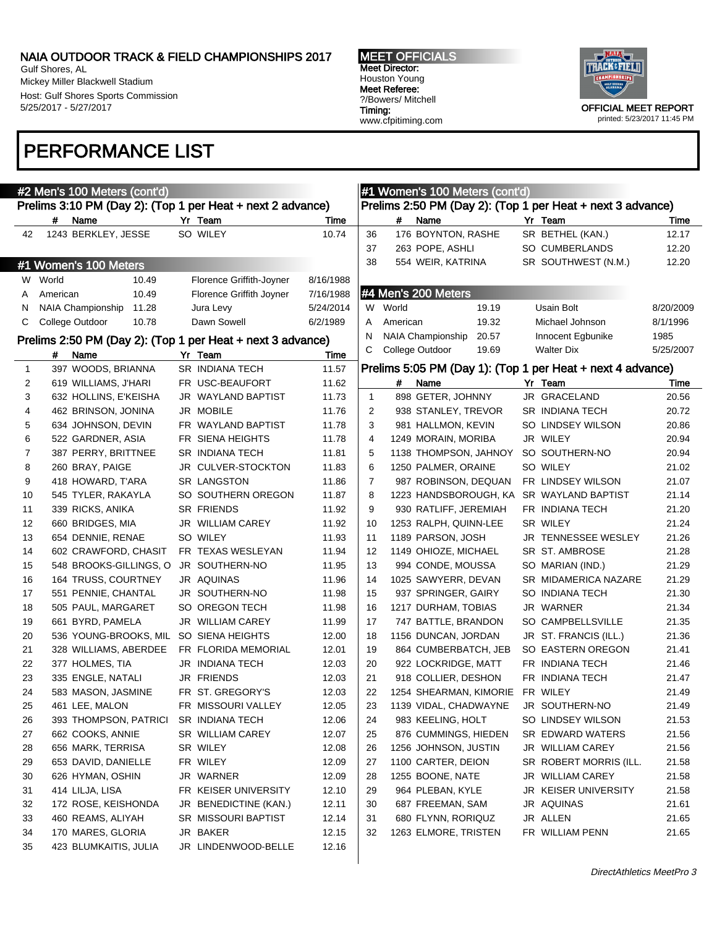Gulf Shores, AL Mickey Miller Blackwell Stadium Host: Gulf Shores Sports Commission 5/25/2017 - 5/27/2017

### PERFORMANCE LIST



|             |          | #2 Men's 100 Meters (cont'd)          |                                                            |           |                |          | #1 Women's 100 Meters (cont'd) |       |                                                            |           |
|-------------|----------|---------------------------------------|------------------------------------------------------------|-----------|----------------|----------|--------------------------------|-------|------------------------------------------------------------|-----------|
|             |          |                                       | Prelims 3:10 PM (Day 2): (Top 1 per Heat + next 2 advance) |           |                |          |                                |       | Prelims 2:50 PM (Day 2): (Top 1 per Heat + next 3 advance) |           |
|             | #        | Name                                  | Yr Team                                                    | Time      |                | #        | Name                           |       | Yr Team                                                    | Time      |
| 42          |          | 1243 BERKLEY, JESSE                   | SO WILEY                                                   | 10.74     | 36             |          | 176 BOYNTON, RASHE             |       | SR BETHEL (KAN.)                                           | 12.17     |
|             |          |                                       |                                                            |           | 37             |          | 263 POPE, ASHLI                |       | SO CUMBERLANDS                                             | 12.20     |
|             |          | #1 Women's 100 Meters                 |                                                            |           | 38             |          | 554 WEIR, KATRINA              |       | SR SOUTHWEST (N.M.)                                        | 12.20     |
|             | W World  | 10.49                                 | Florence Griffith-Joyner                                   | 8/16/1988 |                |          |                                |       |                                                            |           |
| A           | American | 10.49                                 | Florence Griffith Joyner                                   | 7/16/1988 |                |          | #4 Men's 200 Meters            |       |                                                            |           |
| N           |          | NAIA Championship<br>11.28            | Jura Levy                                                  | 5/24/2014 |                | W World  |                                | 19.19 | Usain Bolt                                                 | 8/20/2009 |
| C           |          | College Outdoor<br>10.78              | Dawn Sowell                                                | 6/2/1989  | A              | American |                                | 19.32 | Michael Johnson                                            | 8/1/1996  |
|             |          |                                       | Prelims 2:50 PM (Day 2): (Top 1 per Heat + next 3 advance) |           | N              |          | NAIA Championship              | 20.57 | Innocent Egbunike                                          | 1985      |
|             | #        | Name                                  | Yr Team                                                    | Time      | C              |          | College Outdoor                | 19.69 | <b>Walter Dix</b>                                          | 5/25/2007 |
| $\mathbf 1$ |          | 397 WOODS, BRIANNA                    | SR INDIANA TECH                                            | 11.57     |                |          |                                |       | Prelims 5:05 PM (Day 1): (Top 1 per Heat + next 4 advance) |           |
| 2           |          | 619 WILLIAMS, J'HARI                  | FR USC-BEAUFORT                                            | 11.62     |                | #        | Name                           |       | Yr Team                                                    | Time      |
| 3           |          | 632 HOLLINS, E'KEISHA                 | JR WAYLAND BAPTIST                                         | 11.73     | $\mathbf{1}$   |          | 898 GETER, JOHNNY              |       | JR GRACELAND                                               | 20.56     |
| 4           |          | 462 BRINSON, JONINA                   | JR MOBILE                                                  | 11.76     | 2              |          | 938 STANLEY, TREVOR            |       | SR INDIANA TECH                                            | 20.72     |
| 5           |          | 634 JOHNSON, DEVIN                    | FR WAYLAND BAPTIST                                         | 11.78     | 3              |          | 981 HALLMON, KEVIN             |       | SO LINDSEY WILSON                                          | 20.86     |
| 6           |          | 522 GARDNER, ASIA                     | FR SIENA HEIGHTS                                           | 11.78     | $\overline{4}$ |          | 1249 MORAIN, MORIBA            |       | JR WILEY                                                   | 20.94     |
| 7           |          | 387 PERRY, BRITTNEE                   | SR INDIANA TECH                                            | 11.81     | 5              |          | 1138 THOMPSON, JAHNOY          |       | SO SOUTHERN-NO                                             | 20.94     |
| 8           |          | 260 BRAY, PAIGE                       | JR CULVER-STOCKTON                                         | 11.83     | 6              |          | 1250 PALMER, ORAINE            |       | SO WILEY                                                   | 21.02     |
| 9           |          | 418 HOWARD, T'ARA                     | <b>SR LANGSTON</b>                                         | 11.86     | 7              |          | 987 ROBINSON, DEQUAN           |       | FR LINDSEY WILSON                                          | 21.07     |
| 10          |          | 545 TYLER, RAKAYLA                    | SO SOUTHERN OREGON                                         | 11.87     | 8              |          | 1223 HANDSBOROUGH, KA          |       | SR WAYLAND BAPTIST                                         | 21.14     |
| 11          |          | 339 RICKS, ANIKA                      | SR FRIENDS                                                 | 11.92     | 9              |          | 930 RATLIFF, JEREMIAH          |       | FR INDIANA TECH                                            | 21.20     |
| 12          |          | 660 BRIDGES, MIA                      | JR WILLIAM CAREY                                           | 11.92     | 10             |          | 1253 RALPH, QUINN-LEE          |       | SR WILEY                                                   | 21.24     |
| 13          |          | 654 DENNIE, RENAE                     | SO WILEY                                                   | 11.93     | 11             |          | 1189 PARSON, JOSH              |       | JR TENNESSEE WESLEY                                        | 21.26     |
| 14          |          | 602 CRAWFORD, CHASIT                  | FR TEXAS WESLEYAN                                          | 11.94     | 12             |          | 1149 OHIOZE, MICHAEL           |       | SR ST. AMBROSE                                             | 21.28     |
| 15          |          | 548 BROOKS-GILLINGS, O                | JR SOUTHERN-NO                                             | 11.95     | 13             |          | 994 CONDE, MOUSSA              |       | SO MARIAN (IND.)                                           | 21.29     |
| 16          |          | 164 TRUSS, COURTNEY                   | JR AQUINAS                                                 | 11.96     | 14             |          | 1025 SAWYERR, DEVAN            |       | SR MIDAMERICA NAZARE                                       | 21.29     |
| 17          |          | 551 PENNIE, CHANTAL                   | JR SOUTHERN-NO                                             | 11.98     | 15             |          | 937 SPRINGER, GAIRY            |       | SO INDIANA TECH                                            | 21.30     |
| 18          |          | 505 PAUL, MARGARET                    | SO OREGON TECH                                             | 11.98     | 16             |          | 1217 DURHAM, TOBIAS            |       | JR WARNER                                                  | 21.34     |
| 19          |          | 661 BYRD, PAMELA                      | JR WILLIAM CAREY                                           | 11.99     | 17             |          | 747 BATTLE, BRANDON            |       | SO CAMPBELLSVILLE                                          | 21.35     |
| 20          |          | 536 YOUNG-BROOKS, MIL                 | SO SIENA HEIGHTS                                           | 12.00     | 18             |          | 1156 DUNCAN, JORDAN            |       | JR ST. FRANCIS (ILL.)                                      | 21.36     |
| 21          |          | 328 WILLIAMS, ABERDEE                 | FR FLORIDA MEMORIAL                                        | 12.01     | 19             |          | 864 CUMBERBATCH, JEB           |       | SO EASTERN OREGON                                          | 21.41     |
| 22          |          | 377 HOLMES, TIA                       | JR INDIANA TECH                                            | 12.03     | 20             |          | 922 LOCKRIDGE, MATT            |       | FR INDIANA TECH                                            | 21.46     |
| 23          |          | 335 ENGLE, NATALI                     | JR FRIENDS                                                 | 12.03     | 21             |          | 918 COLLIER, DESHON            |       | FR INDIANA TECH                                            | 21.47     |
| 24          |          | 583 MASON, JASMINE                    | FR ST. GREGORY'S                                           | 12.03     | 22             |          | 1254 SHEARMAN, KIMORIE         |       | FR WILEY                                                   | 21.49     |
| 25          |          | 461 LEE. MALON                        | FR MISSOURI VALLEY                                         | 12.05     | 23             |          | 1139 VIDAL, CHADWAYNE          |       | JR SOUTHERN-NO                                             | 21.49     |
| 26          |          | 393 THOMPSON, PATRICI SR INDIANA TECH |                                                            | 12.06     | 24             |          | 983 KEELING, HOLT              |       | SO LINDSEY WILSON                                          | 21.53     |
| 27          |          | 662 COOKS, ANNIE                      | SR WILLIAM CAREY                                           | 12.07     | 25             |          | 876 CUMMINGS, HIEDEN           |       | SR EDWARD WATERS                                           | 21.56     |
| 28          |          | 656 MARK, TERRISA                     | SR WILEY                                                   | 12.08     | 26             |          | 1256 JOHNSON, JUSTIN           |       | JR WILLIAM CAREY                                           | 21.56     |
| 29          |          | 653 DAVID, DANIELLE                   | FR WILEY                                                   | 12.09     | 27             |          | 1100 CARTER, DEION             |       | SR ROBERT MORRIS (ILL.                                     | 21.58     |
| 30          |          | 626 HYMAN, OSHIN                      | JR WARNER                                                  | 12.09     | 28             |          | 1255 BOONE, NATE               |       | JR WILLIAM CAREY                                           | 21.58     |
| 31          |          | 414 LILJA, LISA                       | FR KEISER UNIVERSITY                                       | 12.10     | 29             |          | 964 PLEBAN, KYLE               |       | JR KEISER UNIVERSITY                                       | 21.58     |
| 32          |          | 172 ROSE, KEISHONDA                   | JR BENEDICTINE (KAN.)                                      | 12.11     | 30             |          | 687 FREEMAN, SAM               |       | JR AQUINAS                                                 | 21.61     |
| 33          |          | 460 REAMS, ALIYAH                     | SR MISSOURI BAPTIST                                        | 12.14     | 31             |          | 680 FLYNN, RORIQUZ             |       | JR ALLEN                                                   | 21.65     |
| 34          |          | 170 MARES, GLORIA                     | JR BAKER                                                   | 12.15     | 32             |          | 1263 ELMORE, TRISTEN           |       | FR WILLIAM PENN                                            | 21.65     |
| 35.         |          | 423 BILIMKAITIS IIII IA               | IR I INDENWOOD-RELLE                                       | 12.16     |                |          |                                |       |                                                            |           |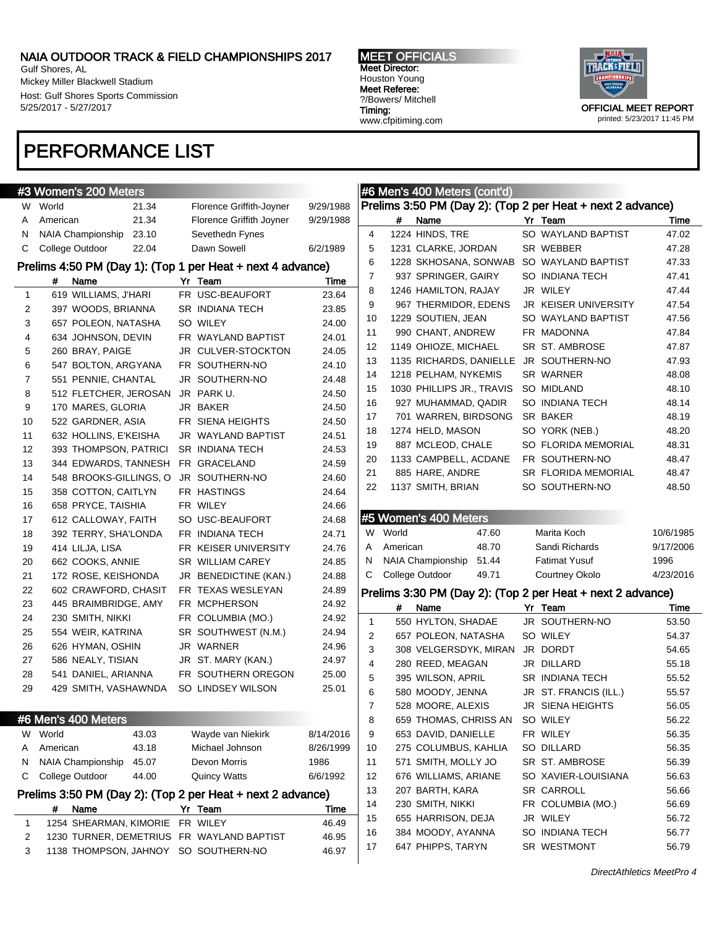Gulf Shores, AL Mickey Miller Blackwell Stadium Host: Gulf Shores Sports Commission 5/25/2017 - 5/27/2017

### PERFORMANCE LIST

MEET OFFICIALS Meet Director: Houston Young Meet Referee: ?/Bowers/ Mitchell Timing: www.cfpitiming.com



|              | #3 Women's 200 Meters                                                             |                                 |                   |          | #6 Men's 400 Meters (cont'd)                               |                                      |                |
|--------------|-----------------------------------------------------------------------------------|---------------------------------|-------------------|----------|------------------------------------------------------------|--------------------------------------|----------------|
| W            | World<br>21.34                                                                    | Florence Griffith-Joyner        | 9/29/1988         |          | Prelims 3:50 PM (Day 2): (Top 2 per Heat + next 2 advance) |                                      |                |
| A            | 21.34<br>American                                                                 | Florence Griffith Joyner        | 9/29/1988         |          | #<br>Name                                                  | Yr Team                              | Time           |
| N            | NAIA Championship<br>23.10                                                        | Sevethedn Fynes                 |                   | 4        | 1224 HINDS, TRE                                            | SO WAYLAND BAPTIST                   | 47.02          |
| C            | College Outdoor<br>22.04                                                          | Dawn Sowell                     | 6/2/1989          | 5        | 1231 CLARKE, JORDAN                                        | SR WEBBER                            | 47.28          |
|              | Prelims 4:50 PM (Day 1): (Top 1 per Heat + next 4 advance)                        |                                 |                   | 6        | 1228 SKHOSANA, SONWAB                                      | SO WAYLAND BAPTIST                   | 47.33          |
|              | #<br>Name                                                                         | Yr Team                         | Time              | 7        | 937 SPRINGER, GAIRY                                        | SO INDIANA TECH                      | 47.41          |
| $\mathbf{1}$ | 619 WILLIAMS, J'HARI                                                              | FR USC-BEAUFORT                 | 23.64             | 8        | 1246 HAMILTON, RAJAY                                       | JR WILEY                             | 47.44          |
| 2            | 397 WOODS, BRIANNA                                                                | <b>SR INDIANA TECH</b>          | 23.85             | 9        | 967 THERMIDOR, EDENS                                       | <b>JR KEISER UNIVERSITY</b>          | 47.54          |
| 3            | 657 POLEON, NATASHA                                                               | SO WILEY                        | 24.00             | 10       | 1229 SOUTIEN, JEAN                                         | SO WAYLAND BAPTIST                   | 47.56          |
| 4            | 634 JOHNSON, DEVIN                                                                | FR WAYLAND BAPTIST              | 24.01             | 11       | 990 CHANT, ANDREW                                          | FR MADONNA                           | 47.84          |
| 5            | 260 BRAY, PAIGE                                                                   | JR CULVER-STOCKTON              | 24.05             | 12       | 1149 OHIOZE, MICHAEL                                       | SR ST. AMBROSE                       | 47.87          |
| 6            | 547 BOLTON, ARGYANA                                                               | FR SOUTHERN-NO                  | 24.10             | 13       | 1135 RICHARDS, DANIELLE                                    | JR SOUTHERN-NO                       | 47.93          |
| 7            | 551 PENNIE, CHANTAL                                                               | JR SOUTHERN-NO                  | 24.48             | 14       | 1218 PELHAM, NYKEMIS                                       | SR WARNER                            | 48.08          |
| 8            | 512 FLETCHER, JEROSAN                                                             | JR PARK U.                      | 24.50             | 15       | 1030 PHILLIPS JR., TRAVIS                                  | SO MIDLAND                           | 48.10          |
| 9            | 170 MARES, GLORIA                                                                 | JR BAKER                        | 24.50             | 16       | 927 MUHAMMAD, QADIR                                        | SO INDIANA TECH                      | 48.14          |
| 10           | 522 GARDNER, ASIA                                                                 | FR SIENA HEIGHTS                | 24.50             | 17       | 701 WARREN, BIRDSONG                                       | SR BAKER                             | 48.19          |
| 11           | 632 HOLLINS, E'KEISHA                                                             | JR WAYLAND BAPTIST              | 24.51             | 18       | 1274 HELD, MASON                                           | SO YORK (NEB.)                       | 48.20          |
| 12           | 393 THOMPSON, PATRICI                                                             | <b>SR INDIANA TECH</b>          | 24.53             | 19       | 887 MCLEOD, CHALE                                          | SO FLORIDA MEMORIAL                  | 48.31          |
| 13           | 344 EDWARDS, TANNESH                                                              | FR GRACELAND                    | 24.59             | 20       | 1133 CAMPBELL, ACDANE                                      | FR SOUTHERN-NO                       | 48.47          |
| 14           | 548 BROOKS-GILLINGS, O                                                            | JR SOUTHERN-NO                  | 24.60             | 21       | 885 HARE, ANDRE                                            | <b>SR FLORIDA MEMORIAL</b>           | 48.47          |
| 15           | 358 COTTON, CAITLYN                                                               | FR HASTINGS                     | 24.64             | 22       | 1137 SMITH, BRIAN                                          | SO SOUTHERN-NO                       | 48.50          |
| 16           | 658 PRYCE, TAISHIA                                                                | FR WILEY                        | 24.66             |          |                                                            |                                      |                |
| 17           | 612 CALLOWAY, FAITH                                                               | SO USC-BEAUFORT                 | 24.68             |          | #5 Women's 400 Meters                                      |                                      |                |
| 18           | 392 TERRY, SHA'LONDA                                                              | FR INDIANA TECH                 | 24.71             |          | W World<br>47.60                                           | Marita Koch                          | 10/6/1985      |
|              |                                                                                   |                                 |                   |          | American                                                   |                                      |                |
| 19           | 414 LILJA, LISA                                                                   | FR KEISER UNIVERSITY            | 24.76             | A        | 48.70                                                      | Sandi Richards                       | 9/17/2006      |
| 20           | 662 COOKS, ANNIE                                                                  | <b>SR WILLIAM CAREY</b>         | 24.85             | N        | <b>NAIA Championship</b><br>51.44                          | <b>Fatimat Yusuf</b>                 | 1996           |
| 21           | 172 ROSE, KEISHONDA                                                               | JR BENEDICTINE (KAN.)           | 24.88             | C        | College Outdoor<br>49.71                                   | Courtney Okolo                       | 4/23/2016      |
| 22           | 602 CRAWFORD, CHASIT                                                              | FR TEXAS WESLEYAN               | 24.89             |          |                                                            |                                      |                |
| 23           | 445 BRAIMBRIDGE, AMY                                                              | FR MCPHERSON                    | 24.92             |          | Prelims 3:30 PM (Day 2): (Top 2 per Heat + next 2 advance) |                                      |                |
| 24           | 230 SMITH, NIKKI                                                                  | FR COLUMBIA (MO.)               | 24.92             |          | #<br>Name                                                  | Yr Team                              | Time           |
| 25           | 554 WEIR, KATRINA                                                                 | SR SOUTHWEST (N.M.)             | 24.94             | 1        | 550 HYLTON, SHADAE                                         | JR SOUTHERN-NO                       | 53.50          |
| 26           | 626 HYMAN, OSHIN                                                                  | JR WARNER                       | 24.96             | 2        | 657 POLEON, NATASHA                                        | SO WILEY                             | 54.37          |
| 27           | 586 NEALY, TISIAN                                                                 | JR ST. MARY (KAN.)              | 24.97             | 3        | 308 VELGERSDYK, MIRAN                                      | JR DORDT                             | 54.65          |
| 28           | 541 DANIEL, ARIANNA                                                               | FR SOUTHERN OREGON              | 25.00             | 4        | 280 REED, MEAGAN                                           | JR DILLARD<br><b>SR INDIANA TECH</b> | 55.18          |
| 29           | 429 SMITH, VASHAWNDA                                                              | SO LINDSEY WILSON               | 25.01             | 5<br>6   | 395 WILSON, APRIL                                          |                                      | 55.52          |
|              |                                                                                   |                                 |                   |          | 580 MOODY, JENNA                                           | JR ST. FRANCIS (ILL.)                | 55.57          |
|              |                                                                                   |                                 |                   | 7        | 528 MOORE, ALEXIS                                          | JR SIENA HEIGHTS                     | 56.05          |
|              | #6 Men's 400 Meters                                                               |                                 |                   | 8        | 659 THOMAS, CHRISS AN                                      | SO WILEY                             | 56.22          |
|              | W World<br>43.03                                                                  | Wayde van Niekirk               | 8/14/2016         | 9        | 653 DAVID, DANIELLE                                        | FR WILEY                             | 56.35          |
| A<br>N       | 43.18<br>American<br>45.07                                                        | Michael Johnson<br>Devon Morris | 8/26/1999<br>1986 | 10<br>11 | 275 COLUMBUS, KAHLIA                                       | SO DILLARD                           | 56.35          |
|              | NAIA Championship                                                                 |                                 |                   |          | 571 SMITH, MOLLY JO                                        | SR ST. AMBROSE                       | 56.39          |
| C            | College Outdoor<br>44.00                                                          | <b>Quincy Watts</b>             | 6/6/1992          | 12       | 676 WILLIAMS, ARIANE<br>207 BARTH, KARA                    | SO XAVIER-LOUISIANA<br>SR CARROLL    | 56.63          |
|              | Prelims 3:50 PM (Day 2): (Top 2 per Heat + next 2 advance)                        |                                 |                   | 13       |                                                            | FR COLUMBIA (MO.)                    | 56.66          |
|              | Name<br>#                                                                         | Yr Team                         | Time              | 14       | 230 SMITH, NIKKI                                           |                                      | 56.69          |
| 1            | 1254 SHEARMAN, KIMORIE FR WILEY                                                   |                                 | 46.49             | 15       | 655 HARRISON, DEJA                                         | JR WILEY                             | 56.72          |
| 2<br>3       | 1230 TURNER, DEMETRIUS FR WAYLAND BAPTIST<br>1138 THOMPSON, JAHNOY SO SOUTHERN-NO |                                 | 46.95<br>46.97    | 16<br>17 | 384 MOODY, AYANNA<br>647 PHIPPS, TARYN                     | SO INDIANA TECH<br>SR WESTMONT       | 56.77<br>56.79 |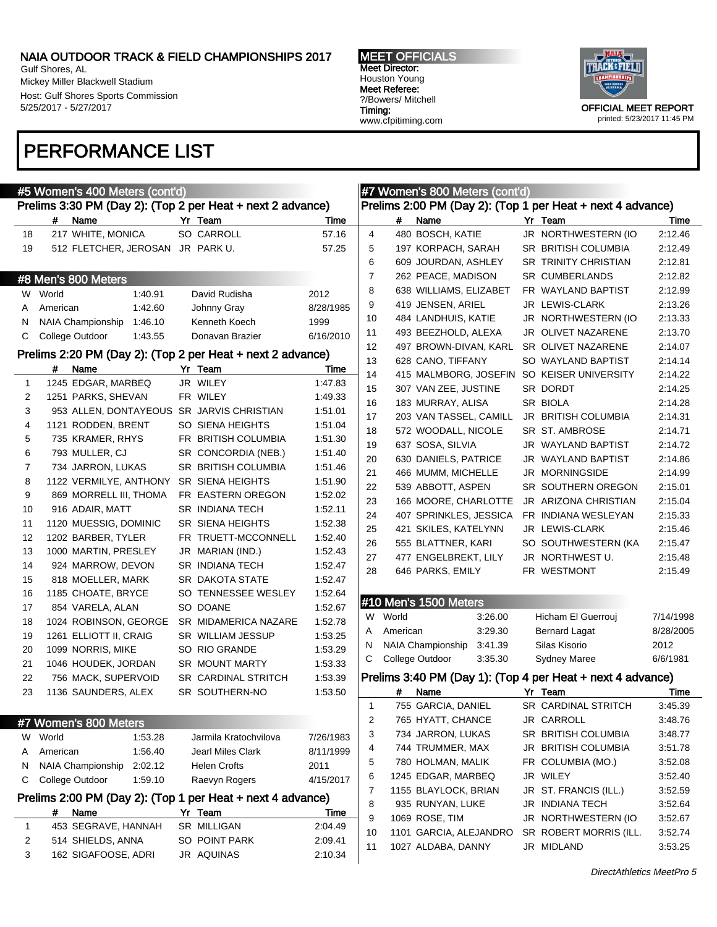Gulf Shores, AL Mickey Miller Blackwell Stadium Host: Gulf Shores Sports Commission 5/25/2017 - 5/27/2017

### PERFORMANCE LIST

#5 Women's 400 Meters (cont'd)

MEET OFFICIALS Meet Director: Houston Young Meet Referee: ?/Bowers/ Mitchell Timing: www.cfpitiming.com



|            |    |          | #7 Women's 800 Meters (cont'd) |         |                                                            |           |
|------------|----|----------|--------------------------------|---------|------------------------------------------------------------|-----------|
|            |    |          |                                |         | Prelims 2:00 PM (Day 2): (Top 1 per Heat + next 4 advance) |           |
| ïme        |    | #        | Name                           |         | Yr Team                                                    | Time      |
| 7.16       | 4  |          | 480 BOSCH, KATIE               |         | JR NORTHWESTERN (IO                                        | 2:12.46   |
| 7.25       | 5  |          | 197 KORPACH, SARAH             |         | SR BRITISH COLUMBIA                                        | 2:12.49   |
|            | 6  |          | 609 JOURDAN, ASHLEY            |         | <b>SR TRINITY CHRISTIAN</b>                                | 2:12.81   |
|            | 7  |          | 262 PEACE, MADISON             |         | <b>SR CUMBERLANDS</b>                                      | 2:12.82   |
|            | 8  |          | 638 WILLIAMS, ELIZABET         |         | FR WAYLAND BAPTIST                                         | 2:12.99   |
| 1985       | 9  |          | 419 JENSEN, ARIEL              |         | JR LEWIS-CLARK                                             | 2:13.26   |
|            | 10 |          | 484 LANDHUIS, KATIE            |         | JR NORTHWESTERN (IO                                        | 2:13.33   |
|            | 11 |          | 493 BEEZHOLD, ALEXA            |         | JR OLIVET NAZARENE                                         | 2:13.70   |
| 2010       | 12 |          | 497 BROWN-DIVAN, KARL          |         | SR OLIVET NAZARENE                                         | 2:14.07   |
|            | 13 |          | 628 CANO, TIFFANY              |         | SO WAYLAND BAPTIST                                         | 2:14.14   |
| ïme        | 14 |          |                                |         | 415 MALMBORG, JOSEFIN SO KEISER UNIVERSITY                 | 2:14.22   |
| 7.83       | 15 |          | 307 VAN ZEE, JUSTINE           |         | SR DORDT                                                   | 2:14.25   |
| 9.33       | 16 |          | 183 MURRAY, ALISA              |         | SR BIOLA                                                   | 2:14.28   |
| 01. ا      | 17 |          | 203 VAN TASSEL, CAMILL         |         | JR BRITISH COLUMBIA                                        | 2:14.31   |
| 1.04       | 18 |          | 572 WOODALL, NICOLE            |         | SR ST. AMBROSE                                             | 2:14.71   |
| 1.30       | 19 |          | 637 SOSA, SILVIA               |         | JR WAYLAND BAPTIST                                         | 2:14.72   |
| 40. ا      | 20 |          | 630 DANIELS, PATRICE           |         | JR WAYLAND BAPTIST                                         | 2:14.86   |
| 46. ا      | 21 |          | 466 MUMM, MICHELLE             |         | <b>JR MORNINGSIDE</b>                                      | 2:14.99   |
| 90.ا       | 22 |          | 539 ABBOTT, ASPEN              |         | SR SOUTHERN OREGON                                         | 2:15.01   |
| 2.02       | 23 |          | 166 MOORE, CHARLOTTE           |         | JR ARIZONA CHRISTIAN                                       | 2:15.04   |
| 2.11       | 24 |          | 407 SPRINKLES, JESSICA         |         | FR INDIANA WESLEYAN                                        | 2:15.33   |
| 2.38       | 25 |          | 421 SKILES, KATELYNN           |         | JR LEWIS-CLARK                                             |           |
| 2.40       | 26 |          | 555 BLATTNER, KARI             |         | SO SOUTHWESTERN (KA                                        | 2:15.46   |
| 2.43       |    |          |                                |         |                                                            | 2:15.47   |
| 2.47       | 27 |          | 477 ENGELBREKT, LILY           |         | JR NORTHWEST U.                                            | 2:15.48   |
| 2.47       | 28 |          | 646 PARKS, EMILY               |         | FR WESTMONT                                                | 2:15.49   |
| 2.64       |    |          |                                |         |                                                            |           |
| 2.67       |    |          | #10 Men's 1500 Meters          |         |                                                            |           |
| 2.78       | W  | World    |                                | 3:26.00 | Hicham El Guerrouj                                         | 7/14/1998 |
| 3.25       | A  | American |                                | 3.29.30 | <b>Bernard Lagat</b>                                       | 8/28/2005 |
| 3.29       | N  |          | NAIA Championship 3:41.39      |         | Silas Kisorio                                              | 2012      |
| 3.33       | С  |          | College Outdoor                | 3:35.30 | <b>Sydney Maree</b>                                        | 6/6/1981  |
| 3.39       |    |          |                                |         | Prelims 3:40 PM (Day 1): (Top 4 per Heat + next 4 advance) |           |
| 3.50       |    | #        | Name                           |         | Yr Team                                                    | Time      |
|            | 1  |          | 755 GARCIA, DANIEL             |         | SR CARDINAL STRITCH                                        | 3:45.39   |
|            | 2  |          | 765 HYATT, CHANCE              |         | JR CARROLL                                                 | 3:48.76   |
| 1983       | 3  |          | 734 JARRON, LUKAS              |         | SR BRITISH COLUMBIA                                        | 3:48.77   |
|            | 4  |          | 744 TRUMMER, MAX               |         | JR BRITISH COLUMBIA                                        | 3:51.78   |
| 1999       | 5  |          | 780 HOLMAN, MALIK              |         | FR COLUMBIA (MO.)                                          | 3:52.08   |
|            | 6  |          | 1245 EDGAR, MARBEQ             |         | JR WILEY                                                   | 3:52.40   |
| 2017       | 7  |          | 1155 BLAYLOCK, BRIAN           |         | JR ST. FRANCIS (ILL.)                                      | 3:52.59   |
|            | 8  |          | 935 RUNYAN, LUKE               |         | JR INDIANA TECH                                            | 3:52.64   |
| <u>ime</u> | 9  |          | 1069 ROSE, TIM                 |         | JR NORTHWESTERN (IO                                        | 3:52.67   |
| 4.49       | 10 |          | 1101 GARCIA, ALEJANDRO         |         | SR ROBERT MORRIS (ILL.                                     | 3:52.74   |
| 9.41       | 11 |          | 1027 ALDABA, DANNY             |         | JR MIDLAND                                                 | 3:53.25   |
| 04         |    |          |                                |         |                                                            |           |

# Prelims 3:30 PM (Day 2): (Top 2 per Heat + next 2 advance) # Name Yr Team Times 18 217 WHITE, MONICA SO CARROLL 57 19 512 FLETCHER, JEROSAN JR PARK U. 57

|    | #8 Men's 800 Meters    |         |                                                            |           |
|----|------------------------|---------|------------------------------------------------------------|-----------|
| W  | World                  | 1:40.91 | David Rudisha                                              | 2012      |
| A  | American               | 1:42.60 | Johnny Gray                                                | 8/28/1985 |
| Ν  | NAIA Championship      | 1:46.10 | Kenneth Koech                                              | 1999      |
| С  | College Outdoor        | 1:43.55 | Donavan Brazier                                            | 6/16/2010 |
|    |                        |         | Prelims 2:20 PM (Day 2): (Top 2 per Heat + next 2 advance) |           |
|    | Name<br>#              |         | Yr Team                                                    | Time      |
| 1  | 1245 EDGAR, MARBEQ     |         | JR WILEY                                                   | 1:47.83   |
| 2  | 1251 PARKS, SHEVAN     |         | FR WILEY                                                   | 1:49.33   |
| 3  | 953 ALLEN, DONTAYEOUS  |         | SR JARVIS CHRISTIAN                                        | 1:51.01   |
| 4  | 1121 RODDEN, BRENT     |         | SO SIENA HEIGHTS                                           | 1:51.04   |
| 5  | 735 KRAMER, RHYS       |         | FR BRITISH COLUMBIA                                        | 1:51.30   |
| 6  | 793 MULLER, CJ         |         | SR CONCORDIA (NEB.)                                        | 1:51.40   |
| 7  | 734 JARRON, LUKAS      |         | SR BRITISH COLUMBIA                                        | 1:51.46   |
| 8  | 1122 VERMILYE, ANTHONY |         | SR SIENA HEIGHTS                                           | 1:51.90   |
| 9  | 869 MORRELL III, THOMA |         | FR EASTERN OREGON                                          | 1:52.02   |
| 10 | 916 ADAIR, MATT        |         | SR INDIANA TECH                                            | 1:52.11   |
| 11 | 1120 MUESSIG, DOMINIC  |         | <b>SR SIENA HEIGHTS</b>                                    | 1:52.38   |
| 12 | 1202 BARBER, TYLER     |         | FR TRUETT-MCCONNELL                                        | 1:52.40   |
| 13 | 1000 MARTIN, PRESLEY   |         | JR MARIAN (IND.)                                           | 1:52.43   |
| 14 | 924 MARROW, DEVON      |         | SR INDIANA TECH                                            | 1:52.47   |
| 15 | 818 MOELLER, MARK      |         | <b>SR DAKOTA STATE</b>                                     | 1:52.47   |
| 16 | 1185 CHOATE, BRYCE     |         | SO TENNESSEE WESLEY                                        | 1:52.64   |
| 17 | 854 VARELA, ALAN       |         | SO DOANE                                                   | 1:52.67   |
| 18 | 1024 ROBINSON, GEORGE  |         | SR MIDAMERICA NAZARE                                       | 1:52.78   |
| 19 | 1261 ELLIOTT II, CRAIG |         | <b>SR WILLIAM JESSUP</b>                                   | 1:53.25   |
| 20 | 1099 NORRIS, MIKE      |         | SO RIO GRANDE                                              | 1:53.29   |
| 21 | 1046 HOUDEK, JORDAN    |         | <b>SR MOUNT MARTY</b>                                      | 1:53.33   |
| 22 | 756 MACK, SUPERVOID    |         | SR CARDINAL STRITCH                                        | 1:53.39   |
| 23 | 1136 SAUNDERS, ALEX    |         | SR SOUTHERN-NO                                             | 1:53.50   |
|    |                        |         |                                                            |           |
|    | #7 Women's 800 Meters  |         |                                                            |           |
| W  | World                  | 1:53.28 | Jarmila Kratochvilova                                      | 7/26/1983 |
| A  | American               | 1:56.40 | Jearl Miles Clark                                          | 8/11/1999 |
| Ν  | NAIA Championship      | 2:02.12 | <b>Helen Crofts</b>                                        | 2011      |
| С  | College Outdoor        | 1:59.10 | Raevyn Rogers                                              | 4/15/2017 |
|    |                        |         | Prelims 2:00 PM (Day 2): (Top 1 per Heat + next 4 advance) |           |

|   | # | Name                | Yr Team       | Time    |
|---|---|---------------------|---------------|---------|
|   |   | 453 SEGRAVE, HANNAH | SR MILLIGAN   | 2:04.49 |
|   |   | 514 SHIELDS, ANNA   | SO POINT PARK | 2:09.41 |
| 3 |   | 162 SIGAFOOSE, ADRI | JR AQUINAS    | 2:10.34 |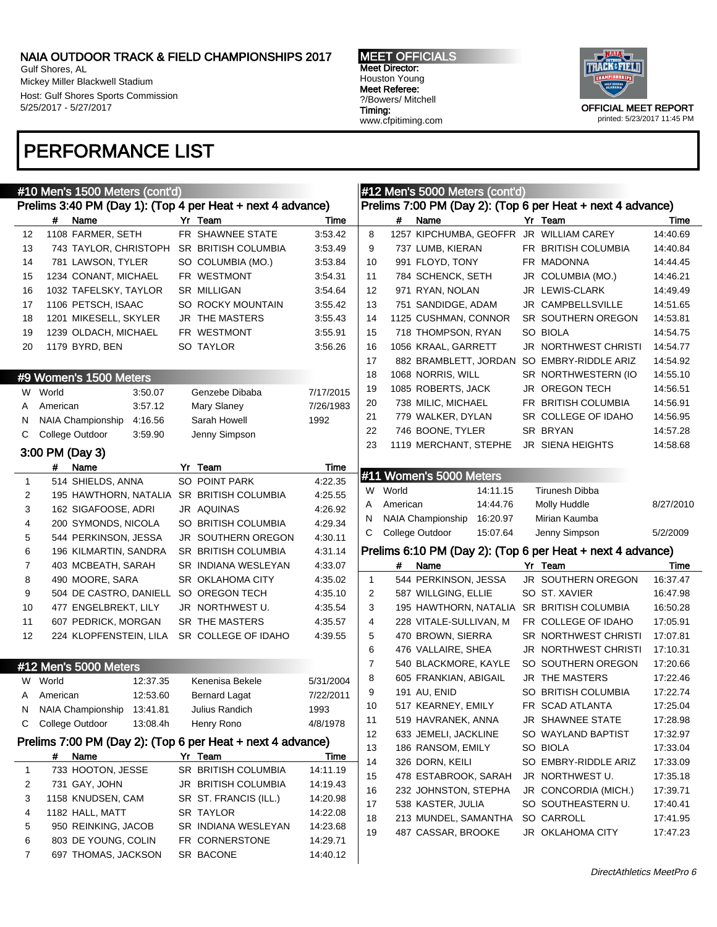7 697 THOMAS, JACKSON SR BACONE 14:40.12

Gulf Shores, AL Mickey Miller Blackwell Stadium Host: Gulf Shores Sports Commission 5/25/2017 - 5/27/2017

### PERFORMANCE LIST



|              |          | #10 Men's 1500 Meters (cont'd) |          |                                                            |           |                |          | #12 Men's 5000 Meters (cont'd)             |                                                            |           |
|--------------|----------|--------------------------------|----------|------------------------------------------------------------|-----------|----------------|----------|--------------------------------------------|------------------------------------------------------------|-----------|
|              |          |                                |          | Prelims 3:40 PM (Day 1): (Top 4 per Heat + next 4 advance) |           |                |          |                                            | Prelims 7:00 PM (Day 2): (Top 6 per Heat + next 4 advance) |           |
|              | #        | Name                           |          | Yr Team                                                    | Time      |                | #        | Name                                       | Yr Team                                                    | Time      |
| 12           |          | 1108 FARMER, SETH              |          | FR SHAWNEE STATE                                           | 3:53.42   | 8              |          | 1257 KIPCHUMBA, GEOFFR JR WILLIAM CAREY    |                                                            | 14:40.69  |
| 13           |          |                                |          | 743 TAYLOR, CHRISTOPH SR BRITISH COLUMBIA                  | 3:53.49   | 9              |          | 737 LUMB, KIERAN                           | FR BRITISH COLUMBIA                                        | 14:40.84  |
| 14           |          | 781 LAWSON, TYLER              |          | SO COLUMBIA (MO.)                                          | 3:53.84   | 10             |          | 991 FLOYD, TONY                            | FR MADONNA                                                 | 14:44.45  |
| 15           |          | 1234 CONANT, MICHAEL           |          | FR WESTMONT                                                | 3:54.31   | 11             |          | 784 SCHENCK, SETH                          | JR COLUMBIA (MO.)                                          | 14:46.21  |
| 16           |          | 1032 TAFELSKY, TAYLOR          |          | SR MILLIGAN                                                | 3:54.64   | 12             |          | 971 RYAN, NOLAN                            | JR LEWIS-CLARK                                             | 14:49.49  |
| 17           |          | 1106 PETSCH, ISAAC             |          | SO ROCKY MOUNTAIN                                          | 3:55.42   | 13             |          | 751 SANDIDGE, ADAM                         | JR CAMPBELLSVILLE                                          | 14:51.65  |
| 18           |          | 1201 MIKESELL, SKYLER          |          | JR THE MASTERS                                             | 3:55.43   | 14             |          | 1125 CUSHMAN, CONNOR                       | SR SOUTHERN OREGON                                         | 14:53.81  |
| 19           |          | 1239 OLDACH, MICHAEL           |          | FR WESTMONT                                                | 3:55.91   | 15             |          | 718 THOMPSON, RYAN                         | SO BIOLA                                                   | 14:54.75  |
| 20           |          | 1179 BYRD, BEN                 |          | SO TAYLOR                                                  | 3:56.26   | 16             |          | 1056 KRAAL, GARRETT                        | JR NORTHWEST CHRISTI                                       | 14:54.77  |
|              |          |                                |          |                                                            |           | 17             |          | 882 BRAMBLETT, JORDAN SO EMBRY-RIDDLE ARIZ |                                                            | 14:54.92  |
|              |          | #9 Women's 1500 Meters         |          |                                                            |           | 18             |          | 1068 NORRIS, WILL                          | SR NORTHWESTERN (IO                                        | 14:55.10  |
|              | W World  |                                | 3:50.07  | Genzebe Dibaba                                             | 7/17/2015 | 19             |          | 1085 ROBERTS, JACK                         | JR OREGON TECH                                             | 14:56.51  |
| A            | American |                                | 3:57.12  | Mary Slaney                                                | 7/26/1983 | 20             |          | 738 MILIC, MICHAEL                         | FR BRITISH COLUMBIA                                        | 14:56.91  |
| N            |          | NAIA Championship              | 4:16.56  | Sarah Howell                                               | 1992      | 21             |          | 779 WALKER, DYLAN                          | SR COLLEGE OF IDAHO                                        | 14:56.95  |
| С            |          | College Outdoor                | 3:59.90  | Jenny Simpson                                              |           | 22             |          | 746 BOONE, TYLER                           | SR BRYAN                                                   | 14:57.28  |
|              |          |                                |          |                                                            |           | 23             |          | 1119 MERCHANT, STEPHE                      | JR SIENA HEIGHTS                                           | 14:58.68  |
|              |          | 3:00 PM (Day 3)                |          |                                                            |           |                |          |                                            |                                                            |           |
|              | #        | Name                           |          | Yr Team                                                    | Time      |                |          | #11 Women's 5000 Meters                    |                                                            |           |
| $\mathbf{1}$ |          | 514 SHIELDS, ANNA              |          | SO POINT PARK                                              | 4:22.35   |                | W World  | 14:11.15                                   | Tirunesh Dibba                                             |           |
| 2            |          |                                |          | 195 HAWTHORN, NATALIA SR BRITISH COLUMBIA                  | 4:25.55   | A              | American | 14:44.76                                   | Molly Huddle                                               | 8/27/2010 |
| 3            |          | 162 SIGAFOOSE, ADRI            |          | JR AQUINAS                                                 | 4:26.92   | N              |          | NAIA Championship<br>16:20.97              | Mirian Kaumba                                              |           |
| 4            |          | 200 SYMONDS, NICOLA            |          | SO BRITISH COLUMBIA                                        | 4:29.34   | С              |          | College Outdoor<br>15:07.64                | Jenny Simpson                                              | 5/2/2009  |
| 5            |          | 544 PERKINSON, JESSA           |          | <b>JR SOUTHERN OREGON</b>                                  | 4:30.11   |                |          |                                            |                                                            |           |
| 6            |          | 196 KILMARTIN, SANDRA          |          | SR BRITISH COLUMBIA                                        | 4:31.14   |                |          |                                            | Prelims 6:10 PM (Day 2): (Top 6 per Heat + next 4 advance) |           |
| 7            |          | 403 MCBEATH, SARAH             |          | SR INDIANA WESLEYAN                                        | 4:33.07   |                | #        | Name                                       | Yr Team                                                    | Time      |
| 8            |          | 490 MOORE, SARA                |          | SR OKLAHOMA CITY                                           | 4:35.02   | $\mathbf{1}$   |          | 544 PERKINSON, JESSA                       | JR SOUTHERN OREGON                                         | 16:37.47  |
| 9            |          |                                |          | 504 DE CASTRO, DANIELL SO OREGON TECH                      | 4:35.10   | $\overline{2}$ |          | 587 WILLGING, ELLIE                        | SO ST. XAVIER                                              | 16:47.98  |
| 10           |          | 477 ENGELBREKT, LILY           |          | JR NORTHWEST U.                                            | 4:35.54   | 3              |          | 195 HAWTHORN, NATALIA SR BRITISH COLUMBIA  |                                                            | 16:50.28  |
| 11           |          | 607 PEDRICK, MORGAN            |          | SR THE MASTERS                                             | 4:35.57   | 4              |          | 228 VITALE-SULLIVAN, M                     | FR COLLEGE OF IDAHO                                        | 17:05.91  |
| 12           |          | 224 KLOPFENSTEIN, LILA         |          | SR COLLEGE OF IDAHO                                        | 4:39.55   | 5              |          | 470 BROWN, SIERRA                          | SR NORTHWEST CHRISTI                                       | 17:07.81  |
|              |          |                                |          |                                                            |           | 6              |          | 476 VALLAIRE, SHEA                         | <b>JR NORTHWEST CHRISTI</b>                                | 17:10.31  |
|              |          | #12 Men's 5000 Meters          |          |                                                            |           | $\overline{7}$ |          | 540 BLACKMORE, KAYLE                       | SO SOUTHERN OREGON                                         | 17:20.66  |
|              | W World  |                                | 12:37.35 | Kenenisa Bekele                                            | 5/31/2004 | 8              |          | 605 FRANKIAN, ABIGAIL                      | JR THE MASTERS                                             | 17:22.46  |
| A            | American |                                | 12:53.60 | <b>Bernard Lagat</b>                                       | 7/22/2011 | 9              |          | 191 AU, ENID                               | SO BRITISH COLUMBIA                                        | 17:22.74  |
| N.           |          | NAIA Championship 13:41.81     |          | Julius Randich                                             | 1993      | 10             |          | 517 KEARNEY, EMILY                         | FR SCAD ATLANTA                                            | 17:25.04  |
|              |          | C College Outdoor              | 13:08.4h | Henry Rono                                                 | 4/8/1978  | 11             |          | 519 HAVRANEK, ANNA                         | JR SHAWNEE STATE                                           | 17:28.98  |
|              |          |                                |          | Prelims 7:00 PM (Day 2): (Top 6 per Heat + next 4 advance) |           | 12             |          | 633 JEMELI, JACKLINE                       | SO WAYLAND BAPTIST                                         | 17:32.97  |
|              | #        | Name                           |          | Yr Team                                                    | Time      | 13             |          | 186 RANSOM, EMILY                          | SO BIOLA                                                   | 17:33.04  |
| 1            |          | 733 HOOTON, JESSE              |          | SR BRITISH COLUMBIA                                        | 14:11.19  | 14             |          | 326 DORN, KEILI                            | SO EMBRY-RIDDLE ARIZ                                       | 17:33.09  |
| 2            |          | 731 GAY, JOHN                  |          | JR BRITISH COLUMBIA                                        | 14:19.43  | 15             |          | 478 ESTABROOK, SARAH                       | JR NORTHWEST U.                                            | 17:35.18  |
| 3            |          | 1158 KNUDSEN, CAM              |          | SR ST. FRANCIS (ILL.)                                      | 14:20.98  | 16             |          | 232 JOHNSTON, STEPHA                       | JR CONCORDIA (MICH.)                                       | 17:39.71  |
| 4            |          | 1182 HALL, MATT                |          | SR TAYLOR                                                  | 14:22.08  | 17             |          | 538 KASTER, JULIA                          | SO SOUTHEASTERN U.                                         | 17:40.41  |
| 5            |          | 950 REINKING, JACOB            |          | SR INDIANA WESLEYAN                                        | 14:23.68  | 18             |          | 213 MUNDEL, SAMANTHA                       | SO CARROLL                                                 | 17:41.95  |
| 6            |          | 803 DE YOUNG, COLIN            |          | FR CORNERSTONE                                             | 14:29.71  | 19             |          | 487 CASSAR, BROOKE                         | JR OKLAHOMA CITY                                           | 17:47.23  |
|              |          |                                |          |                                                            |           |                |          |                                            |                                                            |           |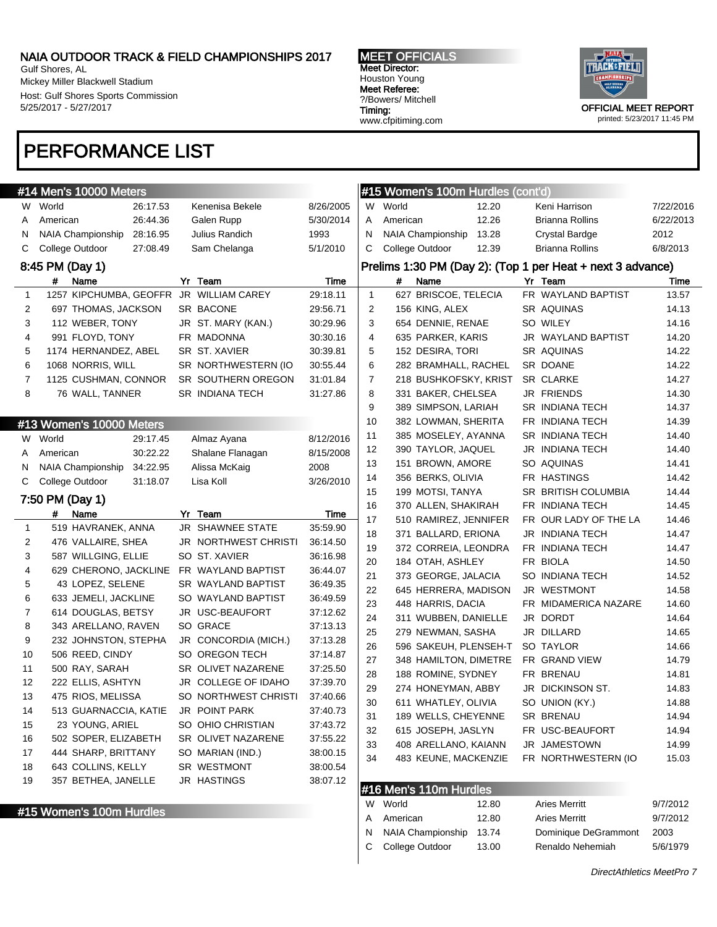Gulf Shores, AL Mickey Miller Blackwell Stadium Host: Gulf Shores Sports Commission 5/25/2017 - 5/27/2017

### PERFORMANCE LIST

MEET OFFICIALS Meet Director: Houston Young Meet Referee: ?/Bowers/ Mitchell Timing: www.cfpitiming.com



printed: 5/23/2017 11:45 PM

|              | #14 Men's 10000 Meters                     |                                           |                      |              | #15 Women's 100m Hurdles (cont'd) |       |                                                            |           |
|--------------|--------------------------------------------|-------------------------------------------|----------------------|--------------|-----------------------------------|-------|------------------------------------------------------------|-----------|
|              | W World<br>26:17.53                        | Kenenisa Bekele                           | 8/26/2005            | W            | World                             | 12.20 | Keni Harrison                                              | 7/22/2016 |
| A            | 26:44.36<br>American                       | Galen Rupp                                | 5/30/2014            | A            | American                          | 12.26 | Brianna Rollins                                            | 6/22/2013 |
| N            | NAIA Championship<br>28:16.95              | Julius Randich                            | 1993                 | N            | <b>NAIA Championship</b>          | 13.28 | Crystal Bardge                                             | 2012      |
| С            | College Outdoor<br>27:08.49                | Sam Chelanga                              | 5/1/2010             | C            | College Outdoor                   | 12.39 | Brianna Rollins                                            | 6/8/2013  |
|              | 8:45 PM (Day 1)                            |                                           |                      |              |                                   |       | Prelims 1:30 PM (Day 2): (Top 1 per Heat + next 3 advance) |           |
|              | #<br>Name                                  | Yr Team                                   | Time                 |              | #<br>Name                         |       | Yr Team                                                    | Time      |
| $\mathbf{1}$ | 1257 KIPCHUMBA, GEOFFR JR WILLIAM CAREY    |                                           | 29:18.11             | $\mathbf{1}$ | 627 BRISCOE, TELECIA              |       | FR WAYLAND BAPTIST                                         | 13.57     |
| 2            | 697 THOMAS, JACKSON                        | SR BACONE                                 | 29:56.71             | 2            | 156 KING, ALEX                    |       | SR AQUINAS                                                 | 14.13     |
| 3            | 112 WEBER, TONY                            | JR ST. MARY (KAN.)                        | 30:29.96             | 3            | 654 DENNIE, RENAE                 |       | SO WILEY                                                   | 14.16     |
| 4            | 991 FLOYD, TONY                            | FR MADONNA                                | 30:30.16             | 4            | 635 PARKER, KARIS                 |       | JR WAYLAND BAPTIST                                         | 14.20     |
| 5            | 1174 HERNANDEZ, ABEL                       | SR ST. XAVIER                             | 30:39.81             | 5            | 152 DESIRA, TORI                  |       | SR AQUINAS                                                 | 14.22     |
| 6            | 1068 NORRIS, WILL                          | SR NORTHWESTERN (IO                       | 30:55.44             | 6            | 282 BRAMHALL, RACHEL              |       | SR DOANE                                                   | 14.22     |
| 7            | 1125 CUSHMAN, CONNOR                       | SR SOUTHERN OREGON                        | 31:01.84             | 7            | 218 BUSHKOFSKY, KRIST             |       | SR CLARKE                                                  | 14.27     |
| 8            | 76 WALL, TANNER                            | SR INDIANA TECH                           | 31:27.86             | 8            | 331 BAKER, CHELSEA                |       | JR FRIENDS                                                 | 14.30     |
|              |                                            |                                           |                      | 9            | 389 SIMPSON, LARIAH               |       | SR INDIANA TECH                                            | 14.37     |
|              | #13 Women's 10000 Meters                   |                                           |                      | 10           | 382 LOWMAN, SHERITA               |       | FR INDIANA TECH                                            | 14.39     |
|              | W World<br>29:17.45                        | Almaz Ayana                               | 8/12/2016            | 11           | 385 MOSELEY, AYANNA               |       | SR INDIANA TECH                                            | 14.40     |
| A            | 30:22.22<br>American                       | Shalane Flanagan                          | 8/15/2008            | 12           | 390 TAYLOR, JAQUEL                |       | <b>JR INDIANA TECH</b>                                     | 14.40     |
| N            | 34:22.95<br>NAIA Championship              | Alissa McKaig                             | 2008                 | 13           | 151 BROWN, AMORE                  |       | SO AQUINAS                                                 | 14.41     |
| С            | College Outdoor<br>31:18.07                | Lisa Koll                                 | 3/26/2010            | 14           | 356 BERKS, OLIVIA                 |       | FR HASTINGS                                                | 14.42     |
|              |                                            |                                           |                      | 15           | 199 MOTSI, TANYA                  |       | SR BRITISH COLUMBIA                                        | 14.44     |
|              | 7:50 PM (Day 1)                            |                                           |                      | 16           | 370 ALLEN, SHAKIRAH               |       | FR INDIANA TECH                                            | 14.45     |
|              | #<br>Name                                  | Yr Team                                   | Time                 | 17           | 510 RAMIREZ, JENNIFER             |       | FR OUR LADY OF THE LA                                      | 14.46     |
| 1            | 519 HAVRANEK, ANNA                         | JR SHAWNEE STATE                          | 35:59.90             | 18           | 371 BALLARD, ERIONA               |       | JR INDIANA TECH                                            | 14.47     |
| 2            | 476 VALLAIRE, SHEA                         | JR NORTHWEST CHRISTI                      | 36:14.50             | 19           | 372 CORREIA, LEONDRA              |       | FR INDIANA TECH                                            | 14.47     |
| 3            | 587 WILLGING, ELLIE                        | SO ST. XAVIER                             | 36:16.98             | 20           | 184 OTAH, ASHLEY                  |       | FR BIOLA                                                   | 14.50     |
| 4            | 629 CHERONO, JACKLINE FR WAYLAND BAPTIST   |                                           | 36:44.07             | 21           | 373 GEORGE, JALACIA               |       | SO INDIANA TECH                                            | 14.52     |
| 5            | 43 LOPEZ, SELENE                           | SR WAYLAND BAPTIST                        | 36:49.35             | 22           | 645 HERRERA, MADISON              |       | JR WESTMONT                                                | 14.58     |
| 6            | 633 JEMELI, JACKLINE                       | SO WAYLAND BAPTIST                        | 36:49.59             | 23           | 448 HARRIS, DACIA                 |       | FR MIDAMERICA NAZARE                                       | 14.60     |
| 7            | 614 DOUGLAS, BETSY                         | JR USC-BEAUFORT                           | 37:12.62             | 24           | 311 WUBBEN, DANIELLE              |       | JR DORDT                                                   | 14.64     |
| 8            | 343 ARELLANO, RAVEN                        | SO GRACE                                  | 37:13.13             | 25           | 279 NEWMAN, SASHA                 |       | JR DILLARD                                                 | 14.65     |
| 9            | 232 JOHNSTON, STEPHA                       | JR CONCORDIA (MICH.)<br>SO OREGON TECH    | 37:13.28             | 26           | 596 SAKEUH, PLENSEH-T             |       | SO TAYLOR                                                  | 14.66     |
| 10           | 506 REED, CINDY<br>500 RAY, SARAH          |                                           | 37:14.87             | 27           | 348 HAMILTON, DIMETRE             |       | FR GRAND VIEW                                              | 14.79     |
| 11<br>12     |                                            | SR OLIVET NAZARENE<br>JR COLLEGE OF IDAHO | 37:25.50<br>37:39.70 | 28           | 188 ROMINE, SYDNEY                |       | FR BRENAU                                                  | 14.81     |
| 13           | 222 ELLIS, ASHTYN                          | SO NORTHWEST CHRISTI                      | 37:40.66             | 29           | 274 HONEYMAN, ABBY                |       | JR DICKINSON ST.                                           | 14.83     |
|              | 475 RIOS, MELISSA<br>513 GUARNACCIA, KATIE | JR POINT PARK                             | 37:40.73             | 30           | 611 WHATLEY, OLIVIA               |       | SO UNION (KY.)                                             | 14.88     |
| 14           |                                            |                                           |                      | 31           | 189 WELLS, CHEYENNE               |       | SR BRENAU                                                  | 14.94     |
| 15           | 23 YOUNG, ARIEL                            | SO OHIO CHRISTIAN<br>SR OLIVET NAZARENE   | 37:43.72             | 32           | 615 JOSEPH, JASLYN                |       | FR USC-BEAUFORT                                            | 14.94     |
| 16           | 502 SOPER, ELIZABETH                       |                                           | 37:55.22             | 33           | 408 ARELLANO, KAIANN              |       | JR JAMESTOWN                                               | 14.99     |
| 17           | 444 SHARP, BRITTANY                        | SO MARIAN (IND.)                          | 38:00.15             | 34           | 483 KEUNE, MACKENZIE              |       | FR NORTHWESTERN (IO                                        | 15.03     |
| 18           | 643 COLLINS, KELLY                         | SR WESTMONT                               | 38:00.54             |              |                                   |       |                                                            |           |
| 19           | 357 BETHEA, JANELLE                        | JR HASTINGS                               | 38:07.12             |              | #16 Men's 110m Hurdles            |       |                                                            |           |
|              | #15 Women's 100m Hurdles                   |                                           |                      |              | W World                           | 12.80 | <b>Aries Merritt</b>                                       | 9/7/2012  |
|              |                                            |                                           |                      | A            | American                          | 12.80 | <b>Aries Merritt</b>                                       | 9/7/2012  |

N NAIA Championship 13.74 Dominique DeGrammont 2003 C College Outdoor 13.00 Renaldo Nehemiah 5/6/1979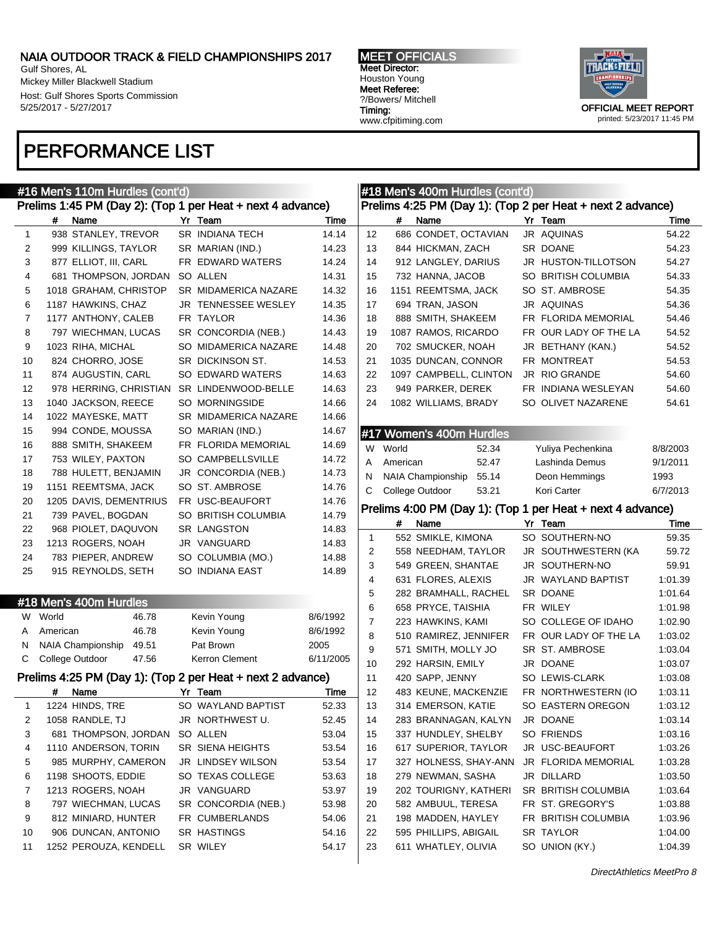Gulf Shores, AL Mickey Miller Blackwell Stadium Host: Gulf Shores Sports Commission 5/25/2017 - 5/27/2017

### PERFORMANCE LIST



|                |          | #16 Men's 110m Hurdles (cont'd)   |                                                            |           |                |          | #18 Men's 400m Hurdles (cont'd)   |                                                            |          |
|----------------|----------|-----------------------------------|------------------------------------------------------------|-----------|----------------|----------|-----------------------------------|------------------------------------------------------------|----------|
|                |          |                                   | Prelims 1:45 PM (Day 2): (Top 1 per Heat + next 4 advance) |           |                |          |                                   | Prelims 4:25 PM (Day 1): (Top 2 per Heat + next 2 advance) |          |
|                | #        | Name                              | Yr Team                                                    | Time      |                | #        | Name                              | Yr Team                                                    | Time     |
| $\mathbf{1}$   |          | 938 STANLEY, TREVOR               | SR INDIANA TECH                                            | 14.14     | 12             |          | 686 CONDET, OCTAVIAN              | JR AQUINAS                                                 | 54.22    |
| $\overline{c}$ |          | 999 KILLINGS, TAYLOR              | SR MARIAN (IND.)                                           | 14.23     | 13             |          | 844 HICKMAN, ZACH                 | SR DOANE                                                   | 54.23    |
| 3              |          | 877 ELLIOT, III, CARL             | FR EDWARD WATERS                                           | 14.24     | 14             |          | 912 LANGLEY, DARIUS               | JR HUSTON-TILLOTSON                                        | 54.27    |
| 4              |          | 681 THOMPSON, JORDAN              | SO ALLEN                                                   | 14.31     | 15             |          | 732 HANNA, JACOB                  | SO BRITISH COLUMBIA                                        | 54.33    |
| 5              |          | 1018 GRAHAM, CHRISTOP             | SR MIDAMERICA NAZARE                                       | 14.32     | 16             |          | 1151 REEMTSMA, JACK               | SO ST. AMBROSE                                             | 54.35    |
| 6              |          | 1187 HAWKINS, CHAZ                | JR TENNESSEE WESLEY                                        | 14.35     | 17             |          | 694 TRAN, JASON                   | JR AQUINAS                                                 | 54.36    |
| 7              |          | 1177 ANTHONY, CALEB               | FR TAYLOR                                                  | 14.36     | 18             |          | 888 SMITH, SHAKEEM                | FR FLORIDA MEMORIAL                                        | 54.46    |
| 8              |          | 797 WIECHMAN, LUCAS               | SR CONCORDIA (NEB.)                                        | 14.43     | 19             |          | 1087 RAMOS, RICARDO               | FR OUR LADY OF THE LA                                      | 54.52    |
| 9              |          | 1023 RIHA, MICHAL                 | SO MIDAMERICA NAZARE                                       | 14.48     | 20             |          | 702 SMUCKER, NOAH                 | JR BETHANY (KAN.)                                          | 54.52    |
| 10             |          | 824 CHORRO, JOSE                  | SR DICKINSON ST.                                           | 14.53     | 21             |          | 1035 DUNCAN, CONNOR               | FR MONTREAT                                                | 54.53    |
| 11             |          | 874 AUGUSTIN, CARL                | SO EDWARD WATERS                                           | 14.63     | 22             |          | 1097 CAMPBELL, CLINTON            | JR RIO GRANDE                                              | 54.60    |
| 12             |          | 978 HERRING, CHRISTIAN            | SR LINDENWOOD-BELLE                                        | 14.63     | 23             |          | 949 PARKER, DEREK                 | FR INDIANA WESLEYAN                                        | 54.60    |
| 13             |          | 1040 JACKSON, REECE               | SO MORNINGSIDE                                             | 14.66     | 24             |          | 1082 WILLIAMS, BRADY              | SO OLIVET NAZARENE                                         | 54.61    |
| 14             |          | 1022 MAYESKE, MATT                | SR MIDAMERICA NAZARE                                       | 14.66     |                |          |                                   |                                                            |          |
| 15             |          | 994 CONDE, MOUSSA                 | SO MARIAN (IND.)                                           | 14.67     |                |          | #17 Women's 400m Hurdles          |                                                            |          |
| 16             |          | 888 SMITH, SHAKEEM                | FR FLORIDA MEMORIAL                                        | 14.69     |                | W World  | 52.34                             | Yuliya Pechenkina                                          | 8/8/2003 |
| 17             |          | 753 WILEY, PAXTON                 | SO CAMPBELLSVILLE                                          | 14.72     | A              | American | 52.47                             | Lashinda Demus                                             | 9/1/2011 |
| 18             |          | 788 HULETT, BENJAMIN              | JR CONCORDIA (NEB.)                                        | 14.73     | N              |          | <b>NAIA Championship</b><br>55.14 | Deon Hemmings                                              | 1993     |
| 19             |          | 1151 REEMTSMA, JACK               | SO ST. AMBROSE                                             | 14.76     | С              |          | College Outdoor<br>53.21          | Kori Carter                                                | 6/7/2013 |
| 20             |          | 1205 DAVIS, DEMENTRIUS            | FR USC-BEAUFORT                                            | 14.76     |                |          |                                   |                                                            |          |
| 21             |          | 739 PAVEL, BOGDAN                 | SO BRITISH COLUMBIA                                        | 14.79     |                |          |                                   | Prelims 4:00 PM (Day 1): (Top 1 per Heat + next 4 advance) |          |
| 22             |          | 968 PIOLET, DAQUVON               | <b>SR LANGSTON</b>                                         | 14.83     |                | #        | Name                              | Yr Team                                                    | Time     |
| 23             |          | 1213 ROGERS, NOAH                 | JR VANGUARD                                                | 14.83     | 1              |          | 552 SMIKLE, KIMONA                | SO SOUTHERN-NO                                             | 59.35    |
| 24             |          | 783 PIEPER, ANDREW                | SO COLUMBIA (MO.)                                          | 14.88     | 2              |          | 558 NEEDHAM, TAYLOR               | JR SOUTHWESTERN (KA                                        | 59.72    |
| 25             |          | 915 REYNOLDS, SETH                | SO INDIANA EAST                                            | 14.89     | 3              |          | 549 GREEN, SHANTAE                | JR SOUTHERN-NO                                             | 59.91    |
|                |          |                                   |                                                            |           | 4              |          | 631 FLORES, ALEXIS                | JR WAYLAND BAPTIST                                         | 1:01.39  |
|                |          |                                   |                                                            |           | 5              |          | 282 BRAMHALL, RACHEL              | SR DOANE                                                   | 1:01.64  |
|                |          | #18 Men's 400m Hurdles            |                                                            |           | 6              |          | 658 PRYCE, TAISHIA                | FR WILEY                                                   | 1:01.98  |
|                | W World  | 46.78                             | Kevin Young                                                | 8/6/1992  | $\overline{7}$ |          | 223 HAWKINS, KAMI                 | SO COLLEGE OF IDAHO                                        | 1:02.90  |
| A              | American | 46.78                             | Kevin Young                                                | 8/6/1992  | 8              |          | 510 RAMIREZ, JENNIFER             | FR OUR LADY OF THE LA                                      | 1:03.02  |
| N              |          | 49.51<br><b>NAIA Championship</b> | Pat Brown                                                  | 2005      | 9              |          | 571 SMITH, MOLLY JO               | SR ST. AMBROSE                                             | 1:03.04  |
| С              |          | College Outdoor<br>47.56          | Kerron Clement                                             | 6/11/2005 | 10             |          | 292 HARSIN, EMILY                 | JR DOANE                                                   | 1:03.07  |
|                |          |                                   | Prelims 4:25 PM (Day 1): (Top 2 per Heat + next 2 advance) |           | 11             |          | 420 SAPP, JENNY                   | SO LEWIS-CLARK                                             | 1:03.08  |
|                | #        | Name                              | Yr Team                                                    | Time      | 12             |          | 483 KEUNE, MACKENZIE              | FR NORTHWESTERN (IO                                        | 1:03.11  |
| 1              |          | 1224 HINDS, TRE                   | SO WAYLAND BAPTIST                                         | 52.33     | 13             |          | 314 EMERSON, KATIE                | SO EASTERN OREGON                                          | 1:03.12  |
| 2              |          | 1058 RANDLE, TJ                   | JR NORTHWEST U.                                            | 52.45     | 14             |          | 283 BRANNAGAN, KALYN              | JR DOANE                                                   | 1:03.14  |
| 3              |          | 681 THOMPSON, JORDAN              | SO ALLEN                                                   | 53.04     | 15             |          | 337 HUNDLEY, SHELBY               | SO FRIENDS                                                 | 1:03.16  |
| 4              |          | 1110 ANDERSON, TORIN              | SR SIENA HEIGHTS                                           | 53.54     | 16             |          | 617 SUPERIOR, TAYLOR              | JR USC-BEAUFORT                                            | 1:03.26  |
| 5              |          | 985 MURPHY, CAMERON               | JR LINDSEY WILSON                                          | 53.54     | 17             |          | 327 HOLNESS, SHAY-ANN             | JR FLORIDA MEMORIAL                                        | 1:03.28  |
| 6              |          | 1198 SHOOTS, EDDIE                | SO TEXAS COLLEGE                                           | 53.63     | 18             |          | 279 NEWMAN, SASHA                 | JR DILLARD                                                 | 1:03.50  |
| 7              |          | 1213 ROGERS, NOAH                 | JR VANGUARD                                                | 53.97     | 19             |          | 202 TOURIGNY, KATHERI             | SR BRITISH COLUMBIA                                        | 1:03.64  |
| 8              |          | 797 WIECHMAN, LUCAS               | SR CONCORDIA (NEB.)                                        | 53.98     | 20             |          | 582 AMBUUL, TERESA                | FR ST. GREGORY'S                                           | 1:03.88  |
| 9              |          | 812 MINIARD, HUNTER               | FR CUMBERLANDS                                             | 54.06     | 21             |          | 198 MADDEN, HAYLEY                | FR BRITISH COLUMBIA                                        | 1:03.96  |
| 10             |          | 906 DUNCAN, ANTONIO               | SR HASTINGS                                                | 54.16     | 22             |          | 595 PHILLIPS, ABIGAIL             | <b>SR TAYLOR</b>                                           | 1:04.00  |
| 11             |          | 1252 PEROUZA, KENDELL             | SR WILEY                                                   | 54.17     | 23             |          | 611 WHATLEY, OLIVIA               | SO UNION (KY.)                                             | 1:04.39  |
|                |          |                                   |                                                            |           |                |          |                                   |                                                            |          |

|    |          | #18 Men's 400m Hurdles (cont'd) |                                                            |          |
|----|----------|---------------------------------|------------------------------------------------------------|----------|
|    |          |                                 | Prelims 4:25 PM (Day 1): (Top 2 per Heat + next 2 advance) |          |
|    | #        | Name                            | Yr Team                                                    | Time     |
| 12 |          | 686 CONDET, OCTAVIAN            | JR AQUINAS                                                 | 54.22    |
| 13 |          | 844 HICKMAN, ZACH               | SR DOANE                                                   | 54.23    |
| 14 |          | 912 LANGLEY, DARIUS             | JR HUSTON-TILLOTSON                                        | 54.27    |
| 15 |          | 732 HANNA, JACOB                | SO BRITISH COLUMBIA                                        | 54.33    |
| 16 |          | 1151 REEMTSMA, JACK             | SO ST. AMBROSE                                             | 54.35    |
| 17 |          | 694 TRAN, JASON                 | JR AQUINAS                                                 | 54.36    |
| 18 |          | 888 SMITH, SHAKEEM              | FR FLORIDA MEMORIAL                                        | 54.46    |
| 19 |          | 1087 RAMOS, RICARDO             | FR OUR LADY OF THE LA                                      | 54.52    |
| 20 |          | 702 SMUCKER, NOAH               | JR BETHANY (KAN.)                                          | 54.52    |
| 21 |          | 1035 DUNCAN, CONNOR             | FR MONTREAT                                                | 54.53    |
| 22 |          | 1097 CAMPBELL, CLINTON          | <b>JR RIO GRANDE</b>                                       | 54.60    |
| 23 |          | 949 PARKER, DEREK               | FR INDIANA WESLEYAN                                        | 54.60    |
| 24 |          | 1082 WILLIAMS, BRADY            | SO OLIVET NAZARENE                                         | 54.61    |
|    |          |                                 |                                                            |          |
|    |          | #17 Women's 400m Hurdles        |                                                            |          |
| W  | World    | 52.34                           | Yuliya Pechenkina                                          | 8/8/2003 |
| A  | American | 52.47                           | Lashinda Demus                                             | 9/1/2011 |
| Ν  |          | NAIA Championship 55.14         | Deon Hemmings                                              | 1993     |
| С  |          | College Outdoor<br>53.21        | Kori Carter                                                | 6/7/2013 |
|    |          |                                 | Prelims 4:00 PM (Day 1): (Top 1 per Heat + next 4 advance) |          |
|    | #        | Name                            | Yr Team                                                    | Time     |
| 1  |          | 552 SMIKLE, KIMONA              | SO SOUTHERN-NO                                             | 59.35    |
| 2  |          | 558 NEEDHAM, TAYLOR             | JR SOUTHWESTERN (KA                                        | 59.72    |
| 3  |          | 549 GREEN, SHANTAE              | JR SOUTHERN-NO                                             | 59.91    |
| 4  |          | 631 FLORES, ALEXIS              | JR WAYLAND BAPTIST                                         | 1:01.39  |
| 5  |          | 282 BRAMHALL, RACHEL            | SR DOANE                                                   | 1:01.64  |
| 6  |          | 658 PRYCE, TAISHIA              | FR WILEY                                                   | 1:01.98  |
| 7  |          | 223 HAWKINS, KAMI               | SO COLLEGE OF IDAHO                                        | 1:02.90  |
| 8  |          | 510 RAMIREZ, JENNIFER           | FR OUR LADY OF THE LA                                      | 1:03.02  |
| 9  |          | 571 SMITH, MOLLY JO             | SR ST. AMBROSE                                             | 1:03.04  |
| 10 |          | 292 HARSIN, EMILY               | JR DOANE                                                   | 1:03.07  |
| 11 |          | 420 SAPP, JENNY                 | SO LEWIS-CLARK                                             | 1:03.08  |
| 12 |          | 483 KEUNE, MACKENZIE            | FR NORTHWESTERN (IO                                        | 1:03.11  |
| 13 |          | 314 EMERSON, KATIE              | SO EASTERN OREGON                                          | 1:03.12  |
| 14 |          | 283 BRANNAGAN, KALYN            | JR DOANE                                                   | 1:03.14  |
| 15 |          | 337 HUNDLEY, SHELBY             | SO FRIENDS                                                 | 1:03.16  |
| 16 |          | 617 SUPERIOR, TAYLOR            | JR USC-BEAUFORT                                            | 1:03.26  |
| 17 |          | 327 HOLNESS, SHAY-ANN           | JR FLORIDA MEMORIAL                                        | 1:03.28  |
| 18 |          | 279 NEWMAN, SASHA               | JR DILLARD                                                 | 1:03.50  |
| 19 |          | 202 TOURIGNY, KATHERI           | SR BRITISH COLUMBIA                                        | 1:03.64  |
| 20 |          | 582 AMBUUL, TERESA              | FR ST. GREGORY'S                                           | 1:03.88  |
| 21 |          | 198 MADDEN, HAYLEY              | FR BRITISH COLUMBIA                                        | 1:03.96  |
| 22 |          | 595 PHILLIPS, ABIGAIL           | SR TAYLOR                                                  | 1:04.00  |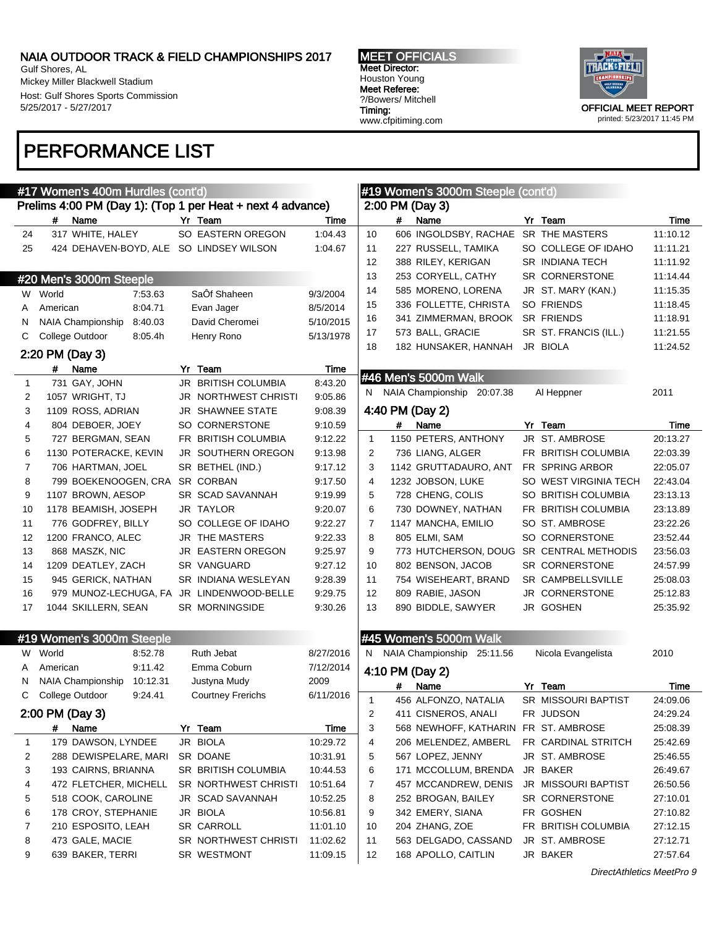Gulf Shores, AL Mickey Miller Blackwell Stadium Host: Gulf Shores Sports Commission 5/25/2017 - 5/27/2017

MEET OFFICIALS Meet Director: Houston Young Meet Referee: ?/Bowers/ Mitchell Timing: www.cfpitiming.com



### PERFORMANCE LIST

|              | #17 Women's 400m Hurdles (cont'd)                          |                           |           | #19 Women's 3000m Steeple (cont'd)                          |          |
|--------------|------------------------------------------------------------|---------------------------|-----------|-------------------------------------------------------------|----------|
|              | Prelims 4:00 PM (Day 1): (Top 1 per Heat + next 4 advance) |                           |           | 2:00 PM (Day 3)                                             |          |
|              | #<br>Name                                                  | Yr Team                   | Time      | #<br>Name<br>Yr Team                                        | Time     |
| 24           | 317 WHITE, HALEY                                           | SO EASTERN OREGON         | 1:04.43   | 606 INGOLDSBY, RACHAE SR THE MASTERS<br>10                  | 11:10.12 |
| 25           | 424 DEHAVEN-BOYD, ALE SO LINDSEY WILSON                    |                           | 1:04.67   | 11<br>227 RUSSELL, TAMIKA<br>SO COLLEGE OF IDAHO            | 11:11.21 |
|              |                                                            |                           |           | 12<br>388 RILEY, KERIGAN<br><b>SR INDIANA TECH</b>          | 11:11.92 |
|              | #20 Men's 3000m Steeple                                    |                           |           | 13<br>253 CORYELL, CATHY<br>SR CORNERSTONE                  | 11:14.44 |
| W            | World<br>7:53.63                                           | SaÔf Shaheen              | 9/3/2004  | 14<br>585 MORENO, LORENA<br>JR ST. MARY (KAN.)              | 11:15.35 |
| A            | 8:04.71<br>American                                        | Evan Jager                | 8/5/2014  | 15<br>336 FOLLETTE, CHRISTA<br>SO FRIENDS                   | 11:18.45 |
| N            | NAIA Championship<br>8:40.03                               | David Cheromei            | 5/10/2015 | <b>SR FRIENDS</b><br>16<br>341 ZIMMERMAN, BROOK             | 11:18.91 |
| С            | College Outdoor<br>8:05.4h                                 | Henry Rono                | 5/13/1978 | 17<br>SR ST. FRANCIS (ILL.)<br>573 BALL, GRACIE             | 11:21.55 |
|              | 2:20 PM (Day 3)                                            |                           |           | 18<br>JR BIOLA<br>182 HUNSAKER, HANNAH                      | 11:24.52 |
|              | #<br>Name                                                  | Yr Team                   | Time      |                                                             |          |
| 1            | 731 GAY, JOHN                                              | JR BRITISH COLUMBIA       | 8:43.20   | #46 Men's 5000m Walk                                        |          |
| 2            | 1057 WRIGHT, TJ                                            | JR NORTHWEST CHRISTI      | 9:05.86   | NAIA Championship 20:07.38<br>Al Heppner<br>N.              | 2011     |
| 3            | 1109 ROSS, ADRIAN                                          | JR SHAWNEE STATE          | 9:08.39   | 4:40 PM (Day 2)                                             |          |
| 4            | 804 DEBOER, JOEY                                           | SO CORNERSTONE            | 9:10.59   | #<br>Name<br>Yr Team                                        | Time     |
| 5            | 727 BERGMAN, SEAN                                          | FR BRITISH COLUMBIA       | 9:12.22   | 1150 PETERS, ANTHONY<br>JR ST. AMBROSE<br>$\mathbf{1}$      | 20:13.27 |
| 6            | 1130 POTERACKE, KEVIN                                      | <b>JR SOUTHERN OREGON</b> | 9:13.98   | FR BRITISH COLUMBIA<br>2<br>736 LIANG, ALGER                | 22:03.39 |
| 7            | 706 HARTMAN, JOEL                                          | SR BETHEL (IND.)          | 9:17.12   | 1142 GRUTTADAURO, ANT<br>FR SPRING ARBOR<br>3               | 22:05.07 |
| 8            | 799 BOEKENOOGEN, CRA                                       | <b>SR CORBAN</b>          | 9:17.50   | 4<br>1232 JOBSON, LUKE<br>SO WEST VIRGINIA TECH             | 22:43.04 |
| 9            | 1107 BROWN, AESOP                                          | SR SCAD SAVANNAH          | 9:19.99   | 5<br>728 CHENG, COLIS<br>SO BRITISH COLUMBIA                | 23:13.13 |
| 10           | 1178 BEAMISH, JOSEPH                                       | <b>JR TAYLOR</b>          | 9:20.07   | 6<br>FR BRITISH COLUMBIA<br>730 DOWNEY, NATHAN              | 23:13.89 |
| 11           | 776 GODFREY, BILLY                                         | SO COLLEGE OF IDAHO       | 9:22.27   | $\overline{7}$<br>SO ST. AMBROSE<br>1147 MANCHA, EMILIO     | 23:22.26 |
| 12           | 1200 FRANCO, ALEC                                          | JR THE MASTERS            | 9:22.33   | 8<br>805 ELMI, SAM<br>SO CORNERSTONE                        | 23:52.44 |
| 13           | 868 MASZK, NIC                                             | JR EASTERN OREGON         | 9:25.97   | 9<br>773 HUTCHERSON, DOUG SR CENTRAL METHODIS               | 23:56.03 |
| 14           | 1209 DEATLEY, ZACH                                         | <b>SR VANGUARD</b>        | 9:27.12   | 10<br>802 BENSON, JACOB<br><b>SR CORNERSTONE</b>            | 24:57.99 |
| 15           | 945 GERICK, NATHAN                                         | SR INDIANA WESLEYAN       | 9:28.39   | 11<br><b>SR CAMPBELLSVILLE</b><br>754 WISEHEART, BRAND      | 25:08.03 |
| 16           | 979 MUNOZ-LECHUGA, FA JR LINDENWOOD-BELLE                  |                           | 9:29.75   | 12<br>809 RABIE, JASON<br>JR CORNERSTONE                    | 25:12.83 |
| 17           | 1044 SKILLERN, SEAN                                        | SR MORNINGSIDE            | 9:30.26   | 13<br>JR GOSHEN<br>890 BIDDLE, SAWYER                       | 25:35.92 |
|              |                                                            |                           |           |                                                             |          |
|              | #19 Women's 3000m Steeple                                  |                           |           | #45 Women's 5000m Walk                                      |          |
|              | W World<br>8:52.78                                         | Ruth Jebat                | 8/27/2016 | NAIA Championship<br>Nicola Evangelista<br>N.<br>25:11.56   | 2010     |
| A            | 9:11.42<br>American                                        | Emma Coburn               | 7/12/2014 |                                                             |          |
| N            | NAIA Championship<br>10:12.31                              | Justyna Mudy              | 2009      | 4:10 PM (Day 2)                                             |          |
| С            | College Outdoor<br>9:24.41                                 | <b>Courtney Frerichs</b>  | 6/11/2016 | Yr<br>Team<br>Name<br>#                                     | Time     |
|              |                                                            |                           |           | 456 ALFONZO, NATALIA<br>SR MISSOURI BAPTIST<br>$\mathbf{1}$ | 24:09.06 |
|              | 2:00 PM (Day 3)                                            |                           |           | 2<br>411 CISNEROS, ANALI<br>FR JUDSON                       | 24:29.24 |
|              | #<br>Name                                                  | Yr Team                   | Time      | 3<br>568 NEWHOFF, KATHARIN FR ST. AMBROSE                   | 25:08.39 |
| $\mathbf{1}$ | 179 DAWSON, LYNDEE                                         | JR BIOLA                  | 10:29.72  | 4<br>206 MELENDEZ, AMBERL<br>FR CARDINAL STRITCH            | 25:42.69 |
| 2            | 288 DEWISPELARE, MARI                                      | SR DOANE                  | 10:31.91  | 5<br>567 LOPEZ, JENNY<br>JR ST. AMBROSE                     | 25:46.55 |
| 3            | 193 CAIRNS, BRIANNA                                        | SR BRITISH COLUMBIA       | 10:44.53  | JR BAKER<br>6<br>171 MCCOLLUM, BRENDA                       | 26:49.67 |
| 4            | 472 FLETCHER, MICHELL                                      | SR NORTHWEST CHRISTI      | 10:51.64  | JR MISSOURI BAPTIST<br>7<br>457 MCCANDREW, DENIS            | 26:50.56 |
| 5            | 518 COOK, CAROLINE                                         | JR SCAD SAVANNAH          | 10:52.25  | SR CORNERSTONE<br>8<br>252 BROGAN, BAILEY                   | 27:10.01 |
| 6            | 178 CROY, STEPHANIE                                        | JR BIOLA                  | 10:56.81  | 342 EMERY, SIANA<br>FR GOSHEN<br>9<br>FR BRITISH COLUMBIA   | 27:10.82 |
| 7            | 210 ESPOSITO, LEAH                                         | <b>SR CARROLL</b>         | 11:01.10  | 204 ZHANG, ZOE<br>10                                        | 27:12.15 |
| 8            | 473 GALE, MACIE                                            | SR NORTHWEST CHRISTI      | 11:02.62  | 563 DELGADO, CASSAND<br>JR ST. AMBROSE<br>11                | 27:12.71 |
| 9            | 639 BAKER, TERRI                                           | SR WESTMONT               | 11:09.15  | 12<br>168 APOLLO, CAITLIN<br>JR BAKER                       | 27:57.64 |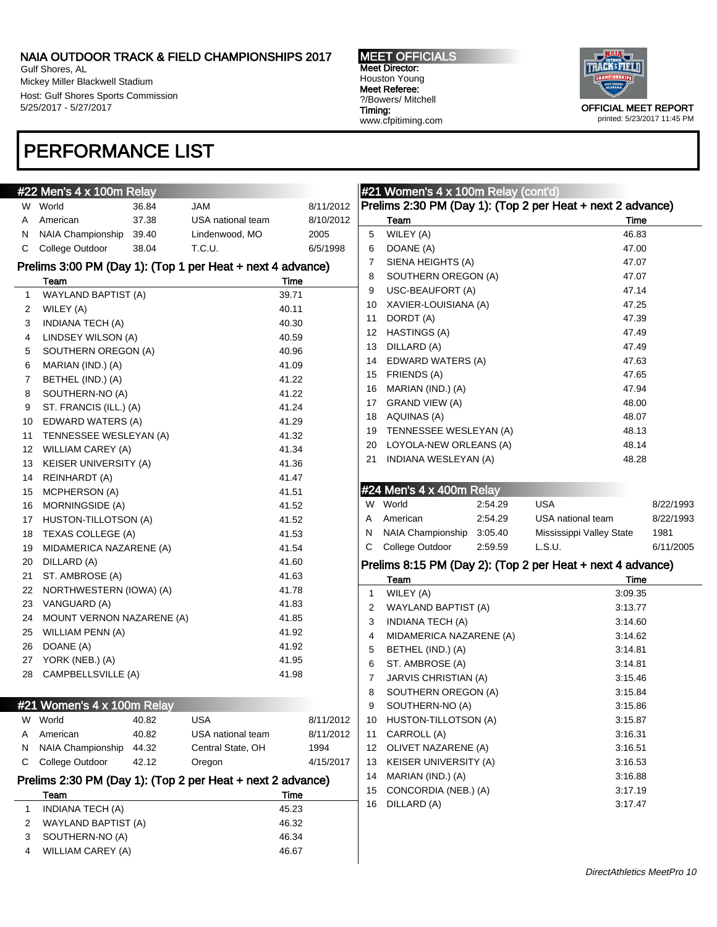Gulf Shores, AL Mickey Miller Blackwell Stadium Host: Gulf Shores Sports Commission 5/25/2017 - 5/27/2017

### PERFORMANCE LIST

MEET OFFICIALS Meet Director: Houston Young Meet Referee: ?/Bowers/ Mitchell Timing: www.cfpitiming.com



#### #22 Men's 4 x 100m Relay W World 36.84 JAM 8/11/2012 A American 37.38 USA national team 8/10/2012 N NAIA Championship 39.40 Lindenwood, MO 2005 C College Outdoor 38.04 T.C.U. 6/5/1998 Prelims 3:00 PM (Day 1): (Top 1 per Heat + next 4 advance) Team Time 1 WAYLAND BAPTIST (A) 39.71 2 WILEY (A) 40.11 3 INDIANA TECH (A) 40.30 4 LINDSEY WILSON (A) 40.59 5 SOUTHERN OREGON (A) 40.96 6 MARIAN (IND.) (A) 41.09 7 BETHEL (IND.) (A) 41.22 8 SOUTHERN-NO (A) 41.22 9 ST. FRANCIS (ILL.) (A) 41.24 10 EDWARD WATERS (A) 41.29 11 TENNESSEE WESLEYAN (A) 41.32 12 WILLIAM CAREY (A) 41.34 13 KEISER UNIVERSITY (A) 41.36 14 REINHARDT (A) 41.47 15 MCPHERSON (A) 41.51 16 MORNINGSIDE (A) 41.52 17 HUSTON-TILLOTSON (A) 41.52 18 TEXAS COLLEGE (A) 41.53 19 MIDAMERICA NAZARENE (A) 41.54 20 DILLARD (A) 41.60 21 ST. AMBROSE (A) 41.63 22 NORTHWESTERN (IOWA) (A) 41.78 23 VANGUARD (A) 41.83 24 MOUNT VERNON NAZARENE (A) 41.85 25 WILLIAM PENN (A) 41.92 26 DOANE (A) 41.92 27 YORK (NEB.) (A) 41.95 28 CAMPBELLSVILLE (A) 41.98 #21 Women's 4 x 100m Relay W World 40.82 USA 8/11/2012 A American 40.82 USA national team 8/11/2012 N NAIA Championship 44.32 Central State, OH 1994 C College Outdoor 42.12 Oregon 4/15/2017 Prelims 2:30 PM (Day 1): (Top 2 per Heat + next 2 advance) Team Time 1 INDIANA TECH (A) 45.23 2 WAYLAND BAPTIST (A) 46.32 3 SOUTHERN-NO (A) 46.34 4 WILLIAM CAREY (A) 46.67

|    | #21 Women's 4 x 100m Relay (cont'd) |         |                                                            |           |
|----|-------------------------------------|---------|------------------------------------------------------------|-----------|
|    |                                     |         | Prelims 2:30 PM (Day 1): (Top 2 per Heat + next 2 advance) |           |
|    | Team                                |         | Time                                                       |           |
| 5  | WILEY (A)                           |         | 46.83                                                      |           |
| 6  | DOANE (A)                           |         | 47.00                                                      |           |
| 7  | SIENA HEIGHTS (A)                   |         | 47.07                                                      |           |
| 8  | SOUTHERN OREGON (A)                 |         | 47.07                                                      |           |
| 9  | <b>USC-BEAUFORT (A)</b>             |         | 47.14                                                      |           |
| 10 | XAVIER-LOUISIANA (A)                |         | 47.25                                                      |           |
| 11 | DORDT (A)                           |         | 47.39                                                      |           |
| 12 | <b>HASTINGS (A)</b>                 |         | 47.49                                                      |           |
| 13 | DILLARD (A)                         |         | 47.49                                                      |           |
| 14 | EDWARD WATERS (A)                   |         | 47.63                                                      |           |
| 15 | FRIENDS (A)                         |         | 47.65                                                      |           |
| 16 | MARIAN (IND.) (A)                   |         | 47.94                                                      |           |
| 17 | <b>GRAND VIEW (A)</b>               |         | 48.00                                                      |           |
| 18 | AQUINAS (A)                         |         | 48.07                                                      |           |
| 19 | TENNESSEE WESLEYAN (A)              |         | 48.13                                                      |           |
| 20 | LOYOLA-NEW ORLEANS (A)              |         | 48.14                                                      |           |
| 21 | INDIANA WESLEYAN (A)                |         | 48.28                                                      |           |
|    |                                     |         |                                                            |           |
|    | #24 Men's 4 x 400m Relay            |         |                                                            |           |
| W  | World                               | 2:54.29 | USA                                                        | 8/22/1993 |
| Α  | American                            | 2:54.29 | USA national team                                          | 8/22/1993 |
| Ν  | NAIA Championship 3:05.40           |         | Mississippi Valley State                                   | 1981      |
| С  | College Outdoor                     | 2:59.59 | L.S.U.                                                     | 6/11/2005 |
|    |                                     |         | Prelims 8:15 PM (Day 2): (Top 2 per Heat + next 4 advance) |           |
|    | Team                                |         | Time                                                       |           |
| 1  | WILEY (A)                           |         | 3:09.35                                                    |           |
| 2  | WAYLAND BAPTIST (A)                 |         | 3:13.77                                                    |           |
| 3  | INDIANA TECH (A)                    |         | 3:14.60                                                    |           |
| 4  | MIDAMERICA NAZARENE (A)             |         | 3:14.62                                                    |           |
| 5  | BETHEL (IND.) (A)                   |         | 3:14.81                                                    |           |
| 6  | ST. AMBROSE (A)                     |         | 3:14.81                                                    |           |
| 7  | JARVIS CHRISTIAN (A)                |         | 3:15.46                                                    |           |
| 8  | SOUTHERN OREGON (A)                 |         | 3:15.84                                                    |           |
| 9  | SOUTHERN-NO (A)                     |         | 3:15.86                                                    |           |
| 10 | HUSTON-TILLOTSON (A)                |         | 3:15.87                                                    |           |
| 11 | CARROLL (A)                         |         | 3:16.31                                                    |           |
| 12 | OLIVET NAZARENE (A)                 |         | 3:16.51                                                    |           |
| 13 | KEISER UNIVERSITY (A)               |         | 3:16.53                                                    |           |
| 14 | MARIAN (IND.) (A)                   |         | 3:16.88                                                    |           |
| 15 | CONCORDIA (NEB.) (A)                |         | 3:17.19                                                    |           |
| 16 | DILLARD (A)                         |         | 3:17.47                                                    |           |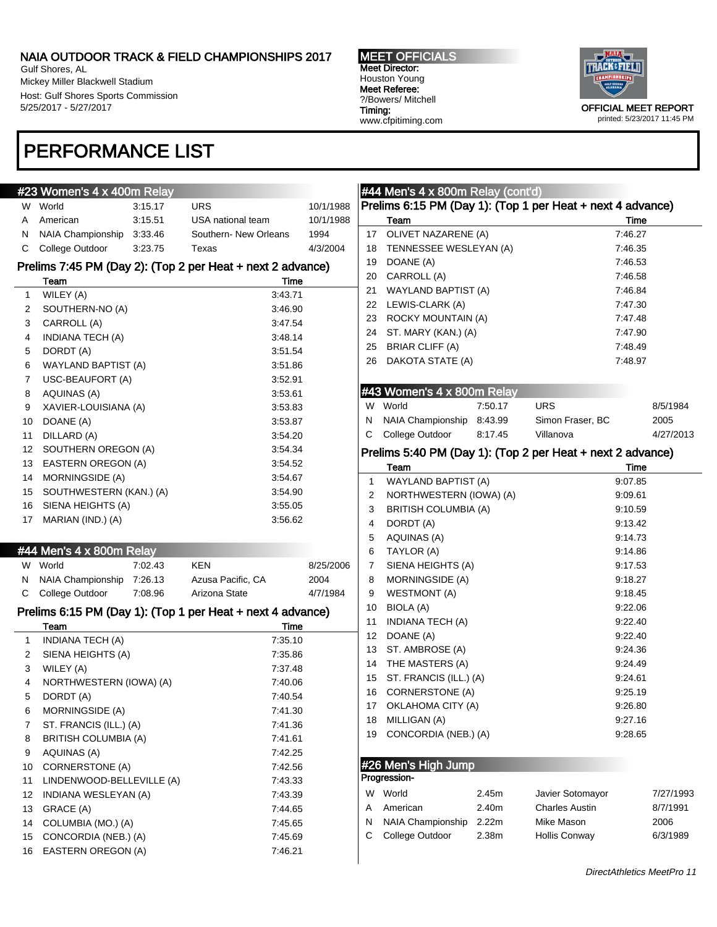Gulf Shores, AL Mickey Miller Blackwell Stadium Host: Gulf Shores Sports Commission 5/25/2017 - 5/27/2017

### PERFORMANCE LIST

#### MEET OFFICIALS Meet Director: Houston Young Meet Referee: ?/Bowers/ Mitchell Timing: www.cfpitiming.com



#### #23 Women's 4 x 400m Relay W World 3:15.17 URS 10/1/1988 A American 3:15.51 USA national team 10/1/1988 N NAIA Championship 3:33.46 Southern- New Orleans 1994 C College Outdoor 3:23.75 Texas 4/3/2004 Prelims 7:45 PM (Day 2): (Top 2 per Heat + next 2 advance) Team Time 1 WILEY (A) 3:43.71 2 SOUTHERN-NO (A) 3:46.90 3 CARROLL (A) 3:47.54 4 INDIANA TECH (A) 3:48.14 5 DORDT (A) 3:51.54 6 WAYLAND BAPTIST (A) 3:51.86 7 USC-BEAUFORT (A) 3:52.91 8 AQUINAS (A) 3:53.61 9 XAVIER-LOUISIANA (A) 3:53.83 10 DOANE (A) 3:53.87 11 DILLARD (A) 3:54.20 12 SOUTHERN OREGON (A) 3:54.34 13 EASTERN OREGON (A) 3:54.52 14 MORNINGSIDE (A) 3:54.67 15 SOUTHWESTERN (KAN.) (A) 3:54.90 16 SIENA HEIGHTS (A) 3:55.05 17 MARIAN (IND.) (A) 3:56.62 #44 Men's 4 x 800m Relay W World 7:02.43 KEN 8/25/2006 N NAIA Championship 7:26.13 Azusa Pacific, CA 2004 C College Outdoor 7:08.96 Arizona State 4/7/1984 Prelims 6:15 PM (Day 1): (Top 1 per Heat + next 4 advance) Team Time 1 INDIANA TECH (A) 7:35.10 2 SIENA HEIGHTS (A) 7:35.86 3 WILEY (A) 7:37.48 4 NORTHWESTERN (IOWA) (A) 7:40.06 5 DORDT (A) 7:40.54 6 MORNINGSIDE (A) 7:41.30 7 ST. FRANCIS (ILL.) (A) 7:41.36 8 BRITISH COLUMBIA (A) 7:41.61 9 AQUINAS (A) 7:42.25 10 CORNERSTONE (A) 7:42.56 11 LINDENWOOD-BELLEVILLE (A) 7:43.33 12 INDIANA WESLEYAN (A) 7:43.39 13 GRACE (A) 7:44.65 14 COLUMBIA (MO.) (A) 7:45.65 15 CONCORDIA (NEB.) (A) 7:45.69 16 EASTERN OREGON (A) 7:46.21

### #44 Men's 4 x 800m Relay (cont'd)

|    | #44 Men's $4 \times 800$ m Relay (cont'd)                  |         |                  |         |           |
|----|------------------------------------------------------------|---------|------------------|---------|-----------|
|    | Prelims 6:15 PM (Day 1): (Top 1 per Heat + next 4 advance) |         |                  |         |           |
|    | Team                                                       |         |                  | Time    |           |
| 17 | OLIVET NAZARENE (A)                                        |         |                  | 7:46.27 |           |
| 18 | TENNESSEE WESLEYAN (A)                                     |         |                  | 7:46.35 |           |
| 19 | DOANE (A)                                                  |         |                  | 7:46.53 |           |
| 20 | CARROLL (A)                                                |         |                  | 7:46.58 |           |
| 21 | <b>WAYLAND BAPTIST (A)</b>                                 |         |                  | 7:46.84 |           |
| 22 | LEWIS-CLARK (A)                                            |         |                  | 7:47.30 |           |
| 23 | ROCKY MOUNTAIN (A)                                         |         |                  | 7:47.48 |           |
| 24 | ST. MARY (KAN.) (A)                                        |         |                  | 7:47.90 |           |
| 25 | <b>BRIAR CLIFF (A)</b>                                     |         |                  | 7:48.49 |           |
| 26 | DAKOTA STATE (A)                                           |         |                  | 7:48.97 |           |
|    |                                                            |         |                  |         |           |
|    | #43 Women's 4 x 800m Relay                                 |         |                  |         |           |
| W  | World                                                      | 7:50.17 | <b>URS</b>       |         | 8/5/1984  |
| N  | NAIA Championship                                          | 8:43.99 | Simon Fraser, BC |         | 2005      |
| С  | College Outdoor                                            | 8:17.45 | Villanova        |         | 4/27/2013 |
|    | Prelims 5:40 PM (Day 1): (Top 2 per Heat + next 2 advance) |         |                  |         |           |
|    | Team                                                       |         |                  | Time    |           |
| 1  | <b>WAYLAND BAPTIST (A)</b>                                 |         |                  | 9:07.85 |           |
| 2  | NORTHWESTERN (IOWA) (A)                                    |         |                  | 9:09.61 |           |
| 3  | <b>BRITISH COLUMBIA (A)</b>                                |         |                  | 9:10.59 |           |
| 4  | DORDT (A)                                                  |         |                  | 9:13.42 |           |
| 5  | <b>AQUINAS (A)</b>                                         |         |                  | 9:14.73 |           |
| 6  | TAYLOR (A)                                                 |         |                  | 9:14.86 |           |
| 7  | SIENA HEIGHTS (A)                                          |         |                  | 9:17.53 |           |
| 8  | MORNINGSIDE (A)                                            |         |                  | 9:18.27 |           |
| 9  | <b>WESTMONT (A)</b>                                        |         |                  | 9:18.45 |           |
| 10 | BIOLA (A)                                                  |         |                  | 9:22.06 |           |
| 11 | INDIANA TECH (A)                                           |         |                  | 9:22.40 |           |
| 12 | DOANE (A)                                                  |         |                  | 9:22.40 |           |
| 13 | ST. AMBROSE (A)                                            |         |                  | 9.24.36 |           |

| 13 ST. AMBROSE (A)        | 9.24.36 |
|---------------------------|---------|
| 14 THE MASTERS (A)        | 9.24.49 |
| 15 ST. FRANCIS (ILL.) (A) | 9:24.61 |
| 16 CORNERSTONE (A)        | 9:25.19 |
| 17 OKLAHOMA CITY (A)      | 9.26.80 |
| 18 MILLIGAN (A)           | 9:27.16 |
| 19 CONCORDIA (NEB.) (A)   | 9.28.65 |

#26 Men's High Jump

| Progression- |  |
|--------------|--|

| W | World                     | 2.45m | Javier Sotomayor      | 7/27/1993 |
|---|---------------------------|-------|-----------------------|-----------|
|   | A American                | 2.40m | <b>Charles Austin</b> | 8/7/1991  |
|   | N NAIA Championship 2.22m |       | Mike Mason            | 2006      |
|   | C College Outdoor         | 2.38m | <b>Hollis Conway</b>  | 6/3/1989  |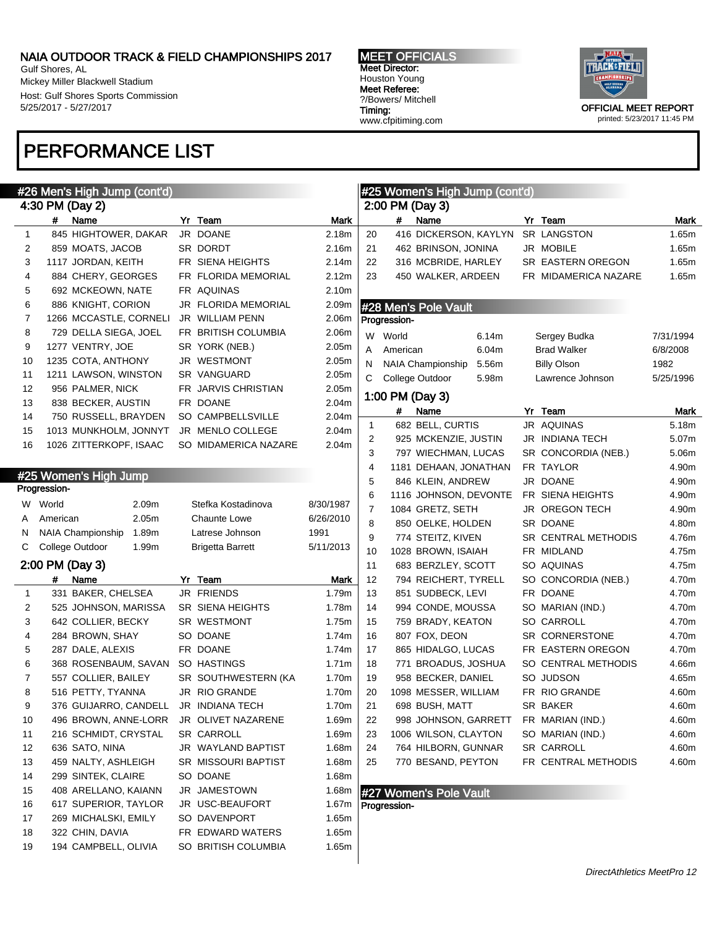Gulf Shores, AL Mickey Miller Blackwell Stadium Host: Gulf Shores Sports Commission 5/25/2017 - 5/27/2017

## PERFORMANCE LIST

MEET OFFICIALS Meet Director: Houston Young Meet Referee: ?/Bowers/ Mitchell Timing: www.cfpitiming.com



|              |              | #26 Men's High Jump (cont'd)            |                         |                   |                |              | #25 Women's High Jump (cont'd) |                      |           |
|--------------|--------------|-----------------------------------------|-------------------------|-------------------|----------------|--------------|--------------------------------|----------------------|-----------|
|              |              | 4:30 PM (Day 2)                         |                         |                   |                |              | 2:00 PM (Day 3)                |                      |           |
|              | #            | Name                                    | Yr Team                 | Mark              |                | #            | Name                           | Yr Team              | Mark      |
| 1            |              | 845 HIGHTOWER, DAKAR                    | JR DOANE                | 2.18m             | 20             |              | 416 DICKERSON, KAYLYN          | SR LANGSTON          | 1.65m     |
| 2            |              | 859 MOATS, JACOB                        | SR DORDT                | 2.16m             | 21             |              | 462 BRINSON, JONINA            | JR MOBILE            | 1.65m     |
| 3            |              | 1117 JORDAN, KEITH                      | FR SIENA HEIGHTS        | 2.14m             | 22             |              | 316 MCBRIDE, HARLEY            | SR EASTERN OREGON    | 1.65m     |
| 4            |              | 884 CHERY, GEORGES                      | FR FLORIDA MEMORIAL     | 2.12m             | 23             |              | 450 WALKER, ARDEEN             | FR MIDAMERICA NAZARE | 1.65m     |
| 5            |              | 692 MCKEOWN, NATE                       | FR AQUINAS              | 2.10m             |                |              |                                |                      |           |
| 6            |              | 886 KNIGHT, CORION                      | JR FLORIDA MEMORIAL     | 2.09m             |                |              | #28 Men's Pole Vault           |                      |           |
| 7            |              | 1266 MCCASTLE, CORNELI                  | JR WILLIAM PENN         | 2.06m             |                | Progression- |                                |                      |           |
| 8            |              | 729 DELLA SIEGA, JOEL                   | FR BRITISH COLUMBIA     | 2.06m             |                | W World      | 6.14m                          | Sergey Budka         | 7/31/1994 |
| 9            |              | 1277 VENTRY, JOE                        | SR YORK (NEB.)          | 2.05 <sub>m</sub> | Α              | American     | 6.04m                          | <b>Brad Walker</b>   | 6/8/2008  |
| 10           |              | 1235 COTA, ANTHONY                      | JR WESTMONT             | 2.05 <sub>m</sub> | N              |              | NAIA Championship<br>5.56m     | <b>Billy Olson</b>   | 1982      |
| 11           |              | 1211 LAWSON, WINSTON                    | SR VANGUARD             | 2.05m             | C              |              | College Outdoor<br>5.98m       | Lawrence Johnson     | 5/25/1996 |
| 12           |              | 956 PALMER, NICK                        | FR JARVIS CHRISTIAN     | 2.05m             |                |              |                                |                      |           |
| 13           |              | 838 BECKER, AUSTIN                      | FR DOANE                | 2.04m             |                |              | 1:00 PM (Day 3)                |                      |           |
| 14           |              | 750 RUSSELL, BRAYDEN                    | SO CAMPBELLSVILLE       | 2.04m             |                | #            | Name                           | Yr Team              | Mark      |
| 15           |              | 1013 MUNKHOLM, JONNYT                   | JR MENLO COLLEGE        | 2.04m             | $\mathbf{1}$   |              | 682 BELL, CURTIS               | JR AQUINAS           | 5.18m     |
| 16           |              | 1026 ZITTERKOPF, ISAAC                  | SO MIDAMERICA NAZARE    | 2.04m             | 2              |              | 925 MCKENZIE, JUSTIN           | JR INDIANA TECH      | 5.07m     |
|              |              |                                         |                         |                   | 3              |              | 797 WIECHMAN, LUCAS            | SR CONCORDIA (NEB.)  | 5.06m     |
|              |              | #25 Women's High Jump                   |                         |                   | 4              |              | 1181 DEHAAN, JONATHAN          | FR TAYLOR            | 4.90m     |
|              | Progression- |                                         |                         |                   | 5              |              | 846 KLEIN, ANDREW              | JR DOANE             | 4.90m     |
|              | W World      | 2.09 <sub>m</sub>                       | Stefka Kostadinova      | 8/30/1987         | 6              |              | 1116 JOHNSON, DEVONTE          | FR SIENA HEIGHTS     | 4.90m     |
| A            | American     | 2.05m                                   | <b>Chaunte Lowe</b>     | 6/26/2010         | $\overline{7}$ |              | 1084 GRETZ, SETH               | JR OREGON TECH       | 4.90m     |
| N            |              | 1.89m<br>NAIA Championship              | Latrese Johnson         | 1991              | 8              |              | 850 OELKE, HOLDEN              | SR DOANE             | 4.80m     |
| C            |              | College Outdoor<br>1.99m                | <b>Brigetta Barrett</b> | 5/11/2013         | 9              |              | 774 STEITZ, KIVEN              | SR CENTRAL METHODIS  | 4.76m     |
|              |              |                                         |                         |                   | 10             |              | 1028 BROWN, ISAIAH             | FR MIDLAND           | 4.75m     |
|              |              | 2:00 PM (Day 3)                         |                         |                   | 11             |              | 683 BERZLEY, SCOTT             | SO AQUINAS           | 4.75m     |
|              | #            | Name                                    | Yr Team                 | Mark              | 12             |              | 794 REICHERT, TYRELL           | SO CONCORDIA (NEB.)  | 4.70m     |
| $\mathbf{1}$ |              | 331 BAKER, CHELSEA                      | <b>JR FRIENDS</b>       | 1.79m             | 13             |              | 851 SUDBECK, LEVI              | FR DOANE             | 4.70m     |
| 2            |              | 525 JOHNSON, MARISSA                    | <b>SR SIENA HEIGHTS</b> | 1.78m             | 14             |              | 994 CONDE, MOUSSA              | SO MARIAN (IND.)     | 4.70m     |
| 3            |              | 642 COLLIER, BECKY                      | SR WESTMONT             | 1.75m             | 15             |              | 759 BRADY, KEATON              | SO CARROLL           | 4.70m     |
| 4            |              | 284 BROWN, SHAY                         | SO DOANE                | 1.74m             | 16             |              | 807 FOX, DEON                  | SR CORNERSTONE       | 4.70m     |
| 5            |              | 287 DALE, ALEXIS                        | FR DOANE                | 1.74m             | 17             |              | 865 HIDALGO, LUCAS             | FR EASTERN OREGON    | 4.70m     |
| 6            |              | 368 ROSENBAUM, SAVAN                    | SO HASTINGS             | 1.71m             | 18             |              | 771 BROADUS, JOSHUA            | SO CENTRAL METHODIS  | 4.66m     |
| 7            |              | 557 COLLIER, BAILEY                     | SR SOUTHWESTERN (KA     | 1.70m             | 19             |              | 958 BECKER, DANIEL             | SO JUDSON            | 4.65m     |
| 8            |              | 516 PETTY, TYANNA                       | JR RIO GRANDE           | 1.70m             | 20             |              | 1098 MESSER, WILLIAM           | FR RIO GRANDE        | 4.60m     |
| a            |              | 376 GUIJARRO, CANDELL                   | JR INDIANA TECH         | 1.70m             | 21             |              | 698 BUSH, MATT                 | SR BAKER             | 4.60m     |
| 10           |              | 496 BROWN, ANNE-LORR JR OLIVET NAZARENE |                         | 1.69m             | 22             |              | 998 JOHNSON, GARRETT           | FR MARIAN (IND.)     | 4.60m     |
| 11           |              | 216 SCHMIDT, CRYSTAL                    | SR CARROLL              | 1.69m             | 23             |              | 1006 WILSON, CLAYTON           | SO MARIAN (IND.)     | 4.60m     |
| 12           |              | 636 SATO, NINA                          | JR WAYLAND BAPTIST      | 1.68m             | 24             |              | 764 HILBORN, GUNNAR            | SR CARROLL           | 4.60m     |
| 13           |              | 459 NALTY, ASHLEIGH                     | SR MISSOURI BAPTIST     | 1.68m             | 25             |              | 770 BESAND, PEYTON             | FR CENTRAL METHODIS  | 4.60m     |
| 14           |              | 299 SINTEK, CLAIRE                      | SO DOANE                | 1.68m             |                |              |                                |                      |           |
| 15           |              | 408 ARELLANO, KAIANN                    | JR JAMESTOWN            | 1.68m             |                |              | #27 Women's Pole Vault         |                      |           |
| 16           |              | 617 SUPERIOR, TAYLOR                    | JR USC-BEAUFORT         | 1.67m             |                | Progression- |                                |                      |           |
| 17           |              | 269 MICHALSKI, EMILY                    | SO DAVENPORT            | 1.65m             |                |              |                                |                      |           |
| 18           |              | 322 CHIN, DAVIA                         | FR EDWARD WATERS        | 1.65m             |                |              |                                |                      |           |
| 19           |              | 194 CAMPBELL, OLIVIA                    | SO BRITISH COLUMBIA     | 1.65m             |                |              |                                |                      |           |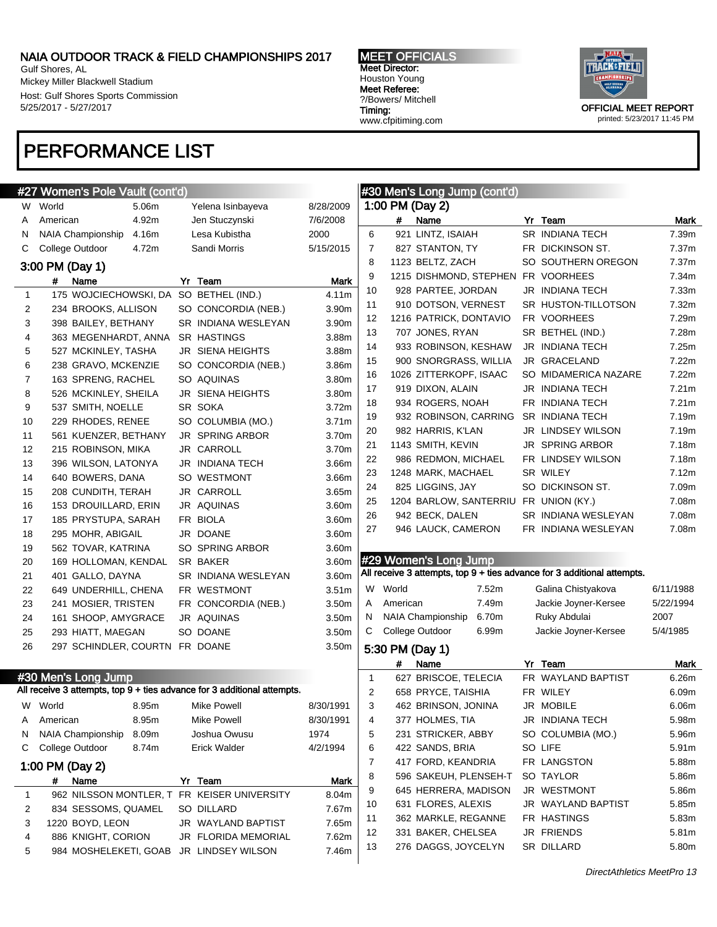Gulf Shores, AL Mickey Miller Blackwell Stadium Host: Gulf Shores Sports Commission 5/25/2017 - 5/27/2017

### PERFORMANCE LIST

MEET OFFICIALS Meet Director: Houston Young Meet Referee: ?/Bowers/ Mitchell Timing: www.cfpitiming.com



|    | #27 Women's Pole Vault (cont'd)                                         |                 |                         |                   |                |          | #30 Men's Long Jump (cont'd)               |                                                                         |           |
|----|-------------------------------------------------------------------------|-----------------|-------------------------|-------------------|----------------|----------|--------------------------------------------|-------------------------------------------------------------------------|-----------|
| W  | World<br>5.06m                                                          |                 | Yelena Isinbayeva       | 8/28/2009         |                |          | 1:00 PM (Day 2)                            |                                                                         |           |
| A  | 4.92m<br>American                                                       |                 | Jen Stuczynski          | 7/6/2008          |                | #        | Name                                       | Yr Team                                                                 | Mark      |
| N  | NAIA Championship<br>4.16m                                              |                 | Lesa Kubistha           | 2000              | 6              |          | 921 LINTZ, ISAIAH                          | SR INDIANA TECH                                                         | 7.39m     |
| С  | College Outdoor<br>4.72m                                                |                 | Sandi Morris            | 5/15/2015         | $\overline{7}$ |          | 827 STANTON, TY                            | FR DICKINSON ST.                                                        | 7.37m     |
|    | 3:00 PM (Day 1)                                                         |                 |                         |                   | 8              |          | 1123 BELTZ, ZACH                           | SO SOUTHERN OREGON                                                      | 7.37m     |
|    |                                                                         |                 |                         |                   | 9              |          | 1215 DISHMOND, STEPHEN                     | FR VOORHEES                                                             | 7.34m     |
|    | #<br>Name                                                               | Yr Team         |                         | Mark              | 10             |          | 928 PARTEE, JORDAN                         | JR INDIANA TECH                                                         | 7.33m     |
| 1  | 175 WOJCIECHOWSKI, DA SO BETHEL (IND.)                                  |                 |                         | 4.11m             | 11             |          | 910 DOTSON, VERNEST                        | SR HUSTON-TILLOTSON                                                     | 7.32m     |
| 2  | 234 BROOKS, ALLISON                                                     |                 | SO CONCORDIA (NEB.)     | 3.90m             | 12             |          | 1216 PATRICK, DONTAVIO                     | FR VOORHEES                                                             | 7.29m     |
| 3  | 398 BAILEY, BETHANY                                                     |                 | SR INDIANA WESLEYAN     | 3.90m             | 13             |          | 707 JONES, RYAN                            | SR BETHEL (IND.)                                                        | 7.28m     |
| 4  | 363 MEGENHARDT, ANNA                                                    |                 | <b>SR HASTINGS</b>      | 3.88m             | 14             |          | 933 ROBINSON, KESHAW                       | JR INDIANA TECH                                                         | 7.25m     |
| 5  | 527 MCKINLEY, TASHA                                                     |                 | <b>JR SIENA HEIGHTS</b> | 3.88m             | 15             |          | 900 SNORGRASS, WILLIA                      | JR GRACELAND                                                            | 7.22m     |
| 6  | 238 GRAVO, MCKENZIE                                                     |                 | SO CONCORDIA (NEB.)     | 3.86m             | 16             |          | 1026 ZITTERKOPF, ISAAC                     | SO MIDAMERICA NAZARE                                                    | 7.22m     |
| 7  | 163 SPRENG, RACHEL                                                      | SO AQUINAS      |                         | 3.80m             | 17             |          | 919 DIXON, ALAIN                           | JR INDIANA TECH                                                         | 7.21m     |
| 8  | 526 MCKINLEY, SHEILA                                                    |                 | JR SIENA HEIGHTS        | 3.80m             | 18             |          | 934 ROGERS, NOAH                           | FR INDIANA TECH                                                         | 7.21m     |
| 9  | 537 SMITH, NOELLE                                                       | SR SOKA         |                         | 3.72m             | 19             |          | 932 ROBINSON, CARRING                      | SR INDIANA TECH                                                         | 7.19m     |
| 10 | 229 RHODES, RENEE                                                       |                 | SO COLUMBIA (MO.)       | 3.71m             | 20             |          | 982 HARRIS, K'LAN                          | JR LINDSEY WILSON                                                       | 7.19m     |
| 11 | 561 KUENZER, BETHANY                                                    |                 | <b>JR SPRING ARBOR</b>  | 3.70m             | 21             |          | 1143 SMITH, KEVIN                          | JR SPRING ARBOR                                                         | 7.18m     |
| 12 | 215 ROBINSON, MIKA                                                      |                 | JR CARROLL              | 3.70m             | 22             |          | 986 REDMON, MICHAEL                        | FR LINDSEY WILSON                                                       | 7.18m     |
| 13 | 396 WILSON, LATONYA                                                     |                 | JR INDIANA TECH         | 3.66m             |                |          |                                            | SR WILEY                                                                |           |
| 14 | 640 BOWERS, DANA                                                        |                 | SO WESTMONT             | 3.66m             | 23             |          | 1248 MARK, MACHAEL                         |                                                                         | 7.12m     |
| 15 | 208 CUNDITH, TERAH                                                      |                 | JR CARROLL              | 3.65m             | 24             |          | 825 LIGGINS, JAY                           | SO DICKINSON ST.                                                        | 7.09m     |
| 16 | 153 DROUILLARD, ERIN                                                    |                 | JR AQUINAS              | 3.60m             | 25             |          | 1204 BARLOW, SANTERRIU                     | FR UNION (KY.)                                                          | 7.08m     |
| 17 | 185 PRYSTUPA, SARAH                                                     | FR BIOLA        |                         | 3.60m             | 26             |          | 942 BECK, DALEN                            | SR INDIANA WESLEYAN                                                     | 7.08m     |
| 18 | 295 MOHR, ABIGAIL                                                       | JR DOANE        |                         | 3.60m             | 27             |          | 946 LAUCK, CAMERON                         | FR INDIANA WESLEYAN                                                     | 7.08m     |
| 19 | 562 TOVAR, KATRINA                                                      |                 | SO SPRING ARBOR         | 3.60m             |                |          |                                            |                                                                         |           |
| 20 | 169 HOLLOMAN, KENDAL                                                    | <b>SR BAKER</b> |                         | 3.60m             |                |          | #29 Women's Long Jump                      |                                                                         |           |
| 21 | 401 GALLO, DAYNA                                                        |                 | SR INDIANA WESLEYAN     | 3.60m             |                |          |                                            | All receive 3 attempts, top 9 + ties advance for 3 additional attempts. |           |
| 22 | 649 UNDERHILL, CHENA                                                    |                 | FR WESTMONT             | 3.51 <sub>m</sub> |                | W World  | 7.52m                                      | Galina Chistyakova                                                      | 6/11/1988 |
| 23 | 241 MOSIER, TRISTEN                                                     |                 | FR CONCORDIA (NEB.)     | 3.50m             | A              | American | 7.49m                                      | Jackie Joyner-Kersee                                                    | 5/22/1994 |
| 24 | 161 SHOOP, AMYGRACE                                                     | JR AQUINAS      |                         | 3.50m             | N              |          | 6.70m<br><b>NAIA Championship</b>          | Ruky Abdulai                                                            | 2007      |
| 25 | 293 HIATT, MAEGAN                                                       | SO DOANE        |                         | 3.50m             | C              |          | College Outdoor<br>6.99m                   | Jackie Joyner-Kersee                                                    | 5/4/1985  |
| 26 | 297 SCHINDLER, COURTN FR DOANE                                          |                 |                         | 3.50m             |                |          | 5:30 PM (Day 1)                            |                                                                         |           |
|    |                                                                         |                 |                         |                   |                | #        | Name                                       | Yr Team                                                                 | Mark      |
|    | #30 Men's Long Jump                                                     |                 |                         |                   | 1              |          | 627 BRISCOE, TELECIA                       | FR WAYLAND BAPTIST                                                      | 6.26m     |
|    | All receive 3 attempts, top 9 + ties advance for 3 additional attempts. |                 |                         |                   | 2              |          | 658 PRYCE, TAISHIA                         | FR WILEY                                                                | 6.09m     |
|    | W World<br>8.95m                                                        |                 | Mike Powell             | 8/30/1991         | 3              |          | 462 BRINSON, JONINA                        | JR MOBILE                                                               | 6.06m     |
| A  | 8.95m<br>American                                                       |                 | Mike Powell             | 8/30/1991         | 4              |          | 377 HOLMES, TIA                            | JR INDIANA TECH                                                         | 5.98m     |
| N  | NAIA Championship<br>8.09m                                              |                 | Joshua Owusu            | 1974              | 5              |          | 231 STRICKER, ABBY                         | SO COLUMBIA (MO.)                                                       | 5.96m     |
| С  | College Outdoor<br>8.74m                                                |                 | Erick Walder            | 4/2/1994          | 6              |          | 422 SANDS, BRIA                            | SO LIFE                                                                 | 5.91m     |
|    |                                                                         |                 |                         |                   | 7              |          | 417 FORD, KEANDRIA                         | FR LANGSTON                                                             | 5.88m     |
|    | 1:00 PM (Day 2)                                                         |                 |                         |                   | 8              |          | 596 SAKEUH, PLENSEH-T                      | SO TAYLOR                                                               | 5.86m     |
|    | #<br>Name                                                               | Yr Team         |                         | Mark              |                |          |                                            |                                                                         |           |
| 1  | 962 NILSSON MONTLER, T FR KEISER UNIVERSITY                             |                 |                         | 8.04m             | 9              |          | 645 HERRERA, MADISON<br>631 FLORES, ALEXIS | JR WESTMONT                                                             | 5.86m     |
| 2  | 834 SESSOMS, QUAMEL                                                     | SO DILLARD      |                         | 7.67m             | 10             |          |                                            | JR WAYLAND BAPTIST                                                      | 5.85m     |
| 3  | 1220 BOYD, LEON                                                         |                 | JR WAYLAND BAPTIST      | 7.65m             | 11             |          | 362 MARKLE, REGANNE                        | FR HASTINGS                                                             | 5.83m     |
| 4  | 886 KNIGHT, CORION                                                      |                 | JR FLORIDA MEMORIAL     | 7.62m             | 12             |          | 331 BAKER, CHELSEA                         | JR FRIENDS                                                              | 5.81m     |
| 5  | 984 MOSHELEKETI, GOAB JR LINDSEY WILSON                                 |                 |                         | 7.46m             | 13             |          | 276 DAGGS, JOYCELYN                        | SR DILLARD                                                              | 5.80m     |
|    |                                                                         |                 |                         |                   |                |          |                                            |                                                                         |           |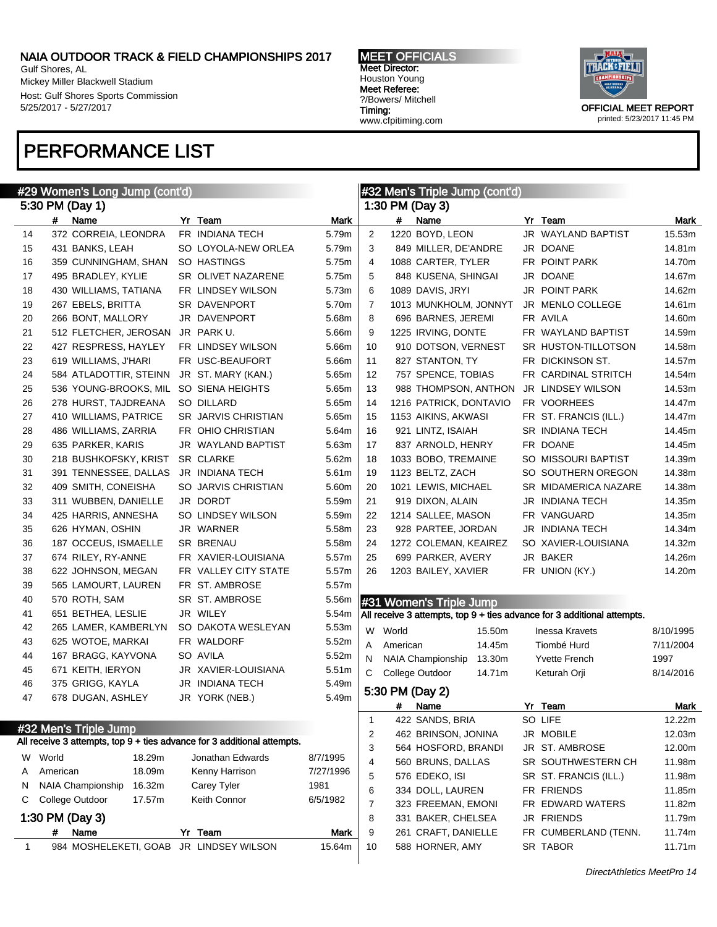Gulf Shores, AL Mickey Miller Blackwell Stadium Host: Gulf Shores Sports Commission 5/25/2017 - 5/27/2017

### PERFORMANCE LIST

MEET OFFICIALS Meet Director: Houston Young Meet Referee: ?/Bowers/ Mitchell Timing: www.cfpitiming.com



|    |          | #29 Women's Long Jump (cont'd)          |                                                                         |           |                |          | #32 Men's Triple Jump (cont'd) |        |                                                                         |           |
|----|----------|-----------------------------------------|-------------------------------------------------------------------------|-----------|----------------|----------|--------------------------------|--------|-------------------------------------------------------------------------|-----------|
|    |          | 5:30 PM (Day 1)                         |                                                                         |           |                |          | 1:30 PM (Day 3)                |        |                                                                         |           |
|    | #        | Name                                    | Yr Team                                                                 | Mark      |                | #        | Name                           |        | Yr Team                                                                 | Mark      |
| 14 |          | 372 CORREIA, LEONDRA                    | FR INDIANA TECH                                                         | 5.79m     | $\overline{2}$ |          | 1220 BOYD, LEON                |        | JR WAYLAND BAPTIST                                                      | 15.53m    |
| 15 |          | 431 BANKS, LEAH                         | SO LOYOLA-NEW ORLEA                                                     | 5.79m     | 3              |          | 849 MILLER, DE'ANDRE           |        | JR DOANE                                                                | 14.81m    |
| 16 |          | 359 CUNNINGHAM, SHAN                    | SO HASTINGS                                                             | 5.75m     | $\overline{4}$ |          | 1088 CARTER, TYLER             |        | FR POINT PARK                                                           | 14.70m    |
| 17 |          | 495 BRADLEY, KYLIE                      | SR OLIVET NAZARENE                                                      | 5.75m     | 5              |          | 848 KUSENA, SHINGAI            |        | JR DOANE                                                                | 14.67m    |
| 18 |          | 430 WILLIAMS, TATIANA                   | FR LINDSEY WILSON                                                       | 5.73m     | 6              |          | 1089 DAVIS, JRYI               |        | <b>JR POINT PARK</b>                                                    | 14.62m    |
| 19 |          | 267 EBELS, BRITTA                       | SR DAVENPORT                                                            | 5.70m     | $\overline{7}$ |          | 1013 MUNKHOLM, JONNYT          |        | JR MENLO COLLEGE                                                        | 14.61m    |
| 20 |          | 266 BONT, MALLORY                       | JR DAVENPORT                                                            | 5.68m     | 8              |          | 696 BARNES, JEREMI             |        | FR AVILA                                                                | 14.60m    |
| 21 |          | 512 FLETCHER, JEROSAN                   | JR PARK U.                                                              | 5.66m     | 9              |          | 1225 IRVING, DONTE             |        | FR WAYLAND BAPTIST                                                      | 14.59m    |
| 22 |          | 427 RESPRESS, HAYLEY                    | FR LINDSEY WILSON                                                       | 5.66m     | 10             |          | 910 DOTSON, VERNEST            |        | SR HUSTON-TILLOTSON                                                     | 14.58m    |
| 23 |          | 619 WILLIAMS, J'HARI                    | FR USC-BEAUFORT                                                         | 5.66m     | 11             |          | 827 STANTON, TY                |        | FR DICKINSON ST.                                                        | 14.57m    |
| 24 |          | 584 ATLADOTTIR, STEINN                  | JR ST. MARY (KAN.)                                                      | 5.65m     | 12             |          | 757 SPENCE, TOBIAS             |        | FR CARDINAL STRITCH                                                     | 14.54m    |
| 25 |          | 536 YOUNG-BROOKS, MIL SO SIENA HEIGHTS  |                                                                         | 5.65m     | 13             |          | 988 THOMPSON, ANTHON           |        | JR LINDSEY WILSON                                                       | 14.53m    |
| 26 |          | 278 HURST, TAJDREANA                    | SO DILLARD                                                              | 5.65m     | 14             |          | 1216 PATRICK, DONTAVIO         |        | FR VOORHEES                                                             | 14.47m    |
| 27 |          | 410 WILLIAMS, PATRICE                   | SR JARVIS CHRISTIAN                                                     | 5.65m     | 15             |          | 1153 AIKINS, AKWASI            |        | FR ST. FRANCIS (ILL.)                                                   | 14.47m    |
| 28 |          | 486 WILLIAMS, ZARRIA                    | FR OHIO CHRISTIAN                                                       | 5.64m     | 16             |          | 921 LINTZ, ISAIAH              |        | SR INDIANA TECH                                                         | 14.45m    |
| 29 |          | 635 PARKER, KARIS                       | JR WAYLAND BAPTIST                                                      | 5.63m     | 17             |          | 837 ARNOLD, HENRY              |        | FR DOANE                                                                | 14.45m    |
| 30 |          | 218 BUSHKOFSKY, KRIST                   | SR CLARKE                                                               | 5.62m     | 18             |          | 1033 BOBO, TREMAINE            |        | SO MISSOURI BAPTIST                                                     | 14.39m    |
| 31 |          | 391 TENNESSEE, DALLAS JR INDIANA TECH   |                                                                         | 5.61m     | 19             |          | 1123 BELTZ, ZACH               |        | SO SOUTHERN OREGON                                                      | 14.38m    |
| 32 |          | 409 SMITH, CONEISHA                     | SO JARVIS CHRISTIAN                                                     | 5.60m     | 20             |          | 1021 LEWIS, MICHAEL            |        | SR MIDAMERICA NAZARE                                                    | 14.38m    |
| 33 |          | 311 WUBBEN, DANIELLE                    | JR DORDT                                                                | 5.59m     | 21             |          | 919 DIXON, ALAIN               |        | JR INDIANA TECH                                                         | 14.35m    |
| 34 |          | 425 HARRIS, ANNESHA                     | SO LINDSEY WILSON                                                       | 5.59m     | 22             |          | 1214 SALLEE, MASON             |        | FR VANGUARD                                                             | 14.35m    |
| 35 |          | 626 HYMAN, OSHIN                        | JR WARNER                                                               | 5.58m     | 23             |          | 928 PARTEE, JORDAN             |        | JR INDIANA TECH                                                         | 14.34m    |
| 36 |          | 187 OCCEUS, ISMAELLE                    | SR BRENAU                                                               | 5.58m     | 24             |          | 1272 COLEMAN, KEAIREZ          |        | SO XAVIER-LOUISIANA                                                     | 14.32m    |
| 37 |          | 674 RILEY, RY-ANNE                      | FR XAVIER-LOUISIANA                                                     | 5.57m     | 25             |          | 699 PARKER, AVERY              |        | JR BAKER                                                                | 14.26m    |
| 38 |          | 622 JOHNSON, MEGAN                      | FR VALLEY CITY STATE                                                    | 5.57m     | 26             |          | 1203 BAILEY, XAVIER            |        | FR UNION (KY.)                                                          | 14.20m    |
| 39 |          | 565 LAMOURT, LAUREN                     | FR ST. AMBROSE                                                          | 5.57m     |                |          |                                |        |                                                                         |           |
| 40 |          | 570 ROTH, SAM                           | SR ST. AMBROSE                                                          | 5.56m     |                |          | #31 Women's Triple Jump        |        |                                                                         |           |
| 41 |          | 651 BETHEA, LESLIE                      | JR WILEY                                                                | 5.54m     |                |          |                                |        | All receive 3 attempts, top 9 + ties advance for 3 additional attempts. |           |
| 42 |          | 265 LAMER, KAMBERLYN                    | SO DAKOTA WESLEYAN                                                      | 5.53m     |                | W World  |                                | 15.50m | Inessa Kravets                                                          | 8/10/1995 |
| 43 |          | 625 WOTOE, MARKAI                       | FR WALDORF                                                              | 5.52m     | A              | American |                                | 14.45m | Tiombé Hurd                                                             | 7/11/2004 |
| 44 |          | 167 BRAGG, KAYVONA                      | SO AVILA                                                                | 5.52m     | N              |          | NAIA Championship              | 13.30m | <b>Yvette French</b>                                                    | 1997      |
| 45 |          | 671 KEITH, IERYON                       | JR XAVIER-LOUISIANA                                                     | 5.51m     | C              |          | College Outdoor                | 14.71m | Keturah Orji                                                            | 8/14/2016 |
| 46 |          | 375 GRIGG, KAYLA                        | JR INDIANA TECH                                                         | 5.49m     |                |          |                                |        |                                                                         |           |
| 47 |          | 678 DUGAN, ASHLEY                       | JR YORK (NEB.)                                                          | 5.49m     |                |          | 5:30 PM (Day 2)                |        |                                                                         |           |
|    |          |                                         |                                                                         |           |                | #        | Name                           |        | Yr Team                                                                 | Mark      |
|    |          | #32 Men's Triple Jump                   |                                                                         |           | $\mathbf{1}$   |          | 422 SANDS, BRIA                |        | SO LIFE                                                                 | 12.22m    |
|    |          |                                         | All receive 3 attempts, top 9 + ties advance for 3 additional attempts. |           | 2              |          | 462 BRINSON, JONINA            |        | JR MOBILE                                                               | 12.03m    |
| W  | World    | 18.29m                                  | Jonathan Edwards                                                        | 8/7/1995  | 3              |          | 564 HOSFORD, BRANDI            |        | JR ST. AMBROSE                                                          | 12.00m    |
| A  | American | 18.09m                                  | Kenny Harrison                                                          | 7/27/1996 | 4              |          | 560 BRUNS, DALLAS              |        | SR SOUTHWESTERN CH                                                      | 11.98m    |
| N  |          | <b>NAIA Championship</b><br>16.32m      | Carey Tyler                                                             | 1981      | 5              |          | 576 EDEKO, ISI                 |        | SR ST. FRANCIS (ILL.)                                                   | 11.98m    |
| С  |          | College Outdoor<br>17.57m               | Keith Connor                                                            | 6/5/1982  | 6              |          | 334 DOLL, LAUREN               |        | FR FRIENDS                                                              | 11.85m    |
|    |          |                                         |                                                                         |           | $\overline{7}$ |          | 323 FREEMAN, EMONI             |        | FR EDWARD WATERS                                                        | 11.82m    |
|    |          | 1:30 PM (Day 3)                         |                                                                         |           | 8              |          | 331 BAKER, CHELSEA             |        | <b>JR FRIENDS</b>                                                       | 11.79m    |
|    | #        | Name                                    | Yr Team                                                                 | Mark      | 9              |          | 261 CRAFT, DANIELLE            |        | FR CUMBERLAND (TENN.                                                    | 11.74m    |
| 1  |          | 984 MOSHELEKETI, GOAB JR LINDSEY WILSON |                                                                         | 15.64m    | 10             |          | 588 HORNER, AMY                |        | SR TABOR                                                                | 11.71m    |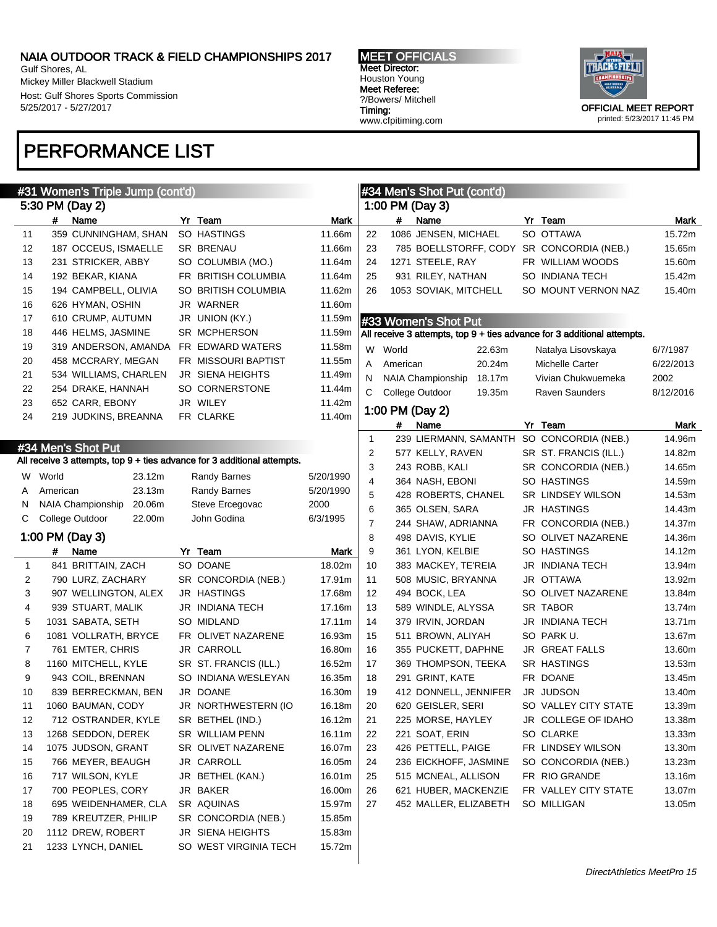Gulf Shores, AL Mickey Miller Blackwell Stadium Host: Gulf Shores Sports Commission 5/25/2017 - 5/27/2017

### PERFORMANCE LIST

MEET OFFICIALS Meet Director: Houston Young Meet Referee: ?/Bowers/ Mitchell Timing: www.cfpitiming.com



|              |          | #31 Women's Triple Jump (cont'd) |        |                                                                         |           |              |          | #34 Men's Shot Put (cont'd) |        |                                                                         |           |
|--------------|----------|----------------------------------|--------|-------------------------------------------------------------------------|-----------|--------------|----------|-----------------------------|--------|-------------------------------------------------------------------------|-----------|
|              |          | 5:30 PM (Day 2)                  |        |                                                                         |           |              |          | 1:00 PM (Day 3)             |        |                                                                         |           |
|              | #        | Name                             |        | Yr Team                                                                 | Mark      |              | #        | Name                        |        | Yr Team                                                                 | Mark      |
| 11           |          | 359 CUNNINGHAM, SHAN             |        | SO HASTINGS                                                             | 11.66m    | 22           |          | 1086 JENSEN, MICHAEL        |        | SO OTTAWA                                                               | 15.72m    |
| 12           |          | 187 OCCEUS, ISMAELLE             |        | <b>SR BRENAU</b>                                                        | 11.66m    | 23           |          |                             |        | 785 BOELLSTORFF, CODY SR CONCORDIA (NEB.)                               | 15.65m    |
| 13           |          | 231 STRICKER, ABBY               |        | SO COLUMBIA (MO.)                                                       | 11.64m    | 24           |          | 1271 STEELE, RAY            |        | FR WILLIAM WOODS                                                        | 15.60m    |
| 14           |          | 192 BEKAR, KIANA                 |        | FR BRITISH COLUMBIA                                                     | 11.64m    | 25           |          | 931 RILEY, NATHAN           |        | SO INDIANA TECH                                                         | 15.42m    |
| 15           |          | 194 CAMPBELL, OLIVIA             |        | SO BRITISH COLUMBIA                                                     | 11.62m    | 26           |          | 1053 SOVIAK, MITCHELL       |        | SO MOUNT VERNON NAZ                                                     | 15.40m    |
| 16           |          | 626 HYMAN, OSHIN                 |        | JR WARNER                                                               | 11.60m    |              |          |                             |        |                                                                         |           |
| 17           |          | 610 CRUMP, AUTUMN                |        | JR UNION (KY.)                                                          | 11.59m    |              |          | #33 Women's Shot Put        |        |                                                                         |           |
| 18           |          | 446 HELMS, JASMINE               |        | SR MCPHERSON                                                            | 11.59m    |              |          |                             |        | All receive 3 attempts, top 9 + ties advance for 3 additional attempts. |           |
| 19           |          | 319 ANDERSON, AMANDA             |        | FR EDWARD WATERS                                                        | 11.58m    |              |          |                             |        |                                                                         |           |
| 20           |          | 458 MCCRARY, MEGAN               |        | FR MISSOURI BAPTIST                                                     | 11.55m    | W            | World    |                             | 22.63m | Natalya Lisovskaya                                                      | 6/7/1987  |
| 21           |          | 534 WILLIAMS, CHARLEN            |        | <b>JR SIENA HEIGHTS</b>                                                 | 11.49m    | Α            | American |                             | 20.24m | Michelle Carter                                                         | 6/22/2013 |
| 22           |          | 254 DRAKE, HANNAH                |        | SO CORNERSTONE                                                          | 11.44m    | N            |          | <b>NAIA Championship</b>    | 18.17m | Vivian Chukwuemeka                                                      | 2002      |
| 23           |          | 652 CARR, EBONY                  |        | JR WILEY                                                                | 11.42m    | C            |          | College Outdoor             | 19.35m | <b>Raven Saunders</b>                                                   | 8/12/2016 |
| 24           |          | 219 JUDKINS, BREANNA             |        | FR CLARKE                                                               | 11.40m    |              |          | 1:00 PM (Day 2)             |        |                                                                         |           |
|              |          |                                  |        |                                                                         |           |              | #        | Name                        |        | Yr Team                                                                 | Mark      |
|              |          |                                  |        |                                                                         |           | $\mathbf{1}$ |          |                             |        | 239 LIERMANN, SAMANTH SO CONCORDIA (NEB.)                               | 14.96m    |
|              |          | #34 Men's Shot Put               |        |                                                                         |           | 2            |          | 577 KELLY, RAVEN            |        | SR ST. FRANCIS (ILL.)                                                   | 14.82m    |
|              |          |                                  |        | All receive 3 attempts, top 9 + ties advance for 3 additional attempts. |           | 3            |          | 243 ROBB, KALI              |        | SR CONCORDIA (NEB.)                                                     | 14.65m    |
| W            | World    |                                  | 23.12m | Randy Barnes                                                            | 5/20/1990 | 4            |          | 364 NASH, EBONI             |        | SO HASTINGS                                                             | 14.59m    |
|              | American |                                  | 23.13m | Randy Barnes                                                            | 5/20/1990 | 5            |          | 428 ROBERTS, CHANEL         |        | <b>SR LINDSEY WILSON</b>                                                | 14.53m    |
| N            |          | NAIA Championship                | 20.06m | Steve Ercegovac                                                         | 2000      | 6            |          | 365 OLSEN, SARA             |        | <b>JR HASTINGS</b>                                                      | 14.43m    |
| С            |          | College Outdoor                  | 22.00m | John Godina                                                             | 6/3/1995  | 7            |          | 244 SHAW, ADRIANNA          |        | FR CONCORDIA (NEB.)                                                     | 14.37m    |
|              |          | 1:00 PM (Day 3)                  |        |                                                                         |           | 8            |          | 498 DAVIS, KYLIE            |        | SO OLIVET NAZARENE                                                      | 14.36m    |
|              | #        | Name                             |        | Yr Team                                                                 | Mark      | 9            |          | 361 LYON, KELBIE            |        | SO HASTINGS                                                             | 14.12m    |
| $\mathbf{1}$ |          | 841 BRITTAIN, ZACH               |        | SO DOANE                                                                | 18.02m    | 10           |          | 383 MACKEY, TE'REIA         |        | JR INDIANA TECH                                                         | 13.94m    |
| 2            |          | 790 LURZ, ZACHARY                |        | SR CONCORDIA (NEB.)                                                     | 17.91m    | 11           |          | 508 MUSIC, BRYANNA          |        | JR OTTAWA                                                               | 13.92m    |
| 3            |          | 907 WELLINGTON, ALEX             |        | <b>JR HASTINGS</b>                                                      | 17.68m    | 12           |          | 494 BOCK, LEA               |        | SO OLIVET NAZARENE                                                      | 13.84m    |
| 4            |          | 939 STUART, MALIK                |        | JR INDIANA TECH                                                         | 17.16m    | 13           |          | 589 WINDLE, ALYSSA          |        | SR TABOR                                                                | 13.74m    |
| 5            |          | 1031 SABATA, SETH                |        | SO MIDLAND                                                              | 17.11m    | 14           |          | 379 IRVIN, JORDAN           |        | JR INDIANA TECH                                                         | 13.71m    |
| 6            |          | 1081 VOLLRATH, BRYCE             |        | FR OLIVET NAZARENE                                                      | 16.93m    | 15           |          | 511 BROWN, ALIYAH           |        | SO PARK U.                                                              | 13.67m    |
| 7            |          | 761 EMTER, CHRIS                 |        | JR CARROLL                                                              | 16.80m    | 16           |          | 355 PUCKETT, DAPHNE         |        | JR GREAT FALLS                                                          | 13.60m    |
| 8            |          | 1160 MITCHELL, KYLE              |        | SR ST. FRANCIS (ILL.)                                                   | 16.52m    | 17           |          | 369 THOMPSON, TEEKA         |        | SR HASTINGS                                                             | 13.53m    |
| 9            |          | 943 COIL, BRENNAN                |        | SO INDIANA WESLEYAN                                                     | 16.35m    | 18           |          | 291 GRINT, KATE             |        | FR DOANE                                                                | 13.45m    |
| 10           |          | 839 BERRECKMAN, BEN              |        | JR DOANE                                                                | 16.30m    | 19           |          | 412 DONNELL, JENNIFER       |        | JR JUDSON                                                               | 13.40m    |
| 11           |          | 1060 BAUMAN, CODY                |        | JR NORTHWESTERN (IO                                                     | 16.18m    | 20           |          | 620 GEISLER, SERI           |        | SO VALLEY CITY STATE                                                    | 13.39m    |
| 12           |          | 712 OSTRANDER, KYLE              |        | SR BETHEL (IND.)                                                        | 16.12m    | 21           |          | 225 MORSE, HAYLEY           |        | JR COLLEGE OF IDAHO                                                     | 13.38m    |
| 13           |          | 1268 SEDDON, DEREK               |        | SR WILLIAM PENN                                                         | 16.11m    | 22           |          | 221 SOAT, ERIN              |        | SO CLARKE                                                               | 13.33m    |
| 14           |          | 1075 JUDSON, GRANT               |        | SR OLIVET NAZARENE                                                      | 16.07m    | 23           |          | 426 PETTELL, PAIGE          |        | FR LINDSEY WILSON                                                       | 13.30m    |
| 15           |          | 766 MEYER, BEAUGH                |        | JR CARROLL                                                              | 16.05m    | 24           |          | 236 EICKHOFF, JASMINE       |        | SO CONCORDIA (NEB.)                                                     | 13.23m    |
| 16           |          | 717 WILSON, KYLE                 |        | JR BETHEL (KAN.)                                                        | 16.01m    | 25           |          | 515 MCNEAL, ALLISON         |        | FR RIO GRANDE                                                           | 13.16m    |
| 17           |          | 700 PEOPLES, CORY                |        | JR BAKER                                                                | 16.00m    | 26           |          | 621 HUBER, MACKENZIE        |        | FR VALLEY CITY STATE                                                    | 13.07m    |
| 18           |          | 695 WEIDENHAMER, CLA             |        | SR AQUINAS                                                              | 15.97m    | 27           |          | 452 MALLER, ELIZABETH       |        | SO MILLIGAN                                                             | 13.05m    |
| 19           |          | 789 KREUTZER, PHILIP             |        | SR CONCORDIA (NEB.)                                                     | 15.85m    |              |          |                             |        |                                                                         |           |
| 20           |          | 1112 DREW, ROBERT                |        | JR SIENA HEIGHTS                                                        | 15.83m    |              |          |                             |        |                                                                         |           |
| 21           |          | 1233 LYNCH, DANIEL               |        | SO WEST VIRGINIA TECH                                                   | 15.72m    |              |          |                             |        |                                                                         |           |
|              |          |                                  |        |                                                                         |           |              |          |                             |        |                                                                         |           |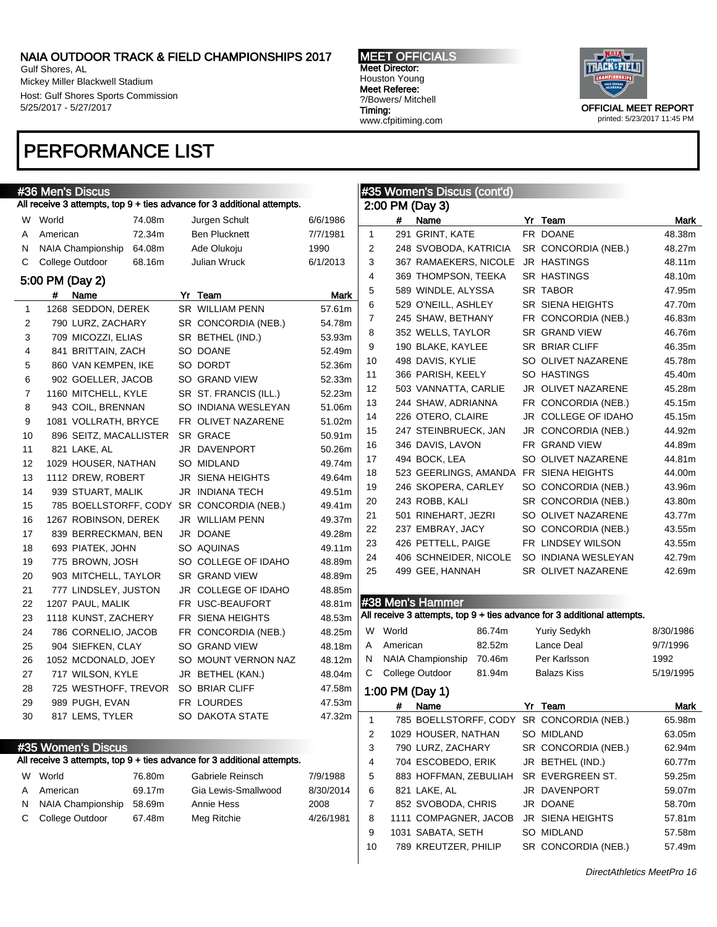Gulf Shores, AL Mickey Miller Blackwell Stadium Host: Gulf Shores Sports Commission 5/25/2017 - 5/27/2017

MEET OFFICIALS Meet Director: Houston Young Meet Referee: ?/Bowers/ Mitchell Timing: www.cfpitiming.com



### PERFORMANCE LIST

|    | #36 Men's Di <u>scus</u> |        |                                                                         |           |              |          | #35 Women's Discus (cont'd) |        |                                                                         |           |
|----|--------------------------|--------|-------------------------------------------------------------------------|-----------|--------------|----------|-----------------------------|--------|-------------------------------------------------------------------------|-----------|
|    |                          |        | All receive 3 attempts, top 9 + ties advance for 3 additional attempts. |           |              |          | 2:00 PM (Day 3)             |        |                                                                         |           |
| W  | World                    | 74.08m | Jurgen Schult                                                           | 6/6/1986  |              | #        | Name                        |        | Yr Team                                                                 | Mark      |
| A  | American                 | 72.34m | <b>Ben Plucknett</b>                                                    | 7/7/1981  | $\mathbf{1}$ |          | 291 GRINT, KATE             |        | FR DOANE                                                                | 48.38m    |
| N  | NAIA Championship        | 64.08m | Ade Olukoju                                                             | 1990      | 2            |          | 248 SVOBODA, KATRICIA       |        | SR CONCORDIA (NEB.)                                                     | 48.27m    |
| С  | College Outdoor          | 68.16m | Julian Wruck                                                            | 6/1/2013  | 3            |          | 367 RAMAEKERS, NICOLE       |        | <b>JR HASTINGS</b>                                                      | 48.11m    |
|    | 5:00 PM (Day 2)          |        |                                                                         |           | 4            |          | 369 THOMPSON, TEEKA         |        | SR HASTINGS                                                             | 48.10m    |
|    | Name<br>#                |        | Yr Team                                                                 | Mark      | 5            |          | 589 WINDLE, ALYSSA          |        | <b>SR TABOR</b>                                                         | 47.95m    |
| 1  | 1268 SEDDON, DEREK       |        | <b>SR WILLIAM PENN</b>                                                  | 57.61m    | 6            |          | 529 O'NEILL, ASHLEY         |        | SR SIENA HEIGHTS                                                        | 47.70m    |
| 2  | 790 LURZ, ZACHARY        |        | SR CONCORDIA (NEB.)                                                     | 54.78m    | 7            |          | 245 SHAW, BETHANY           |        | FR CONCORDIA (NEB.)                                                     | 46.83m    |
| 3  | 709 MICOZZI, ELIAS       |        | SR BETHEL (IND.)                                                        | 53.93m    | 8            |          | 352 WELLS, TAYLOR           |        | SR GRAND VIEW                                                           | 46.76m    |
| 4  | 841 BRITTAIN, ZACH       |        | SO DOANE                                                                | 52.49m    | 9            |          | 190 BLAKE, KAYLEE           |        | <b>SR BRIAR CLIFF</b>                                                   | 46.35m    |
| 5  | 860 VAN KEMPEN, IKE      |        | SO DORDT                                                                | 52.36m    | 10           |          | 498 DAVIS, KYLIE            |        | SO OLIVET NAZARENE                                                      | 45.78m    |
| 6  | 902 GOELLER, JACOB       |        | SO GRAND VIEW                                                           | 52.33m    | 11           |          | 366 PARISH, KEELY           |        | SO HASTINGS                                                             | 45.40m    |
| 7  | 1160 MITCHELL, KYLE      |        | SR ST. FRANCIS (ILL.)                                                   | 52.23m    | 12           |          | 503 VANNATTA, CARLIE        |        | JR OLIVET NAZARENE                                                      | 45.28m    |
| 8  | 943 COIL, BRENNAN        |        | SO INDIANA WESLEYAN                                                     | 51.06m    | 13           |          | 244 SHAW, ADRIANNA          |        | FR CONCORDIA (NEB.)                                                     | 45.15m    |
| 9  | 1081 VOLLRATH, BRYCE     |        | FR OLIVET NAZARENE                                                      | 51.02m    | 14           |          | 226 OTERO, CLAIRE           |        | JR COLLEGE OF IDAHO                                                     | 45.15m    |
| 10 | 896 SEITZ, MACALLISTER   |        | <b>SR GRACE</b>                                                         | 50.91m    | 15           |          | 247 STEINBRUECK, JAN        |        | JR CONCORDIA (NEB.)                                                     | 44.92m    |
| 11 | 821 LAKE, AL             |        | JR DAVENPORT                                                            | 50.26m    | 16           |          | 346 DAVIS, LAVON            |        | FR GRAND VIEW                                                           | 44.89m    |
| 12 | 1029 HOUSER, NATHAN      |        | <b>SO MIDLAND</b>                                                       | 49.74m    | 17           |          | 494 BOCK, LEA               |        | SO OLIVET NAZARENE                                                      | 44.81m    |
| 13 | 1112 DREW, ROBERT        |        | <b>JR SIENA HEIGHTS</b>                                                 | 49.64m    | 18           |          |                             |        | 523 GEERLINGS, AMANDA FR SIENA HEIGHTS                                  | 44.00m    |
| 14 | 939 STUART, MALIK        |        | <b>JR INDIANA TECH</b>                                                  | 49.51m    | 19           |          | 246 SKOPERA, CARLEY         |        | SO CONCORDIA (NEB.)                                                     | 43.96m    |
| 15 | 785 BOELLSTORFF, CODY    |        | SR CONCORDIA (NEB.)                                                     | 49.41m    | 20           |          | 243 ROBB, KALI              |        | SR CONCORDIA (NEB.)                                                     | 43.80m    |
| 16 | 1267 ROBINSON, DEREK     |        | JR WILLIAM PENN                                                         | 49.37m    | 21           |          | 501 RINEHART, JEZRI         |        | SO OLIVET NAZARENE                                                      | 43.77m    |
| 17 | 839 BERRECKMAN, BEN      |        | JR DOANE                                                                | 49.28m    | 22           |          | 237 EMBRAY, JACY            |        | SO CONCORDIA (NEB.)                                                     | 43.55m    |
| 18 | 693 PIATEK, JOHN         |        | SO AQUINAS                                                              | 49.11m    | 23           |          | 426 PETTELL, PAIGE          |        | FR LINDSEY WILSON                                                       | 43.55m    |
| 19 | 775 BROWN, JOSH          |        | SO COLLEGE OF IDAHO                                                     | 48.89m    | 24           |          | 406 SCHNEIDER, NICOLE       |        | SO INDIANA WESLEYAN                                                     | 42.79m    |
| 20 | 903 MITCHELL, TAYLOR     |        | SR GRAND VIEW                                                           | 48.89m    | 25           |          | 499 GEE, HANNAH             |        | SR OLIVET NAZARENE                                                      | 42.69m    |
| 21 | 777 LINDSLEY, JUSTON     |        | JR COLLEGE OF IDAHO                                                     | 48.85m    |              |          |                             |        |                                                                         |           |
| 22 | 1207 PAUL, MALIK         |        | FR USC-BEAUFORT                                                         | 48.81m    |              |          | #38 Men's Hammer            |        |                                                                         |           |
| 23 | 1118 KUNST, ZACHERY      |        | FR SIENA HEIGHTS                                                        | 48.53m    |              |          |                             |        | All receive 3 attempts, top 9 + ties advance for 3 additional attempts. |           |
| 24 | 786 CORNELIO, JACOB      |        | FR CONCORDIA (NEB.)                                                     | 48.25m    |              | W World  |                             | 86.74m | <b>Yuriy Sedykh</b>                                                     | 8/30/1986 |
| 25 | 904 SIEFKEN, CLAY        |        | SO GRAND VIEW                                                           | 48.18m    | A            | American |                             | 82.52m | Lance Deal                                                              | 9/7/1996  |
| 26 | 1052 MCDONALD, JOEY      |        | SO MOUNT VERNON NAZ                                                     | 48.12m    | N            |          | NAIA Championship           | 70.46m | Per Karlsson                                                            | 1992      |
| 27 | 717 WILSON, KYLE         |        | JR BETHEL (KAN.)                                                        | 48.04m    | C            |          | College Outdoor             | 81.94m | Balazs Kiss                                                             | 5/19/1995 |
| 28 | 725 WESTHOFF, TREVOR     |        | SO BRIAR CLIFF                                                          | 47.58m    |              |          | 1:00 PM (Day 1)             |        |                                                                         |           |
| 29 | 989 PUGH, EVAN           |        | FR LOURDES                                                              | 47.53m    |              | #        | Name                        |        | Yr Team                                                                 | Mark      |
| 30 | 817 LEMS, TYLER          |        | SO DAKOTA STATE                                                         | 47.32m    | 1            |          |                             |        | 785 BOELLSTORFF, CODY SR CONCORDIA (NEB.)                               | 65.98m    |
|    |                          |        |                                                                         |           | 2            |          | 1029 HOUSER, NATHAN         |        | SO MIDLAND                                                              | 63.05m    |
|    | #35 Women's Discus       |        |                                                                         |           | 3            |          | 790 LURZ, ZACHARY           |        | SR CONCORDIA (NEB.)                                                     | 62.94m    |
|    |                          |        | All receive 3 attempts, top 9 + ties advance for 3 additional attempts. |           | 4            |          | 704 ESCOBEDO, ERIK          |        | JR BETHEL (IND.)                                                        | 60.77m    |
| W  | World                    | 76.80m | Gabriele Reinsch                                                        | 7/9/1988  | 5            |          | 883 HOFFMAN, ZEBULIAH       |        | SR EVERGREEN ST.                                                        | 59.25m    |
| Α  | American                 | 69.17m | Gia Lewis-Smallwood                                                     | 8/30/2014 | 6            |          | 821 LAKE, AL                |        | JR DAVENPORT                                                            | 59.07m    |
| N  | NAIA Championship        | 58.69m | Annie Hess                                                              | 2008      | 7            |          | 852 SVOBODA, CHRIS          |        | JR DOANE                                                                | 58.70m    |
| С  | College Outdoor          | 67.48m | Meg Ritchie                                                             | 4/26/1981 | 8            |          | 1111 COMPAGNER, JACOB       |        | JR SIENA HEIGHTS                                                        | 57.81m    |
|    |                          |        |                                                                         |           | 9            |          | 1031 SABATA, SETH           |        | SO MIDLAND                                                              | 57.58m    |
|    |                          |        |                                                                         |           | 10           |          | 789 KREUTZER, PHILIP        |        | SR CONCORDIA (NEB.)                                                     | 57.49m    |
|    |                          |        |                                                                         |           |              |          |                             |        |                                                                         |           |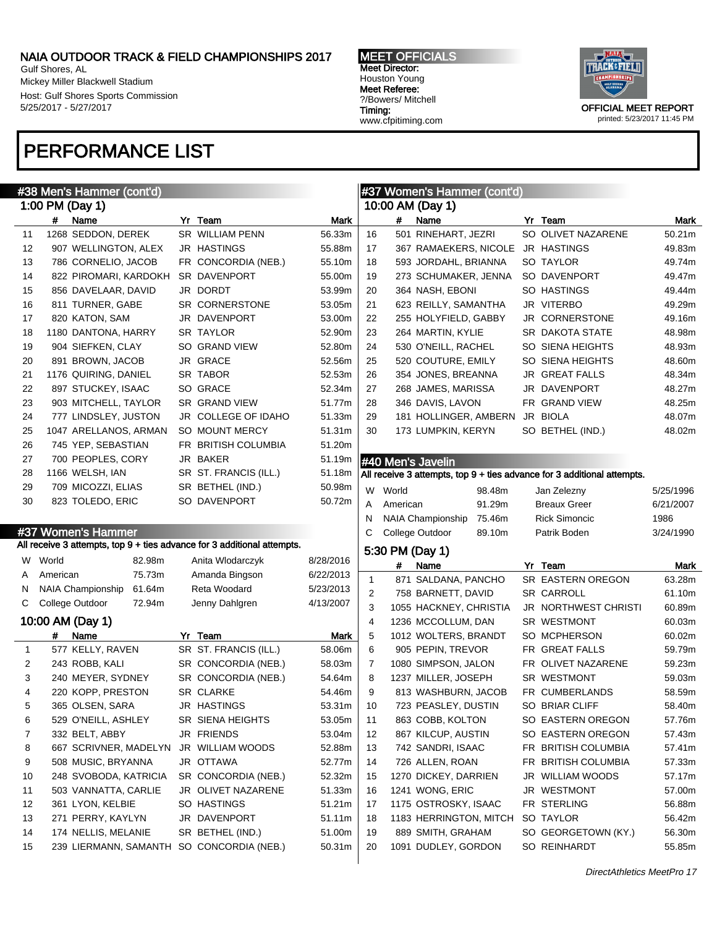Gulf Shores, AL Mickey Miller Blackwell Stadium Host: Gulf Shores Sports Commission 5/25/2017 - 5/27/2017

### PERFORMANCE LIST



|              |          | #38 Men's Hammer (cont'd)          |                                                                         |           |                |          | #37 Women's Hammer (cont'd)        |                                                                         |           |
|--------------|----------|------------------------------------|-------------------------------------------------------------------------|-----------|----------------|----------|------------------------------------|-------------------------------------------------------------------------|-----------|
|              |          | 1:00 PM (Day 1)                    |                                                                         |           |                |          | 10:00 AM (Day 1)                   |                                                                         |           |
|              | #        | Name                               | Yr Team                                                                 | Mark      |                | #        | Name                               | Yr Team                                                                 | Mark      |
| 11           |          | 1268 SEDDON, DEREK                 | <b>SR WILLIAM PENN</b>                                                  | 56.33m    | 16             |          | 501 RINEHART, JEZRI                | SO OLIVET NAZARENE                                                      | 50.21m    |
| 12           |          | 907 WELLINGTON, ALEX               | <b>JR HASTINGS</b>                                                      | 55.88m    | 17             |          | 367 RAMAEKERS, NICOLE              | JR HASTINGS                                                             | 49.83m    |
| 13           |          | 786 CORNELIO, JACOB                | FR CONCORDIA (NEB.)                                                     | 55.10m    | 18             |          | 593 JORDAHL, BRIANNA               | SO TAYLOR                                                               | 49.74m    |
| 14           |          | 822 PIROMARI, KARDOKH              | SR DAVENPORT                                                            | 55.00m    | 19             |          | 273 SCHUMAKER, JENNA               | SO DAVENPORT                                                            | 49.47m    |
| 15           |          | 856 DAVELAAR, DAVID                | JR DORDT                                                                | 53.99m    | 20             |          | 364 NASH, EBONI                    | SO HASTINGS                                                             | 49.44m    |
| 16           |          | 811 TURNER, GABE                   | SR CORNERSTONE                                                          | 53.05m    | 21             |          | 623 REILLY, SAMANTHA               | JR VITERBO                                                              | 49.29m    |
| 17           |          | 820 KATON, SAM                     | JR DAVENPORT                                                            | 53.00m    | 22             |          | 255 HOLYFIELD, GABBY               | JR CORNERSTONE                                                          | 49.16m    |
| 18           |          | 1180 DANTONA, HARRY                | <b>SR TAYLOR</b>                                                        | 52.90m    | 23             |          | 264 MARTIN, KYLIE                  | SR DAKOTA STATE                                                         | 48.98m    |
| 19           |          | 904 SIEFKEN, CLAY                  | <b>SO GRAND VIEW</b>                                                    | 52.80m    | 24             |          | 530 O'NEILL, RACHEL                | SO SIENA HEIGHTS                                                        | 48.93m    |
| 20           |          | 891 BROWN, JACOB                   | JR GRACE                                                                | 52.56m    | 25             |          | 520 COUTURE, EMILY                 | SO SIENA HEIGHTS                                                        | 48.60m    |
| 21           |          | 1176 QUIRING, DANIEL               | SR TABOR                                                                | 52.53m    | 26             |          | 354 JONES, BREANNA                 | <b>JR GREAT FALLS</b>                                                   | 48.34m    |
| 22           |          | 897 STUCKEY, ISAAC                 | SO GRACE                                                                | 52.34m    | 27             |          | 268 JAMES, MARISSA                 | JR DAVENPORT                                                            | 48.27m    |
| 23           |          | 903 MITCHELL, TAYLOR               | SR GRAND VIEW                                                           | 51.77m    | 28             |          | 346 DAVIS, LAVON                   | FR GRAND VIEW                                                           | 48.25m    |
| 24           |          | 777 LINDSLEY, JUSTON               | JR COLLEGE OF IDAHO                                                     | 51.33m    | 29             |          | 181 HOLLINGER, AMBERN              | JR BIOLA                                                                | 48.07m    |
| 25           |          | 1047 ARELLANOS, ARMAN              | SO MOUNT MERCY                                                          | 51.31m    | 30             |          | 173 LUMPKIN, KERYN                 | SO BETHEL (IND.)                                                        | 48.02m    |
| 26           |          | 745 YEP, SEBASTIAN                 | FR BRITISH COLUMBIA                                                     | 51.20m    |                |          |                                    |                                                                         |           |
| 27           |          | 700 PEOPLES, CORY                  | JR BAKER                                                                | 51.19m    |                |          | #40 Men's Javelin                  |                                                                         |           |
| 28           |          | 1166 WELSH, IAN                    | SR ST. FRANCIS (ILL.)                                                   | 51.18m    |                |          |                                    | All receive 3 attempts, top 9 + ties advance for 3 additional attempts. |           |
| 29           |          | 709 MICOZZI, ELIAS                 | SR BETHEL (IND.)                                                        | 50.98m    | W              | World    | 98.48m                             | Jan Zelezny                                                             | 5/25/1996 |
| 30           |          | 823 TOLEDO, ERIC                   | SO DAVENPORT                                                            | 50.72m    | A              | American | 91.29m                             | <b>Breaux Greer</b>                                                     | 6/21/2007 |
|              |          |                                    |                                                                         |           | N              |          | 75.46m<br><b>NAIA Championship</b> | <b>Rick Simoncic</b>                                                    | 1986      |
|              |          | #37 Women's Hammer                 |                                                                         |           | С              |          | College Outdoor<br>89.10m          | Patrik Boden                                                            | 3/24/1990 |
|              |          |                                    | All receive 3 attempts, top 9 + ties advance for 3 additional attempts. |           |                |          | 5:30 PM (Day 1)                    |                                                                         |           |
| W            | World    | 82.98m                             | Anita Wlodarczyk                                                        | 8/28/2016 |                | #        | Name                               | Yr Team                                                                 | Mark      |
| A            | American | 75.73m                             | Amanda Bingson                                                          | 6/22/2013 | $\mathbf{1}$   |          | 871 SALDANA, PANCHO                | SR EASTERN OREGON                                                       | 63.28m    |
| N            |          | <b>NAIA Championship</b><br>61.64m | Reta Woodard                                                            | 5/23/2013 | 2              |          | 758 BARNETT, DAVID                 | <b>SR CARROLL</b>                                                       | 61.10m    |
| C            |          | College Outdoor<br>72.94m          | Jenny Dahlgren                                                          | 4/13/2007 | 3              |          | 1055 HACKNEY, CHRISTIA             | JR NORTHWEST CHRISTI                                                    | 60.89m    |
|              |          | 10:00 AM (Day 1)                   |                                                                         |           | $\overline{4}$ |          | 1236 MCCOLLUM, DAN                 | SR WESTMONT                                                             | 60.03m    |
|              | #        | Name                               | Yr Team                                                                 | Mark      | 5              |          | 1012 WOLTERS, BRANDT               | SO MCPHERSON                                                            | 60.02m    |
| $\mathbf{1}$ |          | 577 KELLY, RAVEN                   | SR ST. FRANCIS (ILL.)                                                   | 58.06m    | 6              |          | 905 PEPIN, TREVOR                  | FR GREAT FALLS                                                          | 59.79m    |
| 2            |          | 243 ROBB, KALI                     | SR CONCORDIA (NEB.)                                                     | 58.03m    | 7              |          | 1080 SIMPSON, JALON                | FR OLIVET NAZARENE                                                      | 59.23m    |
| 3            |          | 240 MEYER, SYDNEY                  | SR CONCORDIA (NEB.)                                                     | 54.64m    | 8              |          | 1237 MILLER, JOSEPH                | SR WESTMONT                                                             | 59.03m    |
| 4            |          | 220 KOPP, PRESTON                  | <b>SR CLARKE</b>                                                        | 54.46m    | 9              |          | 813 WASHBURN, JACOB                | FR CUMBERLANDS                                                          | 58.59m    |
|              |          | 365 OLSEN, SARA                    | JR HASTINGS                                                             | 53.31m    | 10             |          | 723 PEASLEY, DUSTIN                | SO BRIAR CLIFF                                                          | 58.40m    |
| 6            |          | 529 O'NEILL, ASHLEY                | SR SIENA HEIGHTS                                                        | 53.05m    | 11             |          | 863 COBB, KOLTON                   | SO EASTERN OREGON                                                       | 57.76m    |
| 7            |          | 332 BELT, ABBY                     | JR FRIENDS                                                              | 53.04m    | 12             |          | 867 KILCUP, AUSTIN                 | SO EASTERN OREGON                                                       | 57.43m    |
| 8            |          | 667 SCRIVNER, MADELYN              | JR WILLIAM WOODS                                                        | 52.88m    | 13             |          | 742 SANDRI, ISAAC                  | FR BRITISH COLUMBIA                                                     | 57.41m    |
| 9            |          | 508 MUSIC, BRYANNA                 | JR OTTAWA                                                               | 52.77m    | 14             |          | 726 ALLEN, ROAN                    | FR BRITISH COLUMBIA                                                     | 57.33m    |
| 10           |          | 248 SVOBODA, KATRICIA              | SR CONCORDIA (NEB.)                                                     | 52.32m    | 15             |          | 1270 DICKEY, DARRIEN               | JR WILLIAM WOODS                                                        | 57.17m    |
|              |          |                                    |                                                                         |           |                |          |                                    |                                                                         | 57.00m    |
| 11           |          | 503 VANNATTA, CARLIE               | JR OLIVET NAZARENE                                                      | 51.33m    | 16             |          | 1241 WONG, ERIC                    | JR WESTMONT                                                             |           |
| 12           |          | 361 LYON, KELBIE                   | SO HASTINGS                                                             | 51.21m    | 17             |          | 1175 OSTROSKY, ISAAC               | FR STERLING                                                             | 56.88m    |
| 13           |          | 271 PERRY, KAYLYN                  | JR DAVENPORT                                                            | 51.11m    | 18             |          | 1183 HERRINGTON, MITCH             | SO TAYLOR                                                               | 56.42m    |
| 14           |          | 174 NELLIS, MELANIE                | SR BETHEL (IND.)                                                        | 51.00m    | 19             |          | 889 SMITH, GRAHAM                  | SO GEORGETOWN (KY.)                                                     | 56.30m    |